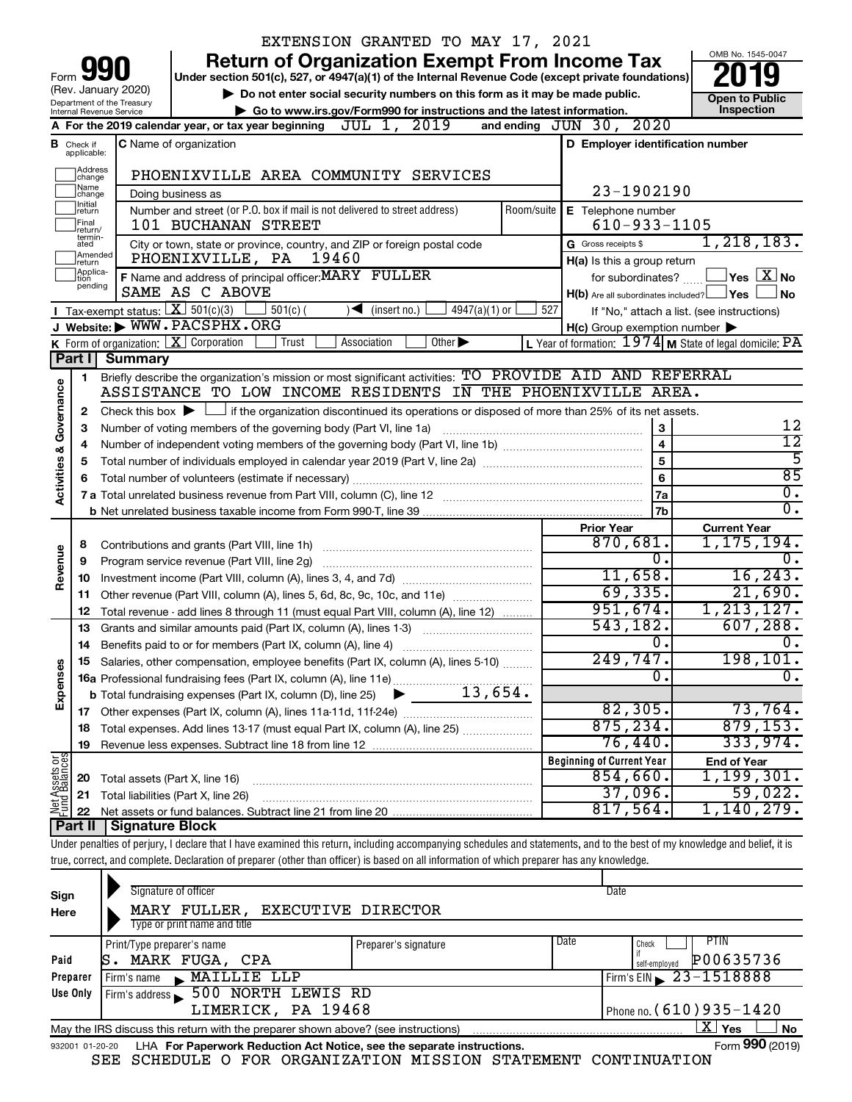|                                                                                                                                                                                                                                                                                                                                                                                                                                                                                                                                                                                                                                                                                                                                                                                                                                                                                                                                                                                                                                                                                                                                                                                                                                                                                                                                                                                                                                                                                                                                                                                                                                                                                                                                                                                                                                                                                                                                                                                                                                                                                                                                                                                                                                                                                                                                                                                                                                                                                                                                                                                                                                                                                                                                                                                                                                                                                                                                                                                                                                                                                                                                                                                                                                                                                                                                                                                                                                                                                                                                                                                                                                                                     |  |  | EXTENSION GRANTED TO MAY 17, 2021          |  |  |  |                                                                                             |  |
|---------------------------------------------------------------------------------------------------------------------------------------------------------------------------------------------------------------------------------------------------------------------------------------------------------------------------------------------------------------------------------------------------------------------------------------------------------------------------------------------------------------------------------------------------------------------------------------------------------------------------------------------------------------------------------------------------------------------------------------------------------------------------------------------------------------------------------------------------------------------------------------------------------------------------------------------------------------------------------------------------------------------------------------------------------------------------------------------------------------------------------------------------------------------------------------------------------------------------------------------------------------------------------------------------------------------------------------------------------------------------------------------------------------------------------------------------------------------------------------------------------------------------------------------------------------------------------------------------------------------------------------------------------------------------------------------------------------------------------------------------------------------------------------------------------------------------------------------------------------------------------------------------------------------------------------------------------------------------------------------------------------------------------------------------------------------------------------------------------------------------------------------------------------------------------------------------------------------------------------------------------------------------------------------------------------------------------------------------------------------------------------------------------------------------------------------------------------------------------------------------------------------------------------------------------------------------------------------------------------------------------------------------------------------------------------------------------------------------------------------------------------------------------------------------------------------------------------------------------------------------------------------------------------------------------------------------------------------------------------------------------------------------------------------------------------------------------------------------------------------------------------------------------------------------------------------------------------------------------------------------------------------------------------------------------------------------------------------------------------------------------------------------------------------------------------------------------------------------------------------------------------------------------------------------------------------------------------------------------------------------------------------------------------------|--|--|--------------------------------------------|--|--|--|---------------------------------------------------------------------------------------------|--|
|                                                                                                                                                                                                                                                                                                                                                                                                                                                                                                                                                                                                                                                                                                                                                                                                                                                                                                                                                                                                                                                                                                                                                                                                                                                                                                                                                                                                                                                                                                                                                                                                                                                                                                                                                                                                                                                                                                                                                                                                                                                                                                                                                                                                                                                                                                                                                                                                                                                                                                                                                                                                                                                                                                                                                                                                                                                                                                                                                                                                                                                                                                                                                                                                                                                                                                                                                                                                                                                                                                                                                                                                                                                                     |  |  |                                            |  |  |  | OMB No. 1545-0047                                                                           |  |
|                                                                                                                                                                                                                                                                                                                                                                                                                                                                                                                                                                                                                                                                                                                                                                                                                                                                                                                                                                                                                                                                                                                                                                                                                                                                                                                                                                                                                                                                                                                                                                                                                                                                                                                                                                                                                                                                                                                                                                                                                                                                                                                                                                                                                                                                                                                                                                                                                                                                                                                                                                                                                                                                                                                                                                                                                                                                                                                                                                                                                                                                                                                                                                                                                                                                                                                                                                                                                                                                                                                                                                                                                                                                     |  |  |                                            |  |  |  |                                                                                             |  |
|                                                                                                                                                                                                                                                                                                                                                                                                                                                                                                                                                                                                                                                                                                                                                                                                                                                                                                                                                                                                                                                                                                                                                                                                                                                                                                                                                                                                                                                                                                                                                                                                                                                                                                                                                                                                                                                                                                                                                                                                                                                                                                                                                                                                                                                                                                                                                                                                                                                                                                                                                                                                                                                                                                                                                                                                                                                                                                                                                                                                                                                                                                                                                                                                                                                                                                                                                                                                                                                                                                                                                                                                                                                                     |  |  |                                            |  |  |  |                                                                                             |  |
|                                                                                                                                                                                                                                                                                                                                                                                                                                                                                                                                                                                                                                                                                                                                                                                                                                                                                                                                                                                                                                                                                                                                                                                                                                                                                                                                                                                                                                                                                                                                                                                                                                                                                                                                                                                                                                                                                                                                                                                                                                                                                                                                                                                                                                                                                                                                                                                                                                                                                                                                                                                                                                                                                                                                                                                                                                                                                                                                                                                                                                                                                                                                                                                                                                                                                                                                                                                                                                                                                                                                                                                                                                                                     |  |  |                                            |  |  |  | Inspection                                                                                  |  |
|                                                                                                                                                                                                                                                                                                                                                                                                                                                                                                                                                                                                                                                                                                                                                                                                                                                                                                                                                                                                                                                                                                                                                                                                                                                                                                                                                                                                                                                                                                                                                                                                                                                                                                                                                                                                                                                                                                                                                                                                                                                                                                                                                                                                                                                                                                                                                                                                                                                                                                                                                                                                                                                                                                                                                                                                                                                                                                                                                                                                                                                                                                                                                                                                                                                                                                                                                                                                                                                                                                                                                                                                                                                                     |  |  |                                            |  |  |  |                                                                                             |  |
| в                                                                                                                                                                                                                                                                                                                                                                                                                                                                                                                                                                                                                                                                                                                                                                                                                                                                                                                                                                                                                                                                                                                                                                                                                                                                                                                                                                                                                                                                                                                                                                                                                                                                                                                                                                                                                                                                                                                                                                                                                                                                                                                                                                                                                                                                                                                                                                                                                                                                                                                                                                                                                                                                                                                                                                                                                                                                                                                                                                                                                                                                                                                                                                                                                                                                                                                                                                                                                                                                                                                                                                                                                                                                   |  |  |                                            |  |  |  |                                                                                             |  |
|                                                                                                                                                                                                                                                                                                                                                                                                                                                                                                                                                                                                                                                                                                                                                                                                                                                                                                                                                                                                                                                                                                                                                                                                                                                                                                                                                                                                                                                                                                                                                                                                                                                                                                                                                                                                                                                                                                                                                                                                                                                                                                                                                                                                                                                                                                                                                                                                                                                                                                                                                                                                                                                                                                                                                                                                                                                                                                                                                                                                                                                                                                                                                                                                                                                                                                                                                                                                                                                                                                                                                                                                                                                                     |  |  |                                            |  |  |  |                                                                                             |  |
|                                                                                                                                                                                                                                                                                                                                                                                                                                                                                                                                                                                                                                                                                                                                                                                                                                                                                                                                                                                                                                                                                                                                                                                                                                                                                                                                                                                                                                                                                                                                                                                                                                                                                                                                                                                                                                                                                                                                                                                                                                                                                                                                                                                                                                                                                                                                                                                                                                                                                                                                                                                                                                                                                                                                                                                                                                                                                                                                                                                                                                                                                                                                                                                                                                                                                                                                                                                                                                                                                                                                                                                                                                                                     |  |  |                                            |  |  |  |                                                                                             |  |
| Number and street (or P.O. box if mail is not delivered to street address)<br>Room/suite<br>E Telephone number<br>return<br>Final                                                                                                                                                                                                                                                                                                                                                                                                                                                                                                                                                                                                                                                                                                                                                                                                                                                                                                                                                                                                                                                                                                                                                                                                                                                                                                                                                                                                                                                                                                                                                                                                                                                                                                                                                                                                                                                                                                                                                                                                                                                                                                                                                                                                                                                                                                                                                                                                                                                                                                                                                                                                                                                                                                                                                                                                                                                                                                                                                                                                                                                                                                                                                                                                                                                                                                                                                                                                                                                                                                                                   |  |  |                                            |  |  |  |                                                                                             |  |
|                                                                                                                                                                                                                                                                                                                                                                                                                                                                                                                                                                                                                                                                                                                                                                                                                                                                                                                                                                                                                                                                                                                                                                                                                                                                                                                                                                                                                                                                                                                                                                                                                                                                                                                                                                                                                                                                                                                                                                                                                                                                                                                                                                                                                                                                                                                                                                                                                                                                                                                                                                                                                                                                                                                                                                                                                                                                                                                                                                                                                                                                                                                                                                                                                                                                                                                                                                                                                                                                                                                                                                                                                                                                     |  |  |                                            |  |  |  | 1, 218, 183.                                                                                |  |
|                                                                                                                                                                                                                                                                                                                                                                                                                                                                                                                                                                                                                                                                                                                                                                                                                                                                                                                                                                                                                                                                                                                                                                                                                                                                                                                                                                                                                                                                                                                                                                                                                                                                                                                                                                                                                                                                                                                                                                                                                                                                                                                                                                                                                                                                                                                                                                                                                                                                                                                                                                                                                                                                                                                                                                                                                                                                                                                                                                                                                                                                                                                                                                                                                                                                                                                                                                                                                                                                                                                                                                                                                                                                     |  |  | 19460                                      |  |  |  |                                                                                             |  |
|                                                                                                                                                                                                                                                                                                                                                                                                                                                                                                                                                                                                                                                                                                                                                                                                                                                                                                                                                                                                                                                                                                                                                                                                                                                                                                                                                                                                                                                                                                                                                                                                                                                                                                                                                                                                                                                                                                                                                                                                                                                                                                                                                                                                                                                                                                                                                                                                                                                                                                                                                                                                                                                                                                                                                                                                                                                                                                                                                                                                                                                                                                                                                                                                                                                                                                                                                                                                                                                                                                                                                                                                                                                                     |  |  |                                            |  |  |  | $\left\vert \mathsf{Yes}\right\vert \overline{\mathsf{X}}\left\vert \mathsf{No}\right\vert$ |  |
|                                                                                                                                                                                                                                                                                                                                                                                                                                                                                                                                                                                                                                                                                                                                                                                                                                                                                                                                                                                                                                                                                                                                                                                                                                                                                                                                                                                                                                                                                                                                                                                                                                                                                                                                                                                                                                                                                                                                                                                                                                                                                                                                                                                                                                                                                                                                                                                                                                                                                                                                                                                                                                                                                                                                                                                                                                                                                                                                                                                                                                                                                                                                                                                                                                                                                                                                                                                                                                                                                                                                                                                                                                                                     |  |  |                                            |  |  |  | No                                                                                          |  |
|                                                                                                                                                                                                                                                                                                                                                                                                                                                                                                                                                                                                                                                                                                                                                                                                                                                                                                                                                                                                                                                                                                                                                                                                                                                                                                                                                                                                                                                                                                                                                                                                                                                                                                                                                                                                                                                                                                                                                                                                                                                                                                                                                                                                                                                                                                                                                                                                                                                                                                                                                                                                                                                                                                                                                                                                                                                                                                                                                                                                                                                                                                                                                                                                                                                                                                                                                                                                                                                                                                                                                                                                                                                                     |  |  |                                            |  |  |  |                                                                                             |  |
|                                                                                                                                                                                                                                                                                                                                                                                                                                                                                                                                                                                                                                                                                                                                                                                                                                                                                                                                                                                                                                                                                                                                                                                                                                                                                                                                                                                                                                                                                                                                                                                                                                                                                                                                                                                                                                                                                                                                                                                                                                                                                                                                                                                                                                                                                                                                                                                                                                                                                                                                                                                                                                                                                                                                                                                                                                                                                                                                                                                                                                                                                                                                                                                                                                                                                                                                                                                                                                                                                                                                                                                                                                                                     |  |  |                                            |  |  |  |                                                                                             |  |
|                                                                                                                                                                                                                                                                                                                                                                                                                                                                                                                                                                                                                                                                                                                                                                                                                                                                                                                                                                                                                                                                                                                                                                                                                                                                                                                                                                                                                                                                                                                                                                                                                                                                                                                                                                                                                                                                                                                                                                                                                                                                                                                                                                                                                                                                                                                                                                                                                                                                                                                                                                                                                                                                                                                                                                                                                                                                                                                                                                                                                                                                                                                                                                                                                                                                                                                                                                                                                                                                                                                                                                                                                                                                     |  |  | Other $\blacktriangleright$<br>Association |  |  |  |                                                                                             |  |
|                                                                                                                                                                                                                                                                                                                                                                                                                                                                                                                                                                                                                                                                                                                                                                                                                                                                                                                                                                                                                                                                                                                                                                                                                                                                                                                                                                                                                                                                                                                                                                                                                                                                                                                                                                                                                                                                                                                                                                                                                                                                                                                                                                                                                                                                                                                                                                                                                                                                                                                                                                                                                                                                                                                                                                                                                                                                                                                                                                                                                                                                                                                                                                                                                                                                                                                                                                                                                                                                                                                                                                                                                                                                     |  |  |                                            |  |  |  |                                                                                             |  |
|                                                                                                                                                                                                                                                                                                                                                                                                                                                                                                                                                                                                                                                                                                                                                                                                                                                                                                                                                                                                                                                                                                                                                                                                                                                                                                                                                                                                                                                                                                                                                                                                                                                                                                                                                                                                                                                                                                                                                                                                                                                                                                                                                                                                                                                                                                                                                                                                                                                                                                                                                                                                                                                                                                                                                                                                                                                                                                                                                                                                                                                                                                                                                                                                                                                                                                                                                                                                                                                                                                                                                                                                                                                                     |  |  |                                            |  |  |  |                                                                                             |  |
|                                                                                                                                                                                                                                                                                                                                                                                                                                                                                                                                                                                                                                                                                                                                                                                                                                                                                                                                                                                                                                                                                                                                                                                                                                                                                                                                                                                                                                                                                                                                                                                                                                                                                                                                                                                                                                                                                                                                                                                                                                                                                                                                                                                                                                                                                                                                                                                                                                                                                                                                                                                                                                                                                                                                                                                                                                                                                                                                                                                                                                                                                                                                                                                                                                                                                                                                                                                                                                                                                                                                                                                                                                                                     |  |  |                                            |  |  |  |                                                                                             |  |
|                                                                                                                                                                                                                                                                                                                                                                                                                                                                                                                                                                                                                                                                                                                                                                                                                                                                                                                                                                                                                                                                                                                                                                                                                                                                                                                                                                                                                                                                                                                                                                                                                                                                                                                                                                                                                                                                                                                                                                                                                                                                                                                                                                                                                                                                                                                                                                                                                                                                                                                                                                                                                                                                                                                                                                                                                                                                                                                                                                                                                                                                                                                                                                                                                                                                                                                                                                                                                                                                                                                                                                                                                                                                     |  |  |                                            |  |  |  |                                                                                             |  |
|                                                                                                                                                                                                                                                                                                                                                                                                                                                                                                                                                                                                                                                                                                                                                                                                                                                                                                                                                                                                                                                                                                                                                                                                                                                                                                                                                                                                                                                                                                                                                                                                                                                                                                                                                                                                                                                                                                                                                                                                                                                                                                                                                                                                                                                                                                                                                                                                                                                                                                                                                                                                                                                                                                                                                                                                                                                                                                                                                                                                                                                                                                                                                                                                                                                                                                                                                                                                                                                                                                                                                                                                                                                                     |  |  |                                            |  |  |  | 12                                                                                          |  |
|                                                                                                                                                                                                                                                                                                                                                                                                                                                                                                                                                                                                                                                                                                                                                                                                                                                                                                                                                                                                                                                                                                                                                                                                                                                                                                                                                                                                                                                                                                                                                                                                                                                                                                                                                                                                                                                                                                                                                                                                                                                                                                                                                                                                                                                                                                                                                                                                                                                                                                                                                                                                                                                                                                                                                                                                                                                                                                                                                                                                                                                                                                                                                                                                                                                                                                                                                                                                                                                                                                                                                                                                                                                                     |  |  |                                            |  |  |  | $\overline{12}$                                                                             |  |
|                                                                                                                                                                                                                                                                                                                                                                                                                                                                                                                                                                                                                                                                                                                                                                                                                                                                                                                                                                                                                                                                                                                                                                                                                                                                                                                                                                                                                                                                                                                                                                                                                                                                                                                                                                                                                                                                                                                                                                                                                                                                                                                                                                                                                                                                                                                                                                                                                                                                                                                                                                                                                                                                                                                                                                                                                                                                                                                                                                                                                                                                                                                                                                                                                                                                                                                                                                                                                                                                                                                                                                                                                                                                     |  |  |                                            |  |  |  | 5                                                                                           |  |
|                                                                                                                                                                                                                                                                                                                                                                                                                                                                                                                                                                                                                                                                                                                                                                                                                                                                                                                                                                                                                                                                                                                                                                                                                                                                                                                                                                                                                                                                                                                                                                                                                                                                                                                                                                                                                                                                                                                                                                                                                                                                                                                                                                                                                                                                                                                                                                                                                                                                                                                                                                                                                                                                                                                                                                                                                                                                                                                                                                                                                                                                                                                                                                                                                                                                                                                                                                                                                                                                                                                                                                                                                                                                     |  |  |                                            |  |  |  | 85                                                                                          |  |
|                                                                                                                                                                                                                                                                                                                                                                                                                                                                                                                                                                                                                                                                                                                                                                                                                                                                                                                                                                                                                                                                                                                                                                                                                                                                                                                                                                                                                                                                                                                                                                                                                                                                                                                                                                                                                                                                                                                                                                                                                                                                                                                                                                                                                                                                                                                                                                                                                                                                                                                                                                                                                                                                                                                                                                                                                                                                                                                                                                                                                                                                                                                                                                                                                                                                                                                                                                                                                                                                                                                                                                                                                                                                     |  |  |                                            |  |  |  | $\overline{\mathfrak{o}}$ .                                                                 |  |
|                                                                                                                                                                                                                                                                                                                                                                                                                                                                                                                                                                                                                                                                                                                                                                                                                                                                                                                                                                                                                                                                                                                                                                                                                                                                                                                                                                                                                                                                                                                                                                                                                                                                                                                                                                                                                                                                                                                                                                                                                                                                                                                                                                                                                                                                                                                                                                                                                                                                                                                                                                                                                                                                                                                                                                                                                                                                                                                                                                                                                                                                                                                                                                                                                                                                                                                                                                                                                                                                                                                                                                                                                                                                     |  |  |                                            |  |  |  | σ.                                                                                          |  |
|                                                                                                                                                                                                                                                                                                                                                                                                                                                                                                                                                                                                                                                                                                                                                                                                                                                                                                                                                                                                                                                                                                                                                                                                                                                                                                                                                                                                                                                                                                                                                                                                                                                                                                                                                                                                                                                                                                                                                                                                                                                                                                                                                                                                                                                                                                                                                                                                                                                                                                                                                                                                                                                                                                                                                                                                                                                                                                                                                                                                                                                                                                                                                                                                                                                                                                                                                                                                                                                                                                                                                                                                                                                                     |  |  |                                            |  |  |  |                                                                                             |  |
|                                                                                                                                                                                                                                                                                                                                                                                                                                                                                                                                                                                                                                                                                                                                                                                                                                                                                                                                                                                                                                                                                                                                                                                                                                                                                                                                                                                                                                                                                                                                                                                                                                                                                                                                                                                                                                                                                                                                                                                                                                                                                                                                                                                                                                                                                                                                                                                                                                                                                                                                                                                                                                                                                                                                                                                                                                                                                                                                                                                                                                                                                                                                                                                                                                                                                                                                                                                                                                                                                                                                                                                                                                                                     |  |  |                                            |  |  |  |                                                                                             |  |
|                                                                                                                                                                                                                                                                                                                                                                                                                                                                                                                                                                                                                                                                                                                                                                                                                                                                                                                                                                                                                                                                                                                                                                                                                                                                                                                                                                                                                                                                                                                                                                                                                                                                                                                                                                                                                                                                                                                                                                                                                                                                                                                                                                                                                                                                                                                                                                                                                                                                                                                                                                                                                                                                                                                                                                                                                                                                                                                                                                                                                                                                                                                                                                                                                                                                                                                                                                                                                                                                                                                                                                                                                                                                     |  |  |                                            |  |  |  | 0.                                                                                          |  |
|                                                                                                                                                                                                                                                                                                                                                                                                                                                                                                                                                                                                                                                                                                                                                                                                                                                                                                                                                                                                                                                                                                                                                                                                                                                                                                                                                                                                                                                                                                                                                                                                                                                                                                                                                                                                                                                                                                                                                                                                                                                                                                                                                                                                                                                                                                                                                                                                                                                                                                                                                                                                                                                                                                                                                                                                                                                                                                                                                                                                                                                                                                                                                                                                                                                                                                                                                                                                                                                                                                                                                                                                                                                                     |  |  |                                            |  |  |  |                                                                                             |  |
|                                                                                                                                                                                                                                                                                                                                                                                                                                                                                                                                                                                                                                                                                                                                                                                                                                                                                                                                                                                                                                                                                                                                                                                                                                                                                                                                                                                                                                                                                                                                                                                                                                                                                                                                                                                                                                                                                                                                                                                                                                                                                                                                                                                                                                                                                                                                                                                                                                                                                                                                                                                                                                                                                                                                                                                                                                                                                                                                                                                                                                                                                                                                                                                                                                                                                                                                                                                                                                                                                                                                                                                                                                                                     |  |  |                                            |  |  |  |                                                                                             |  |
|                                                                                                                                                                                                                                                                                                                                                                                                                                                                                                                                                                                                                                                                                                                                                                                                                                                                                                                                                                                                                                                                                                                                                                                                                                                                                                                                                                                                                                                                                                                                                                                                                                                                                                                                                                                                                                                                                                                                                                                                                                                                                                                                                                                                                                                                                                                                                                                                                                                                                                                                                                                                                                                                                                                                                                                                                                                                                                                                                                                                                                                                                                                                                                                                                                                                                                                                                                                                                                                                                                                                                                                                                                                                     |  |  |                                            |  |  |  |                                                                                             |  |
|                                                                                                                                                                                                                                                                                                                                                                                                                                                                                                                                                                                                                                                                                                                                                                                                                                                                                                                                                                                                                                                                                                                                                                                                                                                                                                                                                                                                                                                                                                                                                                                                                                                                                                                                                                                                                                                                                                                                                                                                                                                                                                                                                                                                                                                                                                                                                                                                                                                                                                                                                                                                                                                                                                                                                                                                                                                                                                                                                                                                                                                                                                                                                                                                                                                                                                                                                                                                                                                                                                                                                                                                                                                                     |  |  |                                            |  |  |  |                                                                                             |  |
|                                                                                                                                                                                                                                                                                                                                                                                                                                                                                                                                                                                                                                                                                                                                                                                                                                                                                                                                                                                                                                                                                                                                                                                                                                                                                                                                                                                                                                                                                                                                                                                                                                                                                                                                                                                                                                                                                                                                                                                                                                                                                                                                                                                                                                                                                                                                                                                                                                                                                                                                                                                                                                                                                                                                                                                                                                                                                                                                                                                                                                                                                                                                                                                                                                                                                                                                                                                                                                                                                                                                                                                                                                                                     |  |  |                                            |  |  |  | $\overline{0}$ .                                                                            |  |
|                                                                                                                                                                                                                                                                                                                                                                                                                                                                                                                                                                                                                                                                                                                                                                                                                                                                                                                                                                                                                                                                                                                                                                                                                                                                                                                                                                                                                                                                                                                                                                                                                                                                                                                                                                                                                                                                                                                                                                                                                                                                                                                                                                                                                                                                                                                                                                                                                                                                                                                                                                                                                                                                                                                                                                                                                                                                                                                                                                                                                                                                                                                                                                                                                                                                                                                                                                                                                                                                                                                                                                                                                                                                     |  |  |                                            |  |  |  |                                                                                             |  |
|                                                                                                                                                                                                                                                                                                                                                                                                                                                                                                                                                                                                                                                                                                                                                                                                                                                                                                                                                                                                                                                                                                                                                                                                                                                                                                                                                                                                                                                                                                                                                                                                                                                                                                                                                                                                                                                                                                                                                                                                                                                                                                                                                                                                                                                                                                                                                                                                                                                                                                                                                                                                                                                                                                                                                                                                                                                                                                                                                                                                                                                                                                                                                                                                                                                                                                                                                                                                                                                                                                                                                                                                                                                                     |  |  |                                            |  |  |  | $\overline{0}$ .                                                                            |  |
|                                                                                                                                                                                                                                                                                                                                                                                                                                                                                                                                                                                                                                                                                                                                                                                                                                                                                                                                                                                                                                                                                                                                                                                                                                                                                                                                                                                                                                                                                                                                                                                                                                                                                                                                                                                                                                                                                                                                                                                                                                                                                                                                                                                                                                                                                                                                                                                                                                                                                                                                                                                                                                                                                                                                                                                                                                                                                                                                                                                                                                                                                                                                                                                                                                                                                                                                                                                                                                                                                                                                                                                                                                                                     |  |  |                                            |  |  |  |                                                                                             |  |
|                                                                                                                                                                                                                                                                                                                                                                                                                                                                                                                                                                                                                                                                                                                                                                                                                                                                                                                                                                                                                                                                                                                                                                                                                                                                                                                                                                                                                                                                                                                                                                                                                                                                                                                                                                                                                                                                                                                                                                                                                                                                                                                                                                                                                                                                                                                                                                                                                                                                                                                                                                                                                                                                                                                                                                                                                                                                                                                                                                                                                                                                                                                                                                                                                                                                                                                                                                                                                                                                                                                                                                                                                                                                     |  |  |                                            |  |  |  |                                                                                             |  |
|                                                                                                                                                                                                                                                                                                                                                                                                                                                                                                                                                                                                                                                                                                                                                                                                                                                                                                                                                                                                                                                                                                                                                                                                                                                                                                                                                                                                                                                                                                                                                                                                                                                                                                                                                                                                                                                                                                                                                                                                                                                                                                                                                                                                                                                                                                                                                                                                                                                                                                                                                                                                                                                                                                                                                                                                                                                                                                                                                                                                                                                                                                                                                                                                                                                                                                                                                                                                                                                                                                                                                                                                                                                                     |  |  |                                            |  |  |  |                                                                                             |  |
|                                                                                                                                                                                                                                                                                                                                                                                                                                                                                                                                                                                                                                                                                                                                                                                                                                                                                                                                                                                                                                                                                                                                                                                                                                                                                                                                                                                                                                                                                                                                                                                                                                                                                                                                                                                                                                                                                                                                                                                                                                                                                                                                                                                                                                                                                                                                                                                                                                                                                                                                                                                                                                                                                                                                                                                                                                                                                                                                                                                                                                                                                                                                                                                                                                                                                                                                                                                                                                                                                                                                                                                                                                                                     |  |  |                                            |  |  |  |                                                                                             |  |
|                                                                                                                                                                                                                                                                                                                                                                                                                                                                                                                                                                                                                                                                                                                                                                                                                                                                                                                                                                                                                                                                                                                                                                                                                                                                                                                                                                                                                                                                                                                                                                                                                                                                                                                                                                                                                                                                                                                                                                                                                                                                                                                                                                                                                                                                                                                                                                                                                                                                                                                                                                                                                                                                                                                                                                                                                                                                                                                                                                                                                                                                                                                                                                                                                                                                                                                                                                                                                                                                                                                                                                                                                                                                     |  |  |                                            |  |  |  |                                                                                             |  |
|                                                                                                                                                                                                                                                                                                                                                                                                                                                                                                                                                                                                                                                                                                                                                                                                                                                                                                                                                                                                                                                                                                                                                                                                                                                                                                                                                                                                                                                                                                                                                                                                                                                                                                                                                                                                                                                                                                                                                                                                                                                                                                                                                                                                                                                                                                                                                                                                                                                                                                                                                                                                                                                                                                                                                                                                                                                                                                                                                                                                                                                                                                                                                                                                                                                                                                                                                                                                                                                                                                                                                                                                                                                                     |  |  |                                            |  |  |  |                                                                                             |  |
|                                                                                                                                                                                                                                                                                                                                                                                                                                                                                                                                                                                                                                                                                                                                                                                                                                                                                                                                                                                                                                                                                                                                                                                                                                                                                                                                                                                                                                                                                                                                                                                                                                                                                                                                                                                                                                                                                                                                                                                                                                                                                                                                                                                                                                                                                                                                                                                                                                                                                                                                                                                                                                                                                                                                                                                                                                                                                                                                                                                                                                                                                                                                                                                                                                                                                                                                                                                                                                                                                                                                                                                                                                                                     |  |  |                                            |  |  |  |                                                                                             |  |
|                                                                                                                                                                                                                                                                                                                                                                                                                                                                                                                                                                                                                                                                                                                                                                                                                                                                                                                                                                                                                                                                                                                                                                                                                                                                                                                                                                                                                                                                                                                                                                                                                                                                                                                                                                                                                                                                                                                                                                                                                                                                                                                                                                                                                                                                                                                                                                                                                                                                                                                                                                                                                                                                                                                                                                                                                                                                                                                                                                                                                                                                                                                                                                                                                                                                                                                                                                                                                                                                                                                                                                                                                                                                     |  |  |                                            |  |  |  |                                                                                             |  |
|                                                                                                                                                                                                                                                                                                                                                                                                                                                                                                                                                                                                                                                                                                                                                                                                                                                                                                                                                                                                                                                                                                                                                                                                                                                                                                                                                                                                                                                                                                                                                                                                                                                                                                                                                                                                                                                                                                                                                                                                                                                                                                                                                                                                                                                                                                                                                                                                                                                                                                                                                                                                                                                                                                                                                                                                                                                                                                                                                                                                                                                                                                                                                                                                                                                                                                                                                                                                                                                                                                                                                                                                                                                                     |  |  |                                            |  |  |  |                                                                                             |  |
| <b>Return of Organization Exempt From Income Tax</b><br>Under section 501(c), 527, or 4947(a)(1) of the Internal Revenue Code (except private foundations)<br>Form<br>(Rev. January 2020)<br>Do not enter social security numbers on this form as it may be made public.<br><b>Open to Public</b><br>Department of the Treasury<br>Go to www.irs.gov/Form990 for instructions and the latest information.<br><b>Internal Revenue Service</b><br>A For the 2019 calendar year, or tax year beginning $JUL$ $1, 2019$<br>and ending JUN 30, 2020<br>C Name of organization<br>D Employer identification number<br>Check if<br>applicable:<br>Address<br>PHOENIXVILLE AREA COMMUNITY SERVICES<br>change<br>Name<br>23-1902190<br>Doing business as<br>change<br>Initial<br>$610 - 933 - 1105$<br>101 BUCHANAN STREET<br>return/<br>termin-<br>G Gross receipts \$<br>City or town, state or province, country, and ZIP or foreign postal code<br>ated<br>Amended<br>PHOENIXVILLE, PA<br>H(a) Is this a group return<br>Ireturn<br>Applica-<br>Ition<br>F Name and address of principal officer: MARY FULLER<br>for subordinates?<br>pending<br>SAME AS C ABOVE<br>$H(b)$ Are all subordinates included? $\Box$ Yes<br><b>I</b> Tax-exempt status: $X \ 501(c)(3)$<br>527<br>$501(c)$ (<br>$\blacktriangleleft$ (insert no.)<br>$4947(a)(1)$ or<br>If "No," attach a list. (see instructions)<br>J Website: WWW.PACSPHX.ORG<br>$H(c)$ Group exemption number $\blacktriangleright$<br><b>K</b> Form of organization: $\boxed{\mathbf{X}}$ Corporation<br>L Year of formation: $1974$ M State of legal domicile: PA<br>Trust<br>Part I<br><b>Summary</b><br>Briefly describe the organization's mission or most significant activities: TO PROVIDE AID AND REFERRAL<br>1<br>Governance<br>ASSISTANCE TO LOW INCOME RESIDENTS IN THE PHOENIXVILLE<br>AREA.<br>Check this box $\blacktriangleright \Box$ if the organization discontinued its operations or disposed of more than 25% of its net assets.<br>2<br>3<br>Number of voting members of the governing body (Part VI, line 1a)<br>з<br>$\overline{\mathbf{4}}$<br>4<br><b>Activities &amp;</b><br>5<br>5<br>6<br>7a<br>7b<br><b>Prior Year</b><br><b>Current Year</b><br>870,681.<br>1,175,194.<br>8<br>Revenue<br>σ.<br>Program service revenue (Part VIII, line 2g)<br>9<br>11,658.<br>16, 243.<br>10<br>69, 335.<br>21,690.<br>11<br>951,674.<br>1, 213, 127.<br>Total revenue - add lines 8 through 11 (must equal Part VIII, column (A), line 12)<br>12<br>543,182.<br>607,288.<br>Grants and similar amounts paid (Part IX, column (A), lines 1-3)<br>13<br>0.<br>14<br>249,747.<br><u>198,101.</u><br>Salaries, other compensation, employee benefits (Part IX, column (A), lines 5-10)<br>15<br>Expenses<br>$\overline{0}$ .<br>82,305.<br>73,764.<br>875, 234.<br>879, 153.<br>Total expenses. Add lines 13-17 (must equal Part IX, column (A), line 25) [<br>18<br>76,440.<br>333,974.<br>19<br>Net Assets or<br><b>Beginning of Current Year</b><br><b>End of Year</b><br>854,660.<br>1,199,301.<br>20<br>Total assets (Part X, line 16)<br>37,096.<br>59,022.<br>Total liabilities (Part X, line 26)<br>21<br>817,564.<br>1,140,279.<br>22<br>Signature Block<br><b>Part II</b><br>Under penalties of perjury, I declare that I have examined this return, including accompanying schedules and statements, and to the best of my knowledge and belief, it is<br>true, correct, and complete. Declaration of preparer (other than officer) is based on all information of which preparer has any knowledge.<br>Signature of officer<br>Date<br>Sign<br>$M \lambda D V$ TIIT THE<br>avroumivin airomon |  |  |                                            |  |  |  |                                                                                             |  |
|                                                                                                                                                                                                                                                                                                                                                                                                                                                                                                                                                                                                                                                                                                                                                                                                                                                                                                                                                                                                                                                                                                                                                                                                                                                                                                                                                                                                                                                                                                                                                                                                                                                                                                                                                                                                                                                                                                                                                                                                                                                                                                                                                                                                                                                                                                                                                                                                                                                                                                                                                                                                                                                                                                                                                                                                                                                                                                                                                                                                                                                                                                                                                                                                                                                                                                                                                                                                                                                                                                                                                                                                                                                                     |  |  |                                            |  |  |  |                                                                                             |  |
|                                                                                                                                                                                                                                                                                                                                                                                                                                                                                                                                                                                                                                                                                                                                                                                                                                                                                                                                                                                                                                                                                                                                                                                                                                                                                                                                                                                                                                                                                                                                                                                                                                                                                                                                                                                                                                                                                                                                                                                                                                                                                                                                                                                                                                                                                                                                                                                                                                                                                                                                                                                                                                                                                                                                                                                                                                                                                                                                                                                                                                                                                                                                                                                                                                                                                                                                                                                                                                                                                                                                                                                                                                                                     |  |  |                                            |  |  |  |                                                                                             |  |
|                                                                                                                                                                                                                                                                                                                                                                                                                                                                                                                                                                                                                                                                                                                                                                                                                                                                                                                                                                                                                                                                                                                                                                                                                                                                                                                                                                                                                                                                                                                                                                                                                                                                                                                                                                                                                                                                                                                                                                                                                                                                                                                                                                                                                                                                                                                                                                                                                                                                                                                                                                                                                                                                                                                                                                                                                                                                                                                                                                                                                                                                                                                                                                                                                                                                                                                                                                                                                                                                                                                                                                                                                                                                     |  |  |                                            |  |  |  |                                                                                             |  |
|                                                                                                                                                                                                                                                                                                                                                                                                                                                                                                                                                                                                                                                                                                                                                                                                                                                                                                                                                                                                                                                                                                                                                                                                                                                                                                                                                                                                                                                                                                                                                                                                                                                                                                                                                                                                                                                                                                                                                                                                                                                                                                                                                                                                                                                                                                                                                                                                                                                                                                                                                                                                                                                                                                                                                                                                                                                                                                                                                                                                                                                                                                                                                                                                                                                                                                                                                                                                                                                                                                                                                                                                                                                                     |  |  |                                            |  |  |  |                                                                                             |  |

| Here            | MARY FULLER, EXECUTIVE DIRECTOR                                                   |                      |      |                                |
|-----------------|-----------------------------------------------------------------------------------|----------------------|------|--------------------------------|
|                 | Type or print name and title                                                      |                      |      |                                |
|                 | Print/Type preparer's name                                                        | Preparer's signature | Date | PTIN<br>Check                  |
| Paid            | MARK FUGA, CPA<br>ß.                                                              |                      |      | P00635736<br>self-employed     |
| Preparer        | MAILLIE LLP<br>Firm's name                                                        |                      |      | Firm's EIN $\sqrt{23-1518888}$ |
| Use Only        | Firm's address 500 NORTH LEWIS RD                                                 |                      |      |                                |
|                 | LIMERICK, PA 19468                                                                |                      |      | Phone no. $(610)$ 935 - 1420   |
|                 | May the IRS discuss this return with the preparer shown above? (see instructions) |                      |      | x.<br>No<br>Yes                |
| 932001 01-20-20 | LHA For Paperwork Reduction Act Notice, see the separate instructions.            |                      |      | Form 990 (2019)                |

|  |  |  |  | SEE SCHEDULE O FOR ORGANIZATION MISSION STATEMENT CONTINUATION |  |  |  |
|--|--|--|--|----------------------------------------------------------------|--|--|--|
|--|--|--|--|----------------------------------------------------------------|--|--|--|

Form **990** (2019)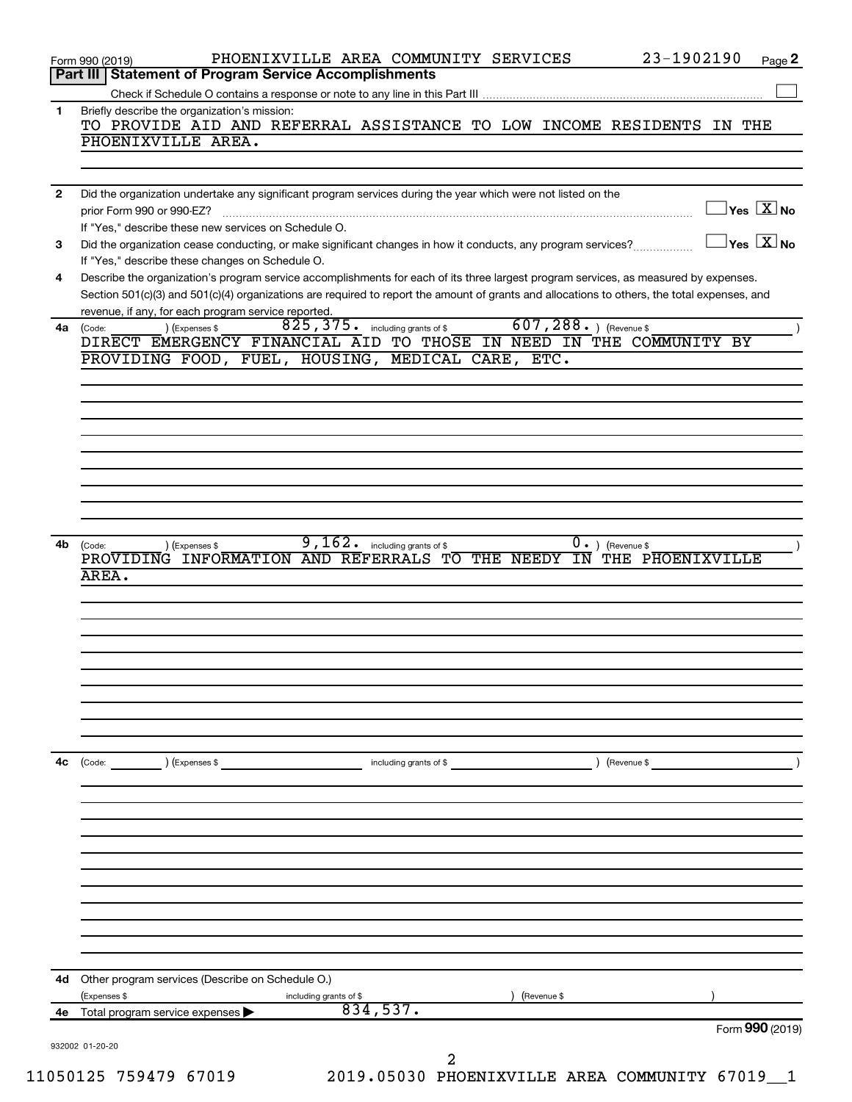|              | 23-1902190<br>PHOENIXVILLE AREA COMMUNITY SERVICES<br>Form 990 (2019)                                                                                                                                                                                                                |                                           | Page 2                               |
|--------------|--------------------------------------------------------------------------------------------------------------------------------------------------------------------------------------------------------------------------------------------------------------------------------------|-------------------------------------------|--------------------------------------|
|              | Part III   Statement of Program Service Accomplishments                                                                                                                                                                                                                              |                                           |                                      |
| 1            | Briefly describe the organization's mission:                                                                                                                                                                                                                                         |                                           |                                      |
|              | TO PROVIDE AID AND REFERRAL ASSISTANCE TO LOW INCOME RESIDENTS IN THE<br>PHOENIXVILLE AREA.                                                                                                                                                                                          |                                           |                                      |
|              |                                                                                                                                                                                                                                                                                      |                                           |                                      |
|              |                                                                                                                                                                                                                                                                                      |                                           |                                      |
| $\mathbf{2}$ | Did the organization undertake any significant program services during the year which were not listed on the                                                                                                                                                                         |                                           | $\sqrt{\mathsf{Yes}\ \mathbf{X}}$ No |
|              | prior Form 990 or 990-EZ?<br>If "Yes," describe these new services on Schedule O.                                                                                                                                                                                                    |                                           |                                      |
| 3            | Did the organization cease conducting, or make significant changes in how it conducts, any program services?                                                                                                                                                                         | $\overline{\ }$ Yes $\overline{\rm X}$ No |                                      |
|              | If "Yes," describe these changes on Schedule O.                                                                                                                                                                                                                                      |                                           |                                      |
| 4            | Describe the organization's program service accomplishments for each of its three largest program services, as measured by expenses.<br>Section 501(c)(3) and 501(c)(4) organizations are required to report the amount of grants and allocations to others, the total expenses, and |                                           |                                      |
|              | revenue, if any, for each program service reported.                                                                                                                                                                                                                                  |                                           |                                      |
| 4a           | $607, 288.$ ) (Revenue \$<br>825, 375. including grants of \$<br>) (Expenses \$<br>(Code:                                                                                                                                                                                            |                                           |                                      |
|              | DIRECT EMERGENCY FINANCIAL AID TO THOSE IN NEED IN THE COMMUNITY BY<br>PROVIDING FOOD, FUEL, HOUSING, MEDICAL CARE, ETC.                                                                                                                                                             |                                           |                                      |
|              |                                                                                                                                                                                                                                                                                      |                                           |                                      |
|              |                                                                                                                                                                                                                                                                                      |                                           |                                      |
|              |                                                                                                                                                                                                                                                                                      |                                           |                                      |
|              |                                                                                                                                                                                                                                                                                      |                                           |                                      |
|              |                                                                                                                                                                                                                                                                                      |                                           |                                      |
|              |                                                                                                                                                                                                                                                                                      |                                           |                                      |
|              |                                                                                                                                                                                                                                                                                      |                                           |                                      |
|              |                                                                                                                                                                                                                                                                                      |                                           |                                      |
| 4b           | 9,162.<br>$0.$ ) (Revenue \$<br>including grants of \$<br>) (Expenses \$<br>(Code:<br>PROVIDING INFORMATION AND REFERRALS TO THE NEEDY<br>IN THE PHOENIXVILLE                                                                                                                        |                                           |                                      |
|              | AREA.                                                                                                                                                                                                                                                                                |                                           |                                      |
|              |                                                                                                                                                                                                                                                                                      |                                           |                                      |
|              |                                                                                                                                                                                                                                                                                      |                                           |                                      |
|              |                                                                                                                                                                                                                                                                                      |                                           |                                      |
|              |                                                                                                                                                                                                                                                                                      |                                           |                                      |
|              |                                                                                                                                                                                                                                                                                      |                                           |                                      |
|              |                                                                                                                                                                                                                                                                                      |                                           |                                      |
|              |                                                                                                                                                                                                                                                                                      |                                           |                                      |
|              |                                                                                                                                                                                                                                                                                      |                                           |                                      |
| 4c           | ) (Expenses \$<br>) (Revenue \$<br>(Code:<br>including grants of \$                                                                                                                                                                                                                  |                                           |                                      |
|              |                                                                                                                                                                                                                                                                                      |                                           |                                      |
|              |                                                                                                                                                                                                                                                                                      |                                           |                                      |
|              |                                                                                                                                                                                                                                                                                      |                                           |                                      |
|              |                                                                                                                                                                                                                                                                                      |                                           |                                      |
|              |                                                                                                                                                                                                                                                                                      |                                           |                                      |
|              |                                                                                                                                                                                                                                                                                      |                                           |                                      |
|              |                                                                                                                                                                                                                                                                                      |                                           |                                      |
|              |                                                                                                                                                                                                                                                                                      |                                           |                                      |
|              | 4d Other program services (Describe on Schedule O.)                                                                                                                                                                                                                                  |                                           |                                      |
|              | (Expenses \$<br>Revenue \$<br>including grants of \$                                                                                                                                                                                                                                 |                                           |                                      |
| 4е           | 834,537.<br>Total program service expenses $\blacktriangleright$                                                                                                                                                                                                                     | Form 990 (2019)                           |                                      |
|              | 932002 01-20-20                                                                                                                                                                                                                                                                      |                                           |                                      |
|              | 2<br>050125 750470 67010<br>2010 AE030 DUORNIVUITTIR ADRA COMMUNIMUN 67010                                                                                                                                                                                                           |                                           |                                      |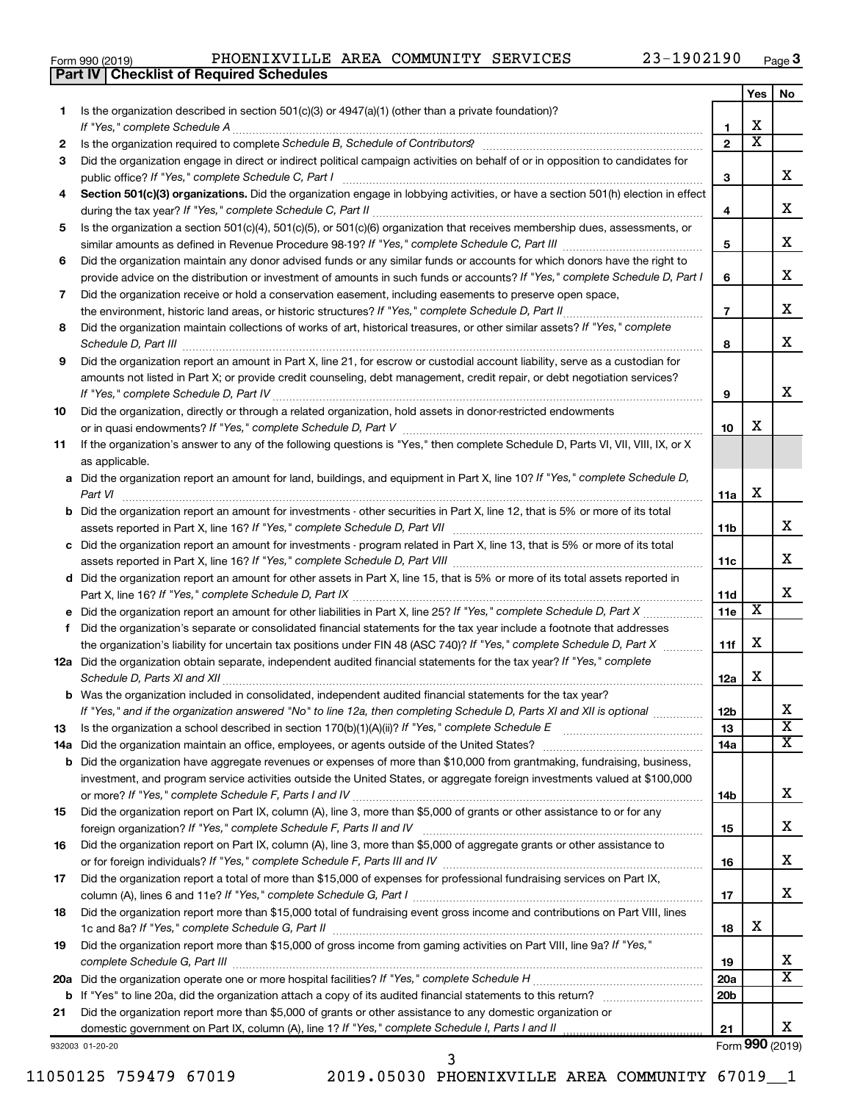|  | Form 990 (2019) |  |
|--|-----------------|--|
|  |                 |  |

**Part IV Checklist of Required Schedules**

|     |                                                                                                                                                                                                                                |                 | Yes                     | No                    |
|-----|--------------------------------------------------------------------------------------------------------------------------------------------------------------------------------------------------------------------------------|-----------------|-------------------------|-----------------------|
| 1   | Is the organization described in section $501(c)(3)$ or $4947(a)(1)$ (other than a private foundation)?                                                                                                                        |                 |                         |                       |
|     | If "Yes," complete Schedule A                                                                                                                                                                                                  | 1               | х                       |                       |
| 2   | Is the organization required to complete Schedule B, Schedule of Contributors? [11] The organization required to complete Schedule B, Schedule of Contributors? [11] The organization required to complete Schedule B, Schedul | $\overline{2}$  | $\overline{\textbf{x}}$ |                       |
| З   | Did the organization engage in direct or indirect political campaign activities on behalf of or in opposition to candidates for                                                                                                |                 |                         |                       |
|     | public office? If "Yes," complete Schedule C, Part I                                                                                                                                                                           | з               |                         | x                     |
|     | Section 501(c)(3) organizations. Did the organization engage in lobbying activities, or have a section 501(h) election in effect                                                                                               |                 |                         |                       |
|     |                                                                                                                                                                                                                                | 4               |                         | x                     |
| 5   | Is the organization a section 501(c)(4), 501(c)(5), or 501(c)(6) organization that receives membership dues, assessments, or                                                                                                   |                 |                         | x                     |
|     | Did the organization maintain any donor advised funds or any similar funds or accounts for which donors have the right to                                                                                                      | 5               |                         |                       |
| 6   | provide advice on the distribution or investment of amounts in such funds or accounts? If "Yes," complete Schedule D, Part I                                                                                                   | 6               |                         | x                     |
| 7   | Did the organization receive or hold a conservation easement, including easements to preserve open space,                                                                                                                      |                 |                         |                       |
|     |                                                                                                                                                                                                                                | $\overline{7}$  |                         | х                     |
| 8   | Did the organization maintain collections of works of art, historical treasures, or other similar assets? If "Yes," complete                                                                                                   |                 |                         |                       |
|     |                                                                                                                                                                                                                                | 8               |                         | x                     |
| 9   | Did the organization report an amount in Part X, line 21, for escrow or custodial account liability, serve as a custodian for                                                                                                  |                 |                         |                       |
|     | amounts not listed in Part X; or provide credit counseling, debt management, credit repair, or debt negotiation services?                                                                                                      |                 |                         |                       |
|     |                                                                                                                                                                                                                                | 9               |                         | x                     |
| 10  | Did the organization, directly or through a related organization, hold assets in donor-restricted endowments                                                                                                                   |                 |                         |                       |
|     |                                                                                                                                                                                                                                | 10              | х                       |                       |
| 11  | If the organization's answer to any of the following questions is "Yes," then complete Schedule D, Parts VI, VII, VIII, IX, or X                                                                                               |                 |                         |                       |
|     | as applicable.                                                                                                                                                                                                                 |                 |                         |                       |
|     | a Did the organization report an amount for land, buildings, and equipment in Part X, line 10? If "Yes," complete Schedule D,                                                                                                  |                 |                         |                       |
|     |                                                                                                                                                                                                                                | 11a             | х                       |                       |
|     | <b>b</b> Did the organization report an amount for investments - other securities in Part X, line 12, that is 5% or more of its total                                                                                          |                 |                         |                       |
|     |                                                                                                                                                                                                                                | 11b             |                         | x                     |
|     | c Did the organization report an amount for investments - program related in Part X, line 13, that is 5% or more of its total                                                                                                  |                 |                         |                       |
|     |                                                                                                                                                                                                                                | 11c             |                         | x                     |
|     | d Did the organization report an amount for other assets in Part X, line 15, that is 5% or more of its total assets reported in                                                                                                |                 |                         | x                     |
|     |                                                                                                                                                                                                                                | 11d<br>11e      | X                       |                       |
| f   | Did the organization's separate or consolidated financial statements for the tax year include a footnote that addresses                                                                                                        |                 |                         |                       |
|     | the organization's liability for uncertain tax positions under FIN 48 (ASC 740)? If "Yes," complete Schedule D, Part X                                                                                                         | 11f             | х                       |                       |
|     | 12a Did the organization obtain separate, independent audited financial statements for the tax year? If "Yes," complete                                                                                                        |                 |                         |                       |
|     | Schedule D, Parts XI and XII                                                                                                                                                                                                   | 12a             | х                       |                       |
|     | <b>b</b> Was the organization included in consolidated, independent audited financial statements for the tax year?                                                                                                             |                 |                         |                       |
|     | If "Yes," and if the organization answered "No" to line 12a, then completing Schedule D, Parts XI and XII is optional www.                                                                                                     | 12 <sub>b</sub> |                         | X                     |
| 13  | Is the organization a school described in section $170(b)(1)(A)(ii)?$ If "Yes," complete Schedule E                                                                                                                            | 13              |                         | $\overline{\text{x}}$ |
| 14a |                                                                                                                                                                                                                                | 14a             |                         | x                     |
|     | <b>b</b> Did the organization have aggregate revenues or expenses of more than \$10,000 from grantmaking, fundraising, business,                                                                                               |                 |                         |                       |
|     | investment, and program service activities outside the United States, or aggregate foreign investments valued at \$100,000                                                                                                     |                 |                         |                       |
|     |                                                                                                                                                                                                                                | 14b             |                         | x                     |
| 15  | Did the organization report on Part IX, column (A), line 3, more than \$5,000 of grants or other assistance to or for any                                                                                                      |                 |                         |                       |
|     |                                                                                                                                                                                                                                | 15              |                         | x                     |
| 16  | Did the organization report on Part IX, column (A), line 3, more than \$5,000 of aggregate grants or other assistance to                                                                                                       |                 |                         | x                     |
|     |                                                                                                                                                                                                                                | 16              |                         |                       |
| 17  | Did the organization report a total of more than \$15,000 of expenses for professional fundraising services on Part IX,                                                                                                        | 17              |                         | x                     |
| 18  | Did the organization report more than \$15,000 total of fundraising event gross income and contributions on Part VIII, lines                                                                                                   |                 |                         |                       |
|     |                                                                                                                                                                                                                                | 18              | х                       |                       |
| 19  | Did the organization report more than \$15,000 of gross income from gaming activities on Part VIII, line 9a? If "Yes,"                                                                                                         |                 |                         |                       |
|     |                                                                                                                                                                                                                                | 19              |                         | x                     |
|     |                                                                                                                                                                                                                                | 20a             |                         | x                     |
|     |                                                                                                                                                                                                                                | 20 <sub>b</sub> |                         |                       |
| 21  | Did the organization report more than \$5,000 of grants or other assistance to any domestic organization or                                                                                                                    |                 |                         |                       |
|     |                                                                                                                                                                                                                                | 21              |                         | x                     |
|     | 932003 01-20-20                                                                                                                                                                                                                |                 |                         | Form 990 (2019)       |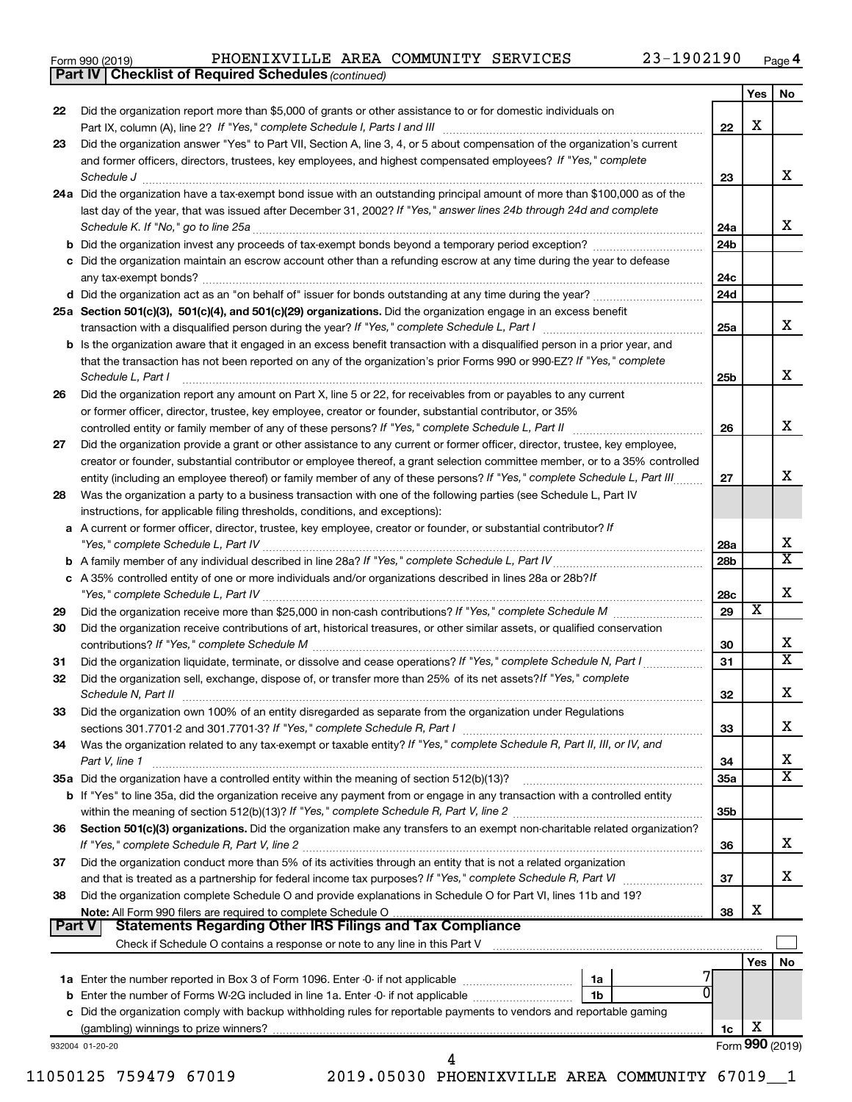| Form 990 (2019) |  |
|-----------------|--|
|-----------------|--|

*(continued)* **Part IV Checklist of Required Schedules**

|               |                                                                                                                                             |                 | Yes | No                      |
|---------------|---------------------------------------------------------------------------------------------------------------------------------------------|-----------------|-----|-------------------------|
| 22            | Did the organization report more than \$5,000 of grants or other assistance to or for domestic individuals on                               |                 |     |                         |
|               |                                                                                                                                             | 22              | X   |                         |
| 23            | Did the organization answer "Yes" to Part VII, Section A, line 3, 4, or 5 about compensation of the organization's current                  |                 |     |                         |
|               | and former officers, directors, trustees, key employees, and highest compensated employees? If "Yes," complete<br>Schedule J                | 23              |     | х                       |
|               | 24a Did the organization have a tax-exempt bond issue with an outstanding principal amount of more than \$100,000 as of the                 |                 |     |                         |
|               | last day of the year, that was issued after December 31, 2002? If "Yes," answer lines 24b through 24d and complete                          |                 |     |                         |
|               | Schedule K. If "No," go to line 25a                                                                                                         | 24a             |     | x                       |
|               |                                                                                                                                             | 24b             |     |                         |
|               | c Did the organization maintain an escrow account other than a refunding escrow at any time during the year to defease                      |                 |     |                         |
|               |                                                                                                                                             | 24c             |     |                         |
|               | d Did the organization act as an "on behalf of" issuer for bonds outstanding at any time during the year?                                   | 24d             |     |                         |
|               | 25a Section 501(c)(3), 501(c)(4), and 501(c)(29) organizations. Did the organization engage in an excess benefit                            |                 |     |                         |
|               |                                                                                                                                             | 25a             |     | x                       |
|               | <b>b</b> Is the organization aware that it engaged in an excess benefit transaction with a disqualified person in a prior year, and         |                 |     |                         |
|               | that the transaction has not been reported on any of the organization's prior Forms 990 or 990-EZ? If "Yes," complete<br>Schedule L, Part I | 25b             |     | х                       |
| 26            | Did the organization report any amount on Part X, line 5 or 22, for receivables from or payables to any current                             |                 |     |                         |
|               | or former officer, director, trustee, key employee, creator or founder, substantial contributor, or 35%                                     |                 |     |                         |
|               |                                                                                                                                             | 26              |     | x                       |
| 27            | Did the organization provide a grant or other assistance to any current or former officer, director, trustee, key employee,                 |                 |     |                         |
|               | creator or founder, substantial contributor or employee thereof, a grant selection committee member, or to a 35% controlled                 |                 |     |                         |
|               | entity (including an employee thereof) or family member of any of these persons? If "Yes," complete Schedule L, Part III                    | 27              |     | х                       |
| 28            | Was the organization a party to a business transaction with one of the following parties (see Schedule L, Part IV                           |                 |     |                         |
|               | instructions, for applicable filing thresholds, conditions, and exceptions):                                                                |                 |     |                         |
|               | a A current or former officer, director, trustee, key employee, creator or founder, or substantial contributor? If                          |                 |     |                         |
|               |                                                                                                                                             | 28a             |     | х                       |
|               |                                                                                                                                             | 28 <sub>b</sub> |     | $\overline{\texttt{x}}$ |
|               | c A 35% controlled entity of one or more individuals and/or organizations described in lines 28a or 28b?If                                  |                 |     | х                       |
|               |                                                                                                                                             | 28c<br>29       | х   |                         |
| 29            | Did the organization receive contributions of art, historical treasures, or other similar assets, or qualified conservation                 |                 |     |                         |
| 30            |                                                                                                                                             | 30              |     | х                       |
| 31            | Did the organization liquidate, terminate, or dissolve and cease operations? If "Yes," complete Schedule N, Part I                          | 31              |     | $\overline{\texttt{x}}$ |
| 32            | Did the organization sell, exchange, dispose of, or transfer more than 25% of its net assets? If "Yes," complete                            |                 |     |                         |
|               | Schedule N, Part II                                                                                                                         | 32              |     | x                       |
| 33            | Did the organization own 100% of an entity disregarded as separate from the organization under Regulations                                  |                 |     |                         |
|               |                                                                                                                                             | 33              |     | х                       |
| 34            | Was the organization related to any tax-exempt or taxable entity? If "Yes," complete Schedule R, Part II, III, or IV, and                   |                 |     |                         |
|               | Part V, line 1                                                                                                                              | 34              |     | х                       |
|               |                                                                                                                                             | 35a             |     | $\overline{\text{X}}$   |
|               | b If "Yes" to line 35a, did the organization receive any payment from or engage in any transaction with a controlled entity                 |                 |     |                         |
|               |                                                                                                                                             | 35 <sub>b</sub> |     |                         |
| 36            | Section 501(c)(3) organizations. Did the organization make any transfers to an exempt non-charitable related organization?                  |                 |     | х                       |
|               | Did the organization conduct more than 5% of its activities through an entity that is not a related organization                            | 36              |     |                         |
| 37            | and that is treated as a partnership for federal income tax purposes? If "Yes," complete Schedule R, Part VI                                | 37              |     | x                       |
| 38            | Did the organization complete Schedule O and provide explanations in Schedule O for Part VI, lines 11b and 19?                              |                 |     |                         |
|               |                                                                                                                                             | 38              | х   |                         |
| <b>Part V</b> | <b>Statements Regarding Other IRS Filings and Tax Compliance</b>                                                                            |                 |     |                         |
|               |                                                                                                                                             |                 |     |                         |
|               |                                                                                                                                             |                 | Yes | No                      |
|               | 1a                                                                                                                                          |                 |     |                         |
|               | 1b                                                                                                                                          |                 |     |                         |
|               | c Did the organization comply with backup withholding rules for reportable payments to vendors and reportable gaming                        |                 |     |                         |
|               |                                                                                                                                             | 1c              | х   |                         |
|               | 932004 01-20-20<br>4                                                                                                                        |                 |     | Form 990 (2019)         |
|               |                                                                                                                                             |                 |     |                         |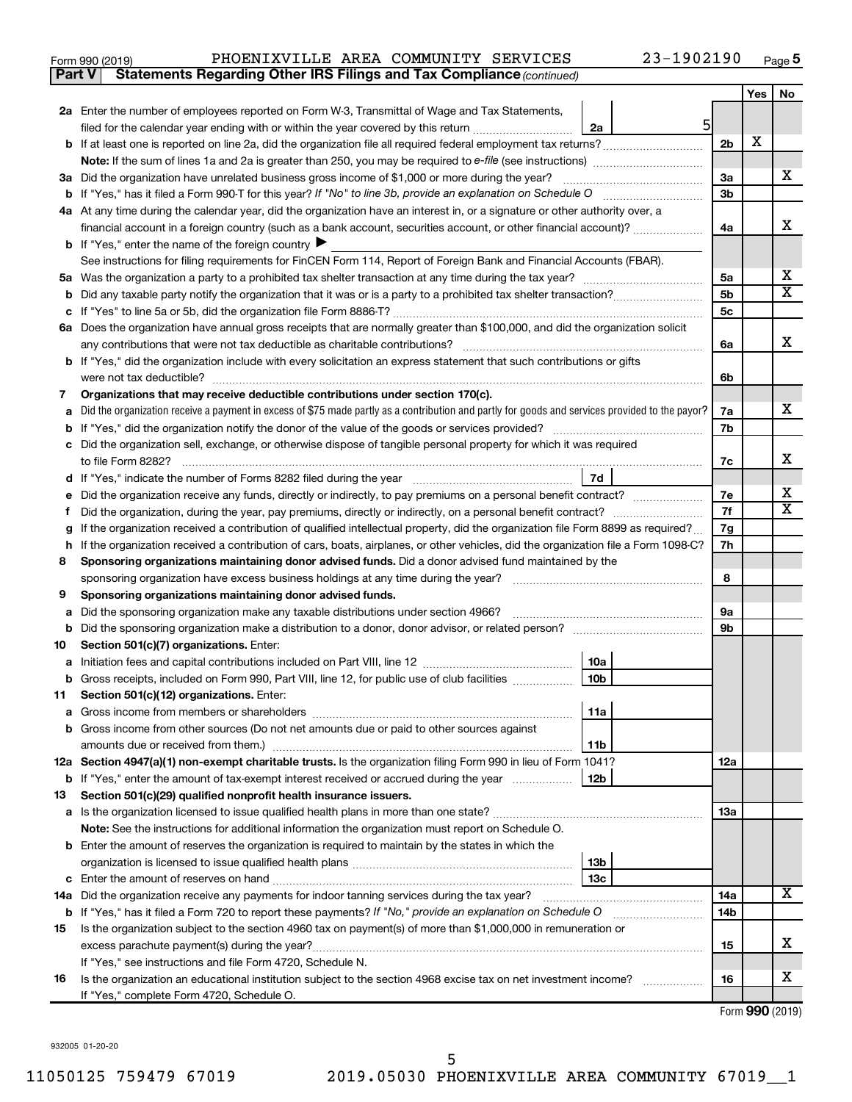| Form 990 (2019) | PHOENIXVILLE AREA COMMUNITY SERVICES                                                |  | 23-1902190 | Page |
|-----------------|-------------------------------------------------------------------------------------|--|------------|------|
|                 | <b>Part V</b> Statements Regarding Other IRS Filings and Tax Compliance (continued) |  |            |      |

| 2a Enter the number of employees reported on Form W-3, Transmittal of Wage and Tax Statements,<br>5<br>filed for the calendar year ending with or within the year covered by this return <i>[[[[[[[[[[[[[[[]]]]</i> ]]<br>2a<br>2 <sub>b</sub><br>3a Did the organization have unrelated business gross income of \$1,000 or more during the year?<br>За<br>3 <sub>b</sub><br>4a At any time during the calendar year, did the organization have an interest in, or a signature or other authority over, a<br>financial account in a foreign country (such as a bank account, securities account, or other financial account)?<br>4a<br><b>b</b> If "Yes," enter the name of the foreign country $\blacktriangleright$<br>See instructions for filing requirements for FinCEN Form 114, Report of Foreign Bank and Financial Accounts (FBAR).<br>5a<br>5а<br>5 <sub>b</sub><br>b<br>5c<br>6a Does the organization have annual gross receipts that are normally greater than \$100,000, and did the organization solicit<br>any contributions that were not tax deductible as charitable contributions?<br>6a<br>b If "Yes," did the organization include with every solicitation an express statement that such contributions or gifts<br>6b<br>Organizations that may receive deductible contributions under section 170(c).<br>7<br>Did the organization receive a payment in excess of \$75 made partly as a contribution and partly for goods and services provided to the payor?<br>7a<br>7b<br>Did the organization sell, exchange, or otherwise dispose of tangible personal property for which it was required<br>7c<br>7d<br>d<br>Did the organization receive any funds, directly or indirectly, to pay premiums on a personal benefit contract?<br>7е<br>7f<br>Did the organization, during the year, pay premiums, directly or indirectly, on a personal benefit contract?<br>Ť.<br>If the organization received a contribution of qualified intellectual property, did the organization file Form 8899 as required?<br>7g<br>7h<br>If the organization received a contribution of cars, boats, airplanes, or other vehicles, did the organization file a Form 1098-C?<br>h<br>Sponsoring organizations maintaining donor advised funds. Did a donor advised fund maintained by the<br>8<br>8<br>9<br>Sponsoring organizations maintaining donor advised funds.<br><b>9a</b><br>Did the sponsoring organization make any taxable distributions under section 4966?<br>а<br>9b<br>b<br>10<br>Section 501(c)(7) organizations. Enter: | X | x<br>x<br>х<br>x<br>x |
|--------------------------------------------------------------------------------------------------------------------------------------------------------------------------------------------------------------------------------------------------------------------------------------------------------------------------------------------------------------------------------------------------------------------------------------------------------------------------------------------------------------------------------------------------------------------------------------------------------------------------------------------------------------------------------------------------------------------------------------------------------------------------------------------------------------------------------------------------------------------------------------------------------------------------------------------------------------------------------------------------------------------------------------------------------------------------------------------------------------------------------------------------------------------------------------------------------------------------------------------------------------------------------------------------------------------------------------------------------------------------------------------------------------------------------------------------------------------------------------------------------------------------------------------------------------------------------------------------------------------------------------------------------------------------------------------------------------------------------------------------------------------------------------------------------------------------------------------------------------------------------------------------------------------------------------------------------------------------------------------------------------------------------------------------------------------------------------------------------------------------------------------------------------------------------------------------------------------------------------------------------------------------------------------------------------------------------------------------------------------------------------------------------------------------------------------------------------------------------------------------------------------------------------------------|---|-----------------------|
|                                                                                                                                                                                                                                                                                                                                                                                                                                                                                                                                                                                                                                                                                                                                                                                                                                                                                                                                                                                                                                                                                                                                                                                                                                                                                                                                                                                                                                                                                                                                                                                                                                                                                                                                                                                                                                                                                                                                                                                                                                                                                                                                                                                                                                                                                                                                                                                                                                                                                                                                                  |   |                       |
|                                                                                                                                                                                                                                                                                                                                                                                                                                                                                                                                                                                                                                                                                                                                                                                                                                                                                                                                                                                                                                                                                                                                                                                                                                                                                                                                                                                                                                                                                                                                                                                                                                                                                                                                                                                                                                                                                                                                                                                                                                                                                                                                                                                                                                                                                                                                                                                                                                                                                                                                                  |   |                       |
|                                                                                                                                                                                                                                                                                                                                                                                                                                                                                                                                                                                                                                                                                                                                                                                                                                                                                                                                                                                                                                                                                                                                                                                                                                                                                                                                                                                                                                                                                                                                                                                                                                                                                                                                                                                                                                                                                                                                                                                                                                                                                                                                                                                                                                                                                                                                                                                                                                                                                                                                                  |   |                       |
|                                                                                                                                                                                                                                                                                                                                                                                                                                                                                                                                                                                                                                                                                                                                                                                                                                                                                                                                                                                                                                                                                                                                                                                                                                                                                                                                                                                                                                                                                                                                                                                                                                                                                                                                                                                                                                                                                                                                                                                                                                                                                                                                                                                                                                                                                                                                                                                                                                                                                                                                                  |   |                       |
|                                                                                                                                                                                                                                                                                                                                                                                                                                                                                                                                                                                                                                                                                                                                                                                                                                                                                                                                                                                                                                                                                                                                                                                                                                                                                                                                                                                                                                                                                                                                                                                                                                                                                                                                                                                                                                                                                                                                                                                                                                                                                                                                                                                                                                                                                                                                                                                                                                                                                                                                                  |   |                       |
|                                                                                                                                                                                                                                                                                                                                                                                                                                                                                                                                                                                                                                                                                                                                                                                                                                                                                                                                                                                                                                                                                                                                                                                                                                                                                                                                                                                                                                                                                                                                                                                                                                                                                                                                                                                                                                                                                                                                                                                                                                                                                                                                                                                                                                                                                                                                                                                                                                                                                                                                                  |   |                       |
|                                                                                                                                                                                                                                                                                                                                                                                                                                                                                                                                                                                                                                                                                                                                                                                                                                                                                                                                                                                                                                                                                                                                                                                                                                                                                                                                                                                                                                                                                                                                                                                                                                                                                                                                                                                                                                                                                                                                                                                                                                                                                                                                                                                                                                                                                                                                                                                                                                                                                                                                                  |   |                       |
|                                                                                                                                                                                                                                                                                                                                                                                                                                                                                                                                                                                                                                                                                                                                                                                                                                                                                                                                                                                                                                                                                                                                                                                                                                                                                                                                                                                                                                                                                                                                                                                                                                                                                                                                                                                                                                                                                                                                                                                                                                                                                                                                                                                                                                                                                                                                                                                                                                                                                                                                                  |   |                       |
|                                                                                                                                                                                                                                                                                                                                                                                                                                                                                                                                                                                                                                                                                                                                                                                                                                                                                                                                                                                                                                                                                                                                                                                                                                                                                                                                                                                                                                                                                                                                                                                                                                                                                                                                                                                                                                                                                                                                                                                                                                                                                                                                                                                                                                                                                                                                                                                                                                                                                                                                                  |   |                       |
|                                                                                                                                                                                                                                                                                                                                                                                                                                                                                                                                                                                                                                                                                                                                                                                                                                                                                                                                                                                                                                                                                                                                                                                                                                                                                                                                                                                                                                                                                                                                                                                                                                                                                                                                                                                                                                                                                                                                                                                                                                                                                                                                                                                                                                                                                                                                                                                                                                                                                                                                                  |   |                       |
|                                                                                                                                                                                                                                                                                                                                                                                                                                                                                                                                                                                                                                                                                                                                                                                                                                                                                                                                                                                                                                                                                                                                                                                                                                                                                                                                                                                                                                                                                                                                                                                                                                                                                                                                                                                                                                                                                                                                                                                                                                                                                                                                                                                                                                                                                                                                                                                                                                                                                                                                                  |   |                       |
|                                                                                                                                                                                                                                                                                                                                                                                                                                                                                                                                                                                                                                                                                                                                                                                                                                                                                                                                                                                                                                                                                                                                                                                                                                                                                                                                                                                                                                                                                                                                                                                                                                                                                                                                                                                                                                                                                                                                                                                                                                                                                                                                                                                                                                                                                                                                                                                                                                                                                                                                                  |   |                       |
|                                                                                                                                                                                                                                                                                                                                                                                                                                                                                                                                                                                                                                                                                                                                                                                                                                                                                                                                                                                                                                                                                                                                                                                                                                                                                                                                                                                                                                                                                                                                                                                                                                                                                                                                                                                                                                                                                                                                                                                                                                                                                                                                                                                                                                                                                                                                                                                                                                                                                                                                                  |   |                       |
|                                                                                                                                                                                                                                                                                                                                                                                                                                                                                                                                                                                                                                                                                                                                                                                                                                                                                                                                                                                                                                                                                                                                                                                                                                                                                                                                                                                                                                                                                                                                                                                                                                                                                                                                                                                                                                                                                                                                                                                                                                                                                                                                                                                                                                                                                                                                                                                                                                                                                                                                                  |   |                       |
|                                                                                                                                                                                                                                                                                                                                                                                                                                                                                                                                                                                                                                                                                                                                                                                                                                                                                                                                                                                                                                                                                                                                                                                                                                                                                                                                                                                                                                                                                                                                                                                                                                                                                                                                                                                                                                                                                                                                                                                                                                                                                                                                                                                                                                                                                                                                                                                                                                                                                                                                                  |   |                       |
|                                                                                                                                                                                                                                                                                                                                                                                                                                                                                                                                                                                                                                                                                                                                                                                                                                                                                                                                                                                                                                                                                                                                                                                                                                                                                                                                                                                                                                                                                                                                                                                                                                                                                                                                                                                                                                                                                                                                                                                                                                                                                                                                                                                                                                                                                                                                                                                                                                                                                                                                                  |   |                       |
|                                                                                                                                                                                                                                                                                                                                                                                                                                                                                                                                                                                                                                                                                                                                                                                                                                                                                                                                                                                                                                                                                                                                                                                                                                                                                                                                                                                                                                                                                                                                                                                                                                                                                                                                                                                                                                                                                                                                                                                                                                                                                                                                                                                                                                                                                                                                                                                                                                                                                                                                                  |   |                       |
|                                                                                                                                                                                                                                                                                                                                                                                                                                                                                                                                                                                                                                                                                                                                                                                                                                                                                                                                                                                                                                                                                                                                                                                                                                                                                                                                                                                                                                                                                                                                                                                                                                                                                                                                                                                                                                                                                                                                                                                                                                                                                                                                                                                                                                                                                                                                                                                                                                                                                                                                                  |   | x                     |
|                                                                                                                                                                                                                                                                                                                                                                                                                                                                                                                                                                                                                                                                                                                                                                                                                                                                                                                                                                                                                                                                                                                                                                                                                                                                                                                                                                                                                                                                                                                                                                                                                                                                                                                                                                                                                                                                                                                                                                                                                                                                                                                                                                                                                                                                                                                                                                                                                                                                                                                                                  |   |                       |
|                                                                                                                                                                                                                                                                                                                                                                                                                                                                                                                                                                                                                                                                                                                                                                                                                                                                                                                                                                                                                                                                                                                                                                                                                                                                                                                                                                                                                                                                                                                                                                                                                                                                                                                                                                                                                                                                                                                                                                                                                                                                                                                                                                                                                                                                                                                                                                                                                                                                                                                                                  |   |                       |
|                                                                                                                                                                                                                                                                                                                                                                                                                                                                                                                                                                                                                                                                                                                                                                                                                                                                                                                                                                                                                                                                                                                                                                                                                                                                                                                                                                                                                                                                                                                                                                                                                                                                                                                                                                                                                                                                                                                                                                                                                                                                                                                                                                                                                                                                                                                                                                                                                                                                                                                                                  |   | x                     |
|                                                                                                                                                                                                                                                                                                                                                                                                                                                                                                                                                                                                                                                                                                                                                                                                                                                                                                                                                                                                                                                                                                                                                                                                                                                                                                                                                                                                                                                                                                                                                                                                                                                                                                                                                                                                                                                                                                                                                                                                                                                                                                                                                                                                                                                                                                                                                                                                                                                                                                                                                  |   |                       |
|                                                                                                                                                                                                                                                                                                                                                                                                                                                                                                                                                                                                                                                                                                                                                                                                                                                                                                                                                                                                                                                                                                                                                                                                                                                                                                                                                                                                                                                                                                                                                                                                                                                                                                                                                                                                                                                                                                                                                                                                                                                                                                                                                                                                                                                                                                                                                                                                                                                                                                                                                  |   | x                     |
|                                                                                                                                                                                                                                                                                                                                                                                                                                                                                                                                                                                                                                                                                                                                                                                                                                                                                                                                                                                                                                                                                                                                                                                                                                                                                                                                                                                                                                                                                                                                                                                                                                                                                                                                                                                                                                                                                                                                                                                                                                                                                                                                                                                                                                                                                                                                                                                                                                                                                                                                                  |   | x                     |
|                                                                                                                                                                                                                                                                                                                                                                                                                                                                                                                                                                                                                                                                                                                                                                                                                                                                                                                                                                                                                                                                                                                                                                                                                                                                                                                                                                                                                                                                                                                                                                                                                                                                                                                                                                                                                                                                                                                                                                                                                                                                                                                                                                                                                                                                                                                                                                                                                                                                                                                                                  |   |                       |
|                                                                                                                                                                                                                                                                                                                                                                                                                                                                                                                                                                                                                                                                                                                                                                                                                                                                                                                                                                                                                                                                                                                                                                                                                                                                                                                                                                                                                                                                                                                                                                                                                                                                                                                                                                                                                                                                                                                                                                                                                                                                                                                                                                                                                                                                                                                                                                                                                                                                                                                                                  |   |                       |
|                                                                                                                                                                                                                                                                                                                                                                                                                                                                                                                                                                                                                                                                                                                                                                                                                                                                                                                                                                                                                                                                                                                                                                                                                                                                                                                                                                                                                                                                                                                                                                                                                                                                                                                                                                                                                                                                                                                                                                                                                                                                                                                                                                                                                                                                                                                                                                                                                                                                                                                                                  |   |                       |
|                                                                                                                                                                                                                                                                                                                                                                                                                                                                                                                                                                                                                                                                                                                                                                                                                                                                                                                                                                                                                                                                                                                                                                                                                                                                                                                                                                                                                                                                                                                                                                                                                                                                                                                                                                                                                                                                                                                                                                                                                                                                                                                                                                                                                                                                                                                                                                                                                                                                                                                                                  |   |                       |
|                                                                                                                                                                                                                                                                                                                                                                                                                                                                                                                                                                                                                                                                                                                                                                                                                                                                                                                                                                                                                                                                                                                                                                                                                                                                                                                                                                                                                                                                                                                                                                                                                                                                                                                                                                                                                                                                                                                                                                                                                                                                                                                                                                                                                                                                                                                                                                                                                                                                                                                                                  |   |                       |
|                                                                                                                                                                                                                                                                                                                                                                                                                                                                                                                                                                                                                                                                                                                                                                                                                                                                                                                                                                                                                                                                                                                                                                                                                                                                                                                                                                                                                                                                                                                                                                                                                                                                                                                                                                                                                                                                                                                                                                                                                                                                                                                                                                                                                                                                                                                                                                                                                                                                                                                                                  |   |                       |
|                                                                                                                                                                                                                                                                                                                                                                                                                                                                                                                                                                                                                                                                                                                                                                                                                                                                                                                                                                                                                                                                                                                                                                                                                                                                                                                                                                                                                                                                                                                                                                                                                                                                                                                                                                                                                                                                                                                                                                                                                                                                                                                                                                                                                                                                                                                                                                                                                                                                                                                                                  |   |                       |
| 10a<br>а                                                                                                                                                                                                                                                                                                                                                                                                                                                                                                                                                                                                                                                                                                                                                                                                                                                                                                                                                                                                                                                                                                                                                                                                                                                                                                                                                                                                                                                                                                                                                                                                                                                                                                                                                                                                                                                                                                                                                                                                                                                                                                                                                                                                                                                                                                                                                                                                                                                                                                                                         |   |                       |
| 10 <sub>b</sub><br>Gross receipts, included on Form 990, Part VIII, line 12, for public use of club facilities <i>manamerous</i><br>b                                                                                                                                                                                                                                                                                                                                                                                                                                                                                                                                                                                                                                                                                                                                                                                                                                                                                                                                                                                                                                                                                                                                                                                                                                                                                                                                                                                                                                                                                                                                                                                                                                                                                                                                                                                                                                                                                                                                                                                                                                                                                                                                                                                                                                                                                                                                                                                                            |   |                       |
| Section 501(c)(12) organizations. Enter:<br>11                                                                                                                                                                                                                                                                                                                                                                                                                                                                                                                                                                                                                                                                                                                                                                                                                                                                                                                                                                                                                                                                                                                                                                                                                                                                                                                                                                                                                                                                                                                                                                                                                                                                                                                                                                                                                                                                                                                                                                                                                                                                                                                                                                                                                                                                                                                                                                                                                                                                                                   |   |                       |
| 11a                                                                                                                                                                                                                                                                                                                                                                                                                                                                                                                                                                                                                                                                                                                                                                                                                                                                                                                                                                                                                                                                                                                                                                                                                                                                                                                                                                                                                                                                                                                                                                                                                                                                                                                                                                                                                                                                                                                                                                                                                                                                                                                                                                                                                                                                                                                                                                                                                                                                                                                                              |   |                       |
| b Gross income from other sources (Do not net amounts due or paid to other sources against                                                                                                                                                                                                                                                                                                                                                                                                                                                                                                                                                                                                                                                                                                                                                                                                                                                                                                                                                                                                                                                                                                                                                                                                                                                                                                                                                                                                                                                                                                                                                                                                                                                                                                                                                                                                                                                                                                                                                                                                                                                                                                                                                                                                                                                                                                                                                                                                                                                       |   |                       |
| 11b                                                                                                                                                                                                                                                                                                                                                                                                                                                                                                                                                                                                                                                                                                                                                                                                                                                                                                                                                                                                                                                                                                                                                                                                                                                                                                                                                                                                                                                                                                                                                                                                                                                                                                                                                                                                                                                                                                                                                                                                                                                                                                                                                                                                                                                                                                                                                                                                                                                                                                                                              |   |                       |
| 12a Section 4947(a)(1) non-exempt charitable trusts. Is the organization filing Form 990 in lieu of Form 1041?<br>12a                                                                                                                                                                                                                                                                                                                                                                                                                                                                                                                                                                                                                                                                                                                                                                                                                                                                                                                                                                                                                                                                                                                                                                                                                                                                                                                                                                                                                                                                                                                                                                                                                                                                                                                                                                                                                                                                                                                                                                                                                                                                                                                                                                                                                                                                                                                                                                                                                            |   |                       |
| <b>b</b> If "Yes," enter the amount of tax-exempt interest received or accrued during the year<br>12b                                                                                                                                                                                                                                                                                                                                                                                                                                                                                                                                                                                                                                                                                                                                                                                                                                                                                                                                                                                                                                                                                                                                                                                                                                                                                                                                                                                                                                                                                                                                                                                                                                                                                                                                                                                                                                                                                                                                                                                                                                                                                                                                                                                                                                                                                                                                                                                                                                            |   |                       |
| Section 501(c)(29) qualified nonprofit health insurance issuers.<br>13                                                                                                                                                                                                                                                                                                                                                                                                                                                                                                                                                                                                                                                                                                                                                                                                                                                                                                                                                                                                                                                                                                                                                                                                                                                                                                                                                                                                                                                                                                                                                                                                                                                                                                                                                                                                                                                                                                                                                                                                                                                                                                                                                                                                                                                                                                                                                                                                                                                                           |   |                       |
| <b>13a</b><br>a Is the organization licensed to issue qualified health plans in more than one state?                                                                                                                                                                                                                                                                                                                                                                                                                                                                                                                                                                                                                                                                                                                                                                                                                                                                                                                                                                                                                                                                                                                                                                                                                                                                                                                                                                                                                                                                                                                                                                                                                                                                                                                                                                                                                                                                                                                                                                                                                                                                                                                                                                                                                                                                                                                                                                                                                                             |   |                       |
| Note: See the instructions for additional information the organization must report on Schedule O.                                                                                                                                                                                                                                                                                                                                                                                                                                                                                                                                                                                                                                                                                                                                                                                                                                                                                                                                                                                                                                                                                                                                                                                                                                                                                                                                                                                                                                                                                                                                                                                                                                                                                                                                                                                                                                                                                                                                                                                                                                                                                                                                                                                                                                                                                                                                                                                                                                                |   |                       |
| <b>b</b> Enter the amount of reserves the organization is required to maintain by the states in which the                                                                                                                                                                                                                                                                                                                                                                                                                                                                                                                                                                                                                                                                                                                                                                                                                                                                                                                                                                                                                                                                                                                                                                                                                                                                                                                                                                                                                                                                                                                                                                                                                                                                                                                                                                                                                                                                                                                                                                                                                                                                                                                                                                                                                                                                                                                                                                                                                                        |   |                       |
| 13b                                                                                                                                                                                                                                                                                                                                                                                                                                                                                                                                                                                                                                                                                                                                                                                                                                                                                                                                                                                                                                                                                                                                                                                                                                                                                                                                                                                                                                                                                                                                                                                                                                                                                                                                                                                                                                                                                                                                                                                                                                                                                                                                                                                                                                                                                                                                                                                                                                                                                                                                              |   |                       |
| 13 <sub>c</sub>                                                                                                                                                                                                                                                                                                                                                                                                                                                                                                                                                                                                                                                                                                                                                                                                                                                                                                                                                                                                                                                                                                                                                                                                                                                                                                                                                                                                                                                                                                                                                                                                                                                                                                                                                                                                                                                                                                                                                                                                                                                                                                                                                                                                                                                                                                                                                                                                                                                                                                                                  |   | x                     |
| 14a Did the organization receive any payments for indoor tanning services during the tax year?<br>14a                                                                                                                                                                                                                                                                                                                                                                                                                                                                                                                                                                                                                                                                                                                                                                                                                                                                                                                                                                                                                                                                                                                                                                                                                                                                                                                                                                                                                                                                                                                                                                                                                                                                                                                                                                                                                                                                                                                                                                                                                                                                                                                                                                                                                                                                                                                                                                                                                                            |   |                       |
| 14 <sub>b</sub><br><b>b</b> If "Yes," has it filed a Form 720 to report these payments? If "No," provide an explanation on Schedule O                                                                                                                                                                                                                                                                                                                                                                                                                                                                                                                                                                                                                                                                                                                                                                                                                                                                                                                                                                                                                                                                                                                                                                                                                                                                                                                                                                                                                                                                                                                                                                                                                                                                                                                                                                                                                                                                                                                                                                                                                                                                                                                                                                                                                                                                                                                                                                                                            |   |                       |
| Is the organization subject to the section 4960 tax on payment(s) of more than \$1,000,000 in remuneration or<br>15<br>15                                                                                                                                                                                                                                                                                                                                                                                                                                                                                                                                                                                                                                                                                                                                                                                                                                                                                                                                                                                                                                                                                                                                                                                                                                                                                                                                                                                                                                                                                                                                                                                                                                                                                                                                                                                                                                                                                                                                                                                                                                                                                                                                                                                                                                                                                                                                                                                                                        |   | x                     |
| If "Yes," see instructions and file Form 4720, Schedule N.                                                                                                                                                                                                                                                                                                                                                                                                                                                                                                                                                                                                                                                                                                                                                                                                                                                                                                                                                                                                                                                                                                                                                                                                                                                                                                                                                                                                                                                                                                                                                                                                                                                                                                                                                                                                                                                                                                                                                                                                                                                                                                                                                                                                                                                                                                                                                                                                                                                                                       |   |                       |
| Is the organization an educational institution subject to the section 4968 excise tax on net investment income?<br>16<br>16                                                                                                                                                                                                                                                                                                                                                                                                                                                                                                                                                                                                                                                                                                                                                                                                                                                                                                                                                                                                                                                                                                                                                                                                                                                                                                                                                                                                                                                                                                                                                                                                                                                                                                                                                                                                                                                                                                                                                                                                                                                                                                                                                                                                                                                                                                                                                                                                                      |   | x                     |
| If "Yes," complete Form 4720, Schedule O.                                                                                                                                                                                                                                                                                                                                                                                                                                                                                                                                                                                                                                                                                                                                                                                                                                                                                                                                                                                                                                                                                                                                                                                                                                                                                                                                                                                                                                                                                                                                                                                                                                                                                                                                                                                                                                                                                                                                                                                                                                                                                                                                                                                                                                                                                                                                                                                                                                                                                                        |   |                       |

Form (2019) **990**

932005 01-20-20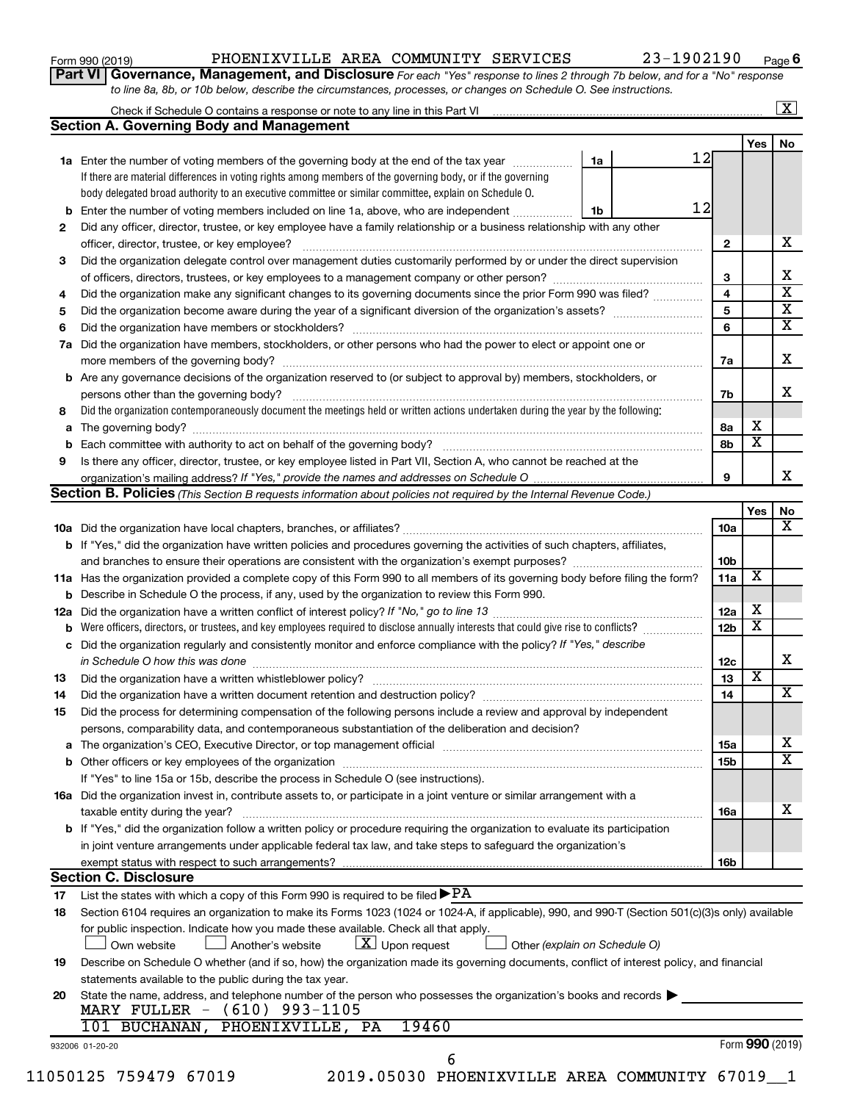| Form 990 (2019) |  |
|-----------------|--|
|-----------------|--|

### Form 990 (2019) PHOENIXVILLE AREA COMMUNITY SERVICES 23-1902190 <sub>Page</sub>

**Part VI** Governance, Management, and Disclosure For each "Yes" response to lines 2 through 7b below, and for a "No" response *to line 8a, 8b, or 10b below, describe the circumstances, processes, or changes on Schedule O. See instructions.*

|     | Check if Schedule O contains a response or note to any line in this Part VI                                                                      |    |                 |                         |                         | $\overline{\mathbf{X}}$ |
|-----|--------------------------------------------------------------------------------------------------------------------------------------------------|----|-----------------|-------------------------|-------------------------|-------------------------|
|     | <b>Section A. Governing Body and Management</b>                                                                                                  |    |                 |                         |                         |                         |
|     |                                                                                                                                                  |    |                 |                         | Yes                     | No                      |
|     | 1a Enter the number of voting members of the governing body at the end of the tax year                                                           | 1a | 12              |                         |                         |                         |
|     | If there are material differences in voting rights among members of the governing body, or if the governing                                      |    |                 |                         |                         |                         |
|     | body delegated broad authority to an executive committee or similar committee, explain on Schedule O.                                            |    |                 |                         |                         |                         |
|     | <b>b</b> Enter the number of voting members included on line 1a, above, who are independent                                                      | 1b | 12              |                         |                         |                         |
| 2   | Did any officer, director, trustee, or key employee have a family relationship or a business relationship with any other                         |    |                 |                         |                         |                         |
|     |                                                                                                                                                  |    | $\mathbf{2}$    |                         |                         | x                       |
| 3   | Did the organization delegate control over management duties customarily performed by or under the direct supervision                            |    |                 |                         |                         |                         |
|     |                                                                                                                                                  |    | 3               |                         |                         |                         |
| 4   | Did the organization make any significant changes to its governing documents since the prior Form 990 was filed?                                 |    | 4               |                         |                         |                         |
| 5   |                                                                                                                                                  |    | 5               |                         |                         |                         |
| 6   |                                                                                                                                                  |    | 6               |                         |                         |                         |
| 7a  | Did the organization have members, stockholders, or other persons who had the power to elect or appoint one or                                   |    |                 |                         |                         |                         |
|     |                                                                                                                                                  |    | 7a              |                         |                         |                         |
|     | <b>b</b> Are any governance decisions of the organization reserved to (or subject to approval by) members, stockholders, or                      |    |                 |                         |                         |                         |
|     | persons other than the governing body?                                                                                                           |    | 7b              |                         |                         |                         |
| 8   | Did the organization contemporaneously document the meetings held or written actions undertaken during the year by the following:                |    |                 |                         |                         |                         |
| а   |                                                                                                                                                  |    | 8а              | X                       |                         |                         |
|     |                                                                                                                                                  |    | 8b              |                         | $\overline{\textbf{x}}$ |                         |
| 9   | Is there any officer, director, trustee, or key employee listed in Part VII, Section A, who cannot be reached at the                             |    |                 |                         |                         |                         |
|     |                                                                                                                                                  |    | 9               |                         |                         |                         |
|     | <b>Section B. Policies</b> (This Section B requests information about policies not required by the Internal Revenue Code.)                       |    |                 |                         |                         |                         |
|     |                                                                                                                                                  |    |                 |                         | Yes                     |                         |
|     |                                                                                                                                                  |    | 10a             |                         |                         |                         |
|     | b If "Yes," did the organization have written policies and procedures governing the activities of such chapters, affiliates,                     |    |                 |                         |                         |                         |
|     |                                                                                                                                                  |    | 10 <sub>b</sub> |                         |                         |                         |
|     | 11a Has the organization provided a complete copy of this Form 990 to all members of its governing body before filing the form?                  |    | 11a             | X                       |                         |                         |
|     | <b>b</b> Describe in Schedule O the process, if any, used by the organization to review this Form 990.                                           |    |                 |                         |                         |                         |
| 12a |                                                                                                                                                  |    | 12a             | Х                       |                         |                         |
|     | Were officers, directors, or trustees, and key employees required to disclose annually interests that could give rise to conflicts?              |    | 12 <sub>b</sub> | $\overline{\textbf{x}}$ |                         |                         |
|     | c Did the organization regularly and consistently monitor and enforce compliance with the policy? If "Yes," describe                             |    |                 |                         |                         |                         |
|     | in Schedule O how this was done manufactured and continuum control of the state of the state of the state of t                                   |    | 12c             |                         |                         |                         |
| 13  |                                                                                                                                                  |    | 13              | $\overline{\mathbf{x}}$ |                         |                         |
| 14  |                                                                                                                                                  |    | 14              |                         |                         |                         |
| 15  | Did the process for determining compensation of the following persons include a review and approval by independent                               |    |                 |                         |                         |                         |
|     | persons, comparability data, and contemporaneous substantiation of the deliberation and decision?                                                |    |                 |                         |                         |                         |
|     |                                                                                                                                                  |    | 15a             |                         |                         |                         |
|     |                                                                                                                                                  |    | 15b             |                         |                         |                         |
|     | If "Yes" to line 15a or 15b, describe the process in Schedule O (see instructions).                                                              |    |                 |                         |                         |                         |
|     | 16a Did the organization invest in, contribute assets to, or participate in a joint venture or similar arrangement with a                        |    |                 |                         |                         |                         |
|     | taxable entity during the year?                                                                                                                  |    | <b>16a</b>      |                         |                         |                         |
|     | <b>b</b> If "Yes," did the organization follow a written policy or procedure requiring the organization to evaluate its participation            |    |                 |                         |                         |                         |
|     | in joint venture arrangements under applicable federal tax law, and take steps to safeguard the organization's                                   |    |                 |                         |                         |                         |
|     |                                                                                                                                                  |    | 16b             |                         |                         |                         |
|     | <b>Section C. Disclosure</b>                                                                                                                     |    |                 |                         |                         |                         |
| 17  | List the states with which a copy of this Form 990 is required to be filed $\blacktriangleright$ PA                                              |    |                 |                         |                         |                         |
| 18  | Section 6104 requires an organization to make its Forms 1023 (1024 or 1024-A, if applicable), 990, and 990-T (Section 501(c)(3)s only) available |    |                 |                         |                         |                         |
|     | for public inspection. Indicate how you made these available. Check all that apply.                                                              |    |                 |                         |                         |                         |
|     | $\lfloor x \rfloor$ Upon request<br>Another's website<br>Other (explain on Schedule O)<br>Own website                                            |    |                 |                         |                         |                         |
| 19  | Describe on Schedule O whether (and if so, how) the organization made its governing documents, conflict of interest policy, and financial        |    |                 |                         |                         |                         |
|     | statements available to the public during the tax year.                                                                                          |    |                 |                         |                         |                         |
| 20  | State the name, address, and telephone number of the person who possesses the organization's books and records                                   |    |                 |                         |                         |                         |
|     | MARY FULLER - (610) 993-1105                                                                                                                     |    |                 |                         |                         |                         |
|     | 19460<br>101 BUCHANAN, PHOENIXVILLE, PA                                                                                                          |    |                 |                         |                         |                         |
|     |                                                                                                                                                  |    |                 |                         |                         |                         |
|     |                                                                                                                                                  |    |                 |                         |                         |                         |
|     | 932006 01-20-20<br>6                                                                                                                             |    |                 | Form 990 (2019)         |                         |                         |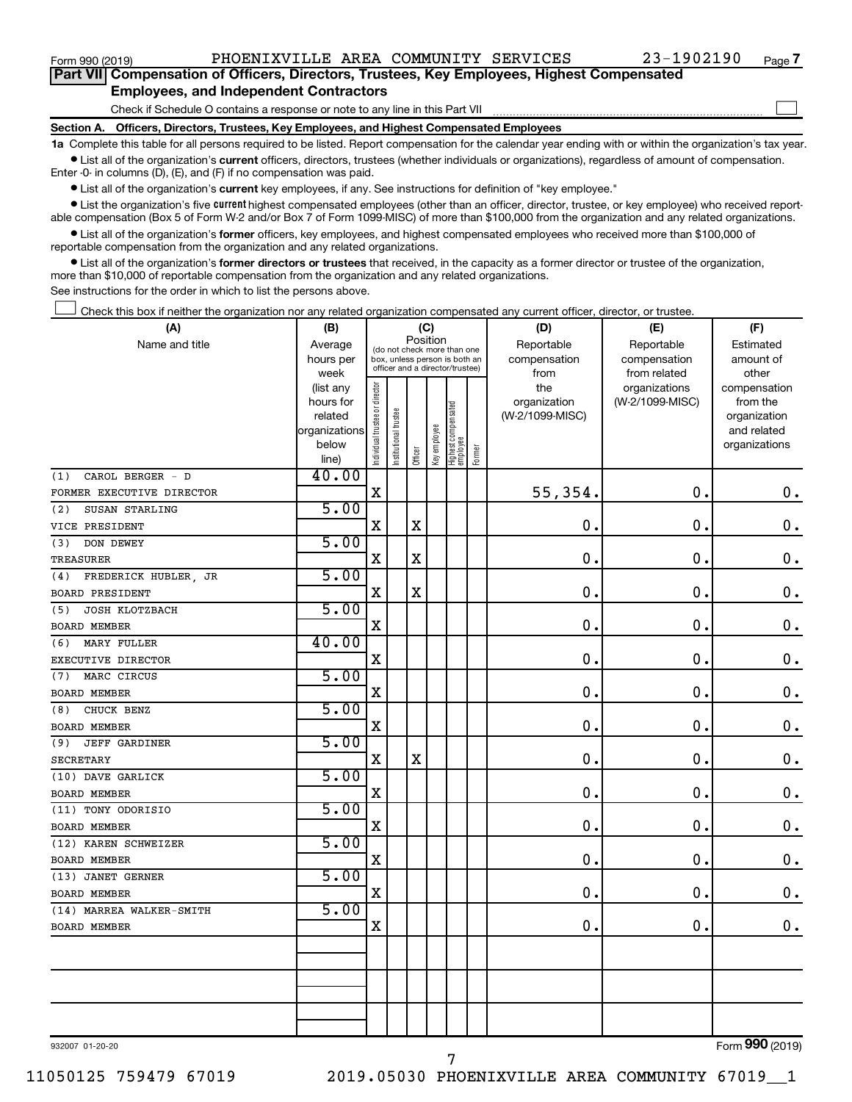$\Box$ 

| Part VII Compensation of Officers, Directors, Trustees, Key Employees, Highest Compensated |  |  |
|--------------------------------------------------------------------------------------------|--|--|
| <b>Employees, and Independent Contractors</b>                                              |  |  |

Check if Schedule O contains a response or note to any line in this Part VII

**Section A. Officers, Directors, Trustees, Key Employees, and Highest Compensated Employees**

**1a**  Complete this table for all persons required to be listed. Report compensation for the calendar year ending with or within the organization's tax year.  $\bullet$  List all of the organization's current officers, directors, trustees (whether individuals or organizations), regardless of amount of compensation.

Enter -0- in columns (D), (E), and (F) if no compensation was paid.

**•** List all of the organization's current key employees, if any. See instructions for definition of "key employee."

• List the organization's five *current* highest compensated employees (other than an officer, director, trustee, or key employee) who received reportable compensation (Box 5 of Form W-2 and/or Box 7 of Form 1099-MISC) of more than \$100,000 from the organization and any related organizations.

 $\bullet$  List all of the organization's former officers, key employees, and highest compensated employees who received more than \$100,000 of reportable compensation from the organization and any related organizations.

**•** List all of the organization's former directors or trustees that received, in the capacity as a former director or trustee of the organization, more than \$10,000 of reportable compensation from the organization and any related organizations.

See instructions for the order in which to list the persons above.

Check this box if neither the organization nor any related organization compensated any current officer, director, or trustee.  $\Box$ 

| (A)                         | (B)                    | (C)                           |                                                                  |             |              |                                 |        | (D)                 | (E)                              | (F)                      |  |  |
|-----------------------------|------------------------|-------------------------------|------------------------------------------------------------------|-------------|--------------|---------------------------------|--------|---------------------|----------------------------------|--------------------------|--|--|
| Name and title              | Average                |                               | (do not check more than one                                      |             | Position     |                                 |        | Reportable          | Reportable                       | Estimated                |  |  |
|                             | hours per              |                               | box, unless person is both an<br>officer and a director/trustee) |             |              |                                 |        | compensation        | compensation                     | amount of                |  |  |
|                             | week                   |                               |                                                                  |             |              |                                 |        | from                | from related                     | other                    |  |  |
|                             | (list any<br>hours for |                               |                                                                  |             |              |                                 |        | the<br>organization | organizations<br>(W-2/1099-MISC) | compensation<br>from the |  |  |
|                             | related                |                               |                                                                  |             |              |                                 |        | (W-2/1099-MISC)     |                                  | organization             |  |  |
|                             | organizations          |                               |                                                                  |             |              |                                 |        |                     |                                  | and related              |  |  |
|                             | below                  | ndividual trustee or director | Institutional trustee                                            |             | Key employee |                                 |        |                     |                                  | organizations            |  |  |
|                             | line)                  |                               |                                                                  | Officer     |              | Highest compensated<br>employee | Former |                     |                                  |                          |  |  |
| CAROL BERGER - D<br>(1)     | 40.00                  |                               |                                                                  |             |              |                                 |        |                     |                                  |                          |  |  |
| FORMER EXECUTIVE DIRECTOR   |                        | $\mathbf X$                   |                                                                  |             |              |                                 |        | 55,354.             | $\mathbf 0$ .                    | $\mathbf 0$ .            |  |  |
| (2)<br>SUSAN STARLING       | 5.00                   |                               |                                                                  |             |              |                                 |        |                     |                                  |                          |  |  |
| VICE PRESIDENT              |                        | $\mathbf X$                   |                                                                  | X           |              |                                 |        | $\mathbf 0$ .       | 0.                               | $\mathbf 0$ .            |  |  |
| DON DEWEY<br>(3)            | 5.00                   |                               |                                                                  |             |              |                                 |        |                     |                                  |                          |  |  |
| <b>TREASURER</b>            |                        | $\mathbf X$                   |                                                                  | $\mathbf X$ |              |                                 |        | $\mathbf 0$ .       | $\mathbf 0$                      | $\mathbf 0$ .            |  |  |
| FREDERICK HUBLER, JR<br>(4) | 5.00                   |                               |                                                                  |             |              |                                 |        |                     |                                  |                          |  |  |
| <b>BOARD PRESIDENT</b>      |                        | X                             |                                                                  | X           |              |                                 |        | $\mathbf 0$ .       | $\mathbf 0$ .                    | $\mathbf 0$ .            |  |  |
| JOSH KLOTZBACH<br>(5)       | 5.00                   |                               |                                                                  |             |              |                                 |        |                     |                                  |                          |  |  |
| <b>BOARD MEMBER</b>         |                        | X                             |                                                                  |             |              |                                 |        | 0.                  | $\mathbf 0$ .                    | $\mathbf 0$ .            |  |  |
| <b>MARY FULLER</b><br>(6)   | 40.00                  |                               |                                                                  |             |              |                                 |        |                     |                                  |                          |  |  |
| EXECUTIVE DIRECTOR          |                        | $\mathbf X$                   |                                                                  |             |              |                                 |        | $\mathbf 0$ .       | $\mathbf 0$ .                    | $\boldsymbol{0}$ .       |  |  |
| MARC CIRCUS<br>(7)          | 5.00                   |                               |                                                                  |             |              |                                 |        |                     |                                  |                          |  |  |
| <b>BOARD MEMBER</b>         |                        | $\rm X$                       |                                                                  |             |              |                                 |        | 0.                  | $\mathbf 0$ .                    | $\mathbf 0$ .            |  |  |
| CHUCK BENZ<br>(8)           | 5.00                   |                               |                                                                  |             |              |                                 |        |                     |                                  |                          |  |  |
| <b>BOARD MEMBER</b>         |                        | $\rm X$                       |                                                                  |             |              |                                 |        | 0.                  | $\mathbf 0$ .                    | $\mathbf 0$ .            |  |  |
| <b>JEFF GARDINER</b><br>(9) | 5.00                   |                               |                                                                  |             |              |                                 |        |                     |                                  |                          |  |  |
| SECRETARY                   |                        | $\mathbf X$                   |                                                                  | $\mathbf X$ |              |                                 |        | 0.                  | $\mathbf 0$ .                    | $\mathbf 0$ .            |  |  |
| (10) DAVE GARLICK           | 5.00                   |                               |                                                                  |             |              |                                 |        |                     |                                  |                          |  |  |
| BOARD MEMBER                |                        | X                             |                                                                  |             |              |                                 |        | 0.                  | $\mathbf 0$ .                    | $\mathbf 0$ .            |  |  |
| (11) TONY ODORISIO          | 5.00                   |                               |                                                                  |             |              |                                 |        |                     |                                  |                          |  |  |
| <b>BOARD MEMBER</b>         |                        | $\rm X$                       |                                                                  |             |              |                                 |        | 0.                  | $\mathbf 0$ .                    | $\mathbf 0$ .            |  |  |
| (12) KAREN SCHWEIZER        | 5.00                   |                               |                                                                  |             |              |                                 |        |                     |                                  |                          |  |  |
| BOARD MEMBER                |                        | X                             |                                                                  |             |              |                                 |        | 0.                  | $\mathbf 0$ .                    | $\mathbf 0$ .            |  |  |
| (13) JANET GERNER           | 5.00                   |                               |                                                                  |             |              |                                 |        |                     |                                  |                          |  |  |
| <b>BOARD MEMBER</b>         |                        | $\mathbf X$                   |                                                                  |             |              |                                 |        | 0.                  | $\mathbf 0$ .                    | $\mathbf 0$ .            |  |  |
| (14) MARREA WALKER-SMITH    | 5.00                   |                               |                                                                  |             |              |                                 |        |                     |                                  |                          |  |  |
| <b>BOARD MEMBER</b>         |                        | X                             |                                                                  |             |              |                                 |        | 0                   | $\mathbf 0$ .                    | $\mathbf 0$ .            |  |  |
|                             |                        |                               |                                                                  |             |              |                                 |        |                     |                                  |                          |  |  |
|                             |                        |                               |                                                                  |             |              |                                 |        |                     |                                  |                          |  |  |
|                             |                        |                               |                                                                  |             |              |                                 |        |                     |                                  |                          |  |  |
|                             |                        |                               |                                                                  |             |              |                                 |        |                     |                                  |                          |  |  |
|                             |                        |                               |                                                                  |             |              |                                 |        |                     |                                  |                          |  |  |
|                             |                        |                               |                                                                  |             |              |                                 |        |                     |                                  |                          |  |  |

932007 01-20-20

7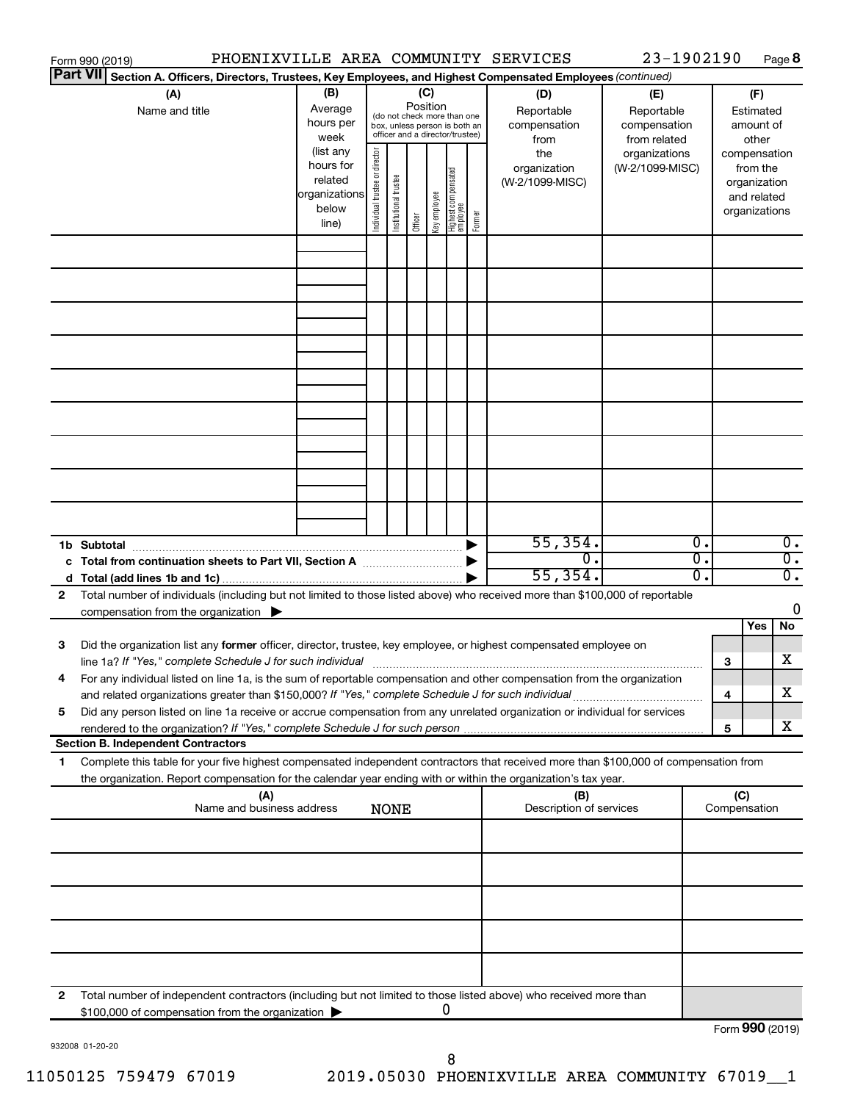|    | Form 990 (2019)                                                                                                                                                                                                                                        | PHOENIXVILLE AREA COMMUNITY SERVICES                                 |                               |                       |         |                                                                                                                    |                                   |        |                                           | 23-1902190                                        |                                        |                                                                          | Page 8                 |
|----|--------------------------------------------------------------------------------------------------------------------------------------------------------------------------------------------------------------------------------------------------------|----------------------------------------------------------------------|-------------------------------|-----------------------|---------|--------------------------------------------------------------------------------------------------------------------|-----------------------------------|--------|-------------------------------------------|---------------------------------------------------|----------------------------------------|--------------------------------------------------------------------------|------------------------|
|    | <b>Part VII</b><br>Section A. Officers, Directors, Trustees, Key Employees, and Highest Compensated Employees (continued)                                                                                                                              |                                                                      |                               |                       |         |                                                                                                                    |                                   |        |                                           |                                                   |                                        |                                                                          |                        |
|    | (A)<br>Name and title                                                                                                                                                                                                                                  | (B)<br>Average<br>hours per<br>week                                  |                               |                       |         | (C)<br>Position<br>(do not check more than one<br>box, unless person is both an<br>officer and a director/trustee) |                                   |        | (D)<br>Reportable<br>compensation<br>from | (E)<br>Reportable<br>compensation<br>from related | (F)<br>Estimated<br>amount of<br>other |                                                                          |                        |
|    |                                                                                                                                                                                                                                                        | (list any<br>hours for<br>related<br>organizations<br>below<br>line) | ndividual trustee or director | Institutional trustee | Officer | Key employee                                                                                                       | Highest compensated<br>  employee | Former | the<br>organization<br>(W-2/1099-MISC)    | organizations<br>(W-2/1099-MISC)                  |                                        | compensation<br>from the<br>organization<br>and related<br>organizations |                        |
|    |                                                                                                                                                                                                                                                        |                                                                      |                               |                       |         |                                                                                                                    |                                   |        |                                           |                                                   |                                        |                                                                          |                        |
|    |                                                                                                                                                                                                                                                        |                                                                      |                               |                       |         |                                                                                                                    |                                   |        |                                           |                                                   |                                        |                                                                          |                        |
|    |                                                                                                                                                                                                                                                        |                                                                      |                               |                       |         |                                                                                                                    |                                   |        |                                           |                                                   |                                        |                                                                          |                        |
|    |                                                                                                                                                                                                                                                        |                                                                      |                               |                       |         |                                                                                                                    |                                   |        |                                           |                                                   |                                        |                                                                          |                        |
|    |                                                                                                                                                                                                                                                        |                                                                      |                               |                       |         |                                                                                                                    |                                   |        |                                           |                                                   |                                        |                                                                          |                        |
|    |                                                                                                                                                                                                                                                        |                                                                      |                               |                       |         |                                                                                                                    |                                   |        |                                           |                                                   |                                        |                                                                          |                        |
|    |                                                                                                                                                                                                                                                        |                                                                      |                               |                       |         |                                                                                                                    |                                   |        |                                           |                                                   |                                        |                                                                          |                        |
|    |                                                                                                                                                                                                                                                        |                                                                      |                               |                       |         |                                                                                                                    |                                   |        |                                           |                                                   |                                        |                                                                          |                        |
|    | 1b Subtotal<br>c Total from continuation sheets to Part VII, Section A [111] [12] [13] Continuum [13] D                                                                                                                                                |                                                                      |                               |                       |         |                                                                                                                    |                                   |        | 55,354.<br>0.                             | $\overline{0}$ .<br>σ.                            |                                        |                                                                          | 0.<br>$\overline{0}$ . |
|    |                                                                                                                                                                                                                                                        |                                                                      |                               |                       |         |                                                                                                                    |                                   |        | 55,354.                                   | σ.                                                |                                        |                                                                          | $\overline{0}$ .       |
| 2  | Total number of individuals (including but not limited to those listed above) who received more than \$100,000 of reportable<br>compensation from the organization                                                                                     |                                                                      |                               |                       |         |                                                                                                                    |                                   |        |                                           |                                                   |                                        |                                                                          | 0                      |
| 3  | Did the organization list any former officer, director, trustee, key employee, or highest compensated employee on                                                                                                                                      |                                                                      |                               |                       |         |                                                                                                                    |                                   |        |                                           |                                                   |                                        | Yes                                                                      | No                     |
|    | For any individual listed on line 1a, is the sum of reportable compensation and other compensation from the organization                                                                                                                               |                                                                      |                               |                       |         |                                                                                                                    |                                   |        |                                           |                                                   | 3                                      |                                                                          | X                      |
|    | and related organizations greater than \$150,000? If "Yes," complete Schedule J for such individual                                                                                                                                                    |                                                                      |                               |                       |         |                                                                                                                    |                                   |        |                                           |                                                   | 4                                      |                                                                          | х                      |
| 5  | Did any person listed on line 1a receive or accrue compensation from any unrelated organization or individual for services<br>rendered to the organization? If "Yes," complete Schedule J for such person.                                             |                                                                      |                               |                       |         |                                                                                                                    |                                   |        |                                           |                                                   | 5                                      |                                                                          | x                      |
|    | <b>Section B. Independent Contractors</b>                                                                                                                                                                                                              |                                                                      |                               |                       |         |                                                                                                                    |                                   |        |                                           |                                                   |                                        |                                                                          |                        |
| 1. | Complete this table for your five highest compensated independent contractors that received more than \$100,000 of compensation from<br>the organization. Report compensation for the calendar year ending with or within the organization's tax year. |                                                                      |                               |                       |         |                                                                                                                    |                                   |        |                                           |                                                   |                                        |                                                                          |                        |
|    |                                                                                                                                                                                                                                                        | (A)<br>Name and business address                                     |                               | <b>NONE</b>           |         |                                                                                                                    |                                   |        | (B)<br>Description of services            |                                                   | Compensation                           | (C)                                                                      |                        |
|    |                                                                                                                                                                                                                                                        |                                                                      |                               |                       |         |                                                                                                                    |                                   |        |                                           |                                                   |                                        |                                                                          |                        |
|    |                                                                                                                                                                                                                                                        |                                                                      |                               |                       |         |                                                                                                                    |                                   |        |                                           |                                                   |                                        |                                                                          |                        |
|    |                                                                                                                                                                                                                                                        |                                                                      |                               |                       |         |                                                                                                                    |                                   |        |                                           |                                                   |                                        |                                                                          |                        |
|    |                                                                                                                                                                                                                                                        |                                                                      |                               |                       |         |                                                                                                                    |                                   |        |                                           |                                                   |                                        |                                                                          |                        |
| 2  | Total number of independent contractors (including but not limited to those listed above) who received more than<br>\$100,000 of compensation from the organization                                                                                    |                                                                      |                               |                       |         |                                                                                                                    | U                                 |        |                                           |                                                   |                                        |                                                                          |                        |
|    |                                                                                                                                                                                                                                                        |                                                                      |                               |                       |         |                                                                                                                    |                                   |        |                                           |                                                   |                                        | $T_{\text{sum}}$ 000 (2010)                                              |                        |

932008 01-20-20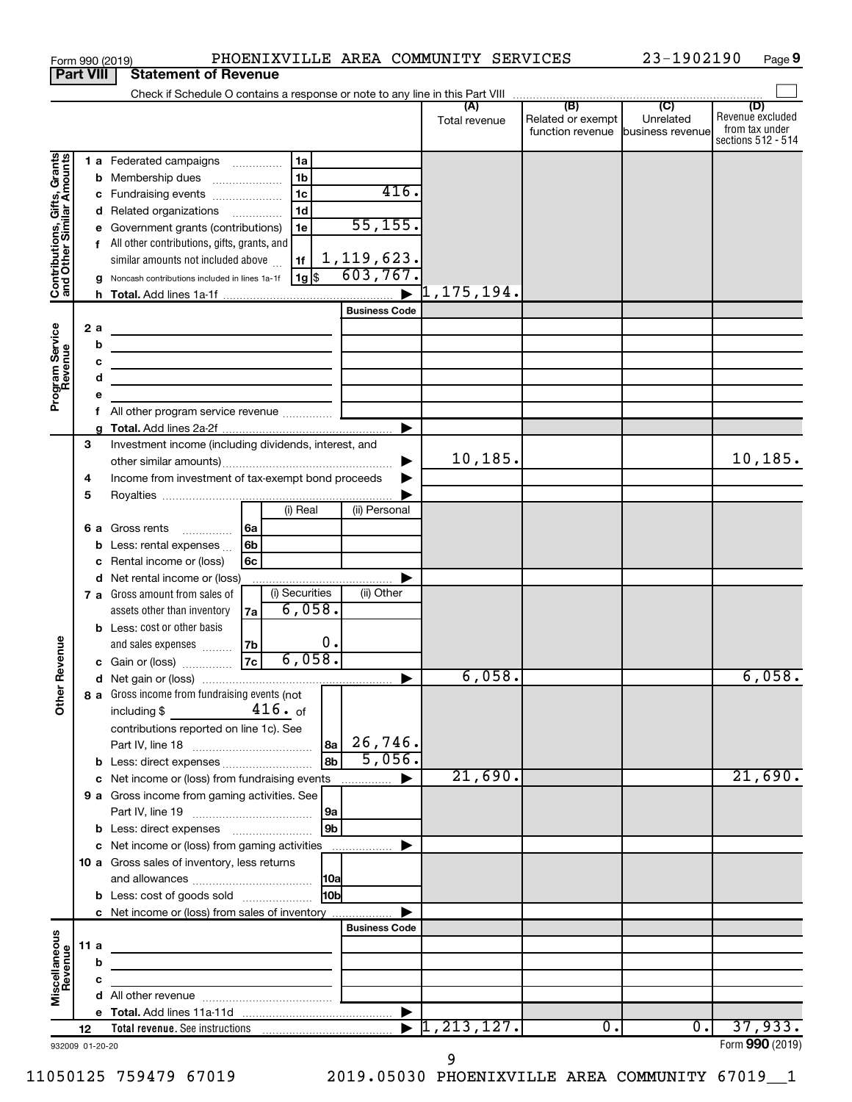|                                                           |                  |     | Form 990 (2019)                                                                                                      |                |                 |                        | PHOENIXVILLE AREA COMMUNITY SERVICES |                                                        | 23-1902190 | Page 9                                                          |
|-----------------------------------------------------------|------------------|-----|----------------------------------------------------------------------------------------------------------------------|----------------|-----------------|------------------------|--------------------------------------|--------------------------------------------------------|------------|-----------------------------------------------------------------|
|                                                           | <b>Part VIII</b> |     | <b>Statement of Revenue</b>                                                                                          |                |                 |                        |                                      |                                                        |            |                                                                 |
|                                                           |                  |     |                                                                                                                      |                |                 |                        |                                      |                                                        |            |                                                                 |
|                                                           |                  |     |                                                                                                                      |                |                 |                        | Total revenue                        | Related or exempt<br>function revenue business revenue | Unrelated  | (D)<br>Revenue excluded<br>from tax under<br>sections 512 - 514 |
|                                                           |                  |     | 1 a Federated campaigns                                                                                              | 1a             |                 |                        |                                      |                                                        |            |                                                                 |
| Contributions, Gifts, Grants<br>and Other Similar Amounts |                  | b   | Membership dues                                                                                                      | 1 <sub>b</sub> |                 |                        |                                      |                                                        |            |                                                                 |
|                                                           |                  | с   | Fundraising events                                                                                                   | 1 <sub>c</sub> |                 | 416.                   |                                      |                                                        |            |                                                                 |
|                                                           |                  |     | d Related organizations                                                                                              | 1 <sub>d</sub> |                 |                        |                                      |                                                        |            |                                                                 |
|                                                           |                  | е   | Government grants (contributions)                                                                                    | 1e             |                 | 55, 155.               |                                      |                                                        |            |                                                                 |
|                                                           |                  |     | All other contributions, gifts, grants, and                                                                          |                |                 |                        |                                      |                                                        |            |                                                                 |
|                                                           |                  |     | similar amounts not included above                                                                                   | 1f             |                 | 1,119,623.<br>603,767. |                                      |                                                        |            |                                                                 |
|                                                           |                  |     | Noncash contributions included in lines 1a-1f                                                                        | 1g             |                 |                        | $\overline{1}$ ,175,194.             |                                                        |            |                                                                 |
|                                                           |                  |     |                                                                                                                      |                |                 | <b>Business Code</b>   |                                      |                                                        |            |                                                                 |
|                                                           |                  | 2 a |                                                                                                                      |                |                 |                        |                                      |                                                        |            |                                                                 |
| Program Service<br>Revenue                                |                  | b   | <u> 1989 - Johann Barbara, martxa alemaniar a</u>                                                                    |                |                 |                        |                                      |                                                        |            |                                                                 |
|                                                           |                  | c   | <u> 1989 - Johann Barbara, martin amerikan basal da</u><br><u> 1989 - John Stein, Amerikaansk politiker (</u>        |                |                 |                        |                                      |                                                        |            |                                                                 |
|                                                           |                  | d   | the control of the control of the control of the control of the                                                      |                |                 |                        |                                      |                                                        |            |                                                                 |
|                                                           |                  | е   |                                                                                                                      |                |                 |                        |                                      |                                                        |            |                                                                 |
|                                                           |                  | f   | All other program service revenue                                                                                    |                |                 |                        |                                      |                                                        |            |                                                                 |
|                                                           |                  |     |                                                                                                                      |                |                 |                        |                                      |                                                        |            |                                                                 |
|                                                           | 3                |     | Investment income (including dividends, interest, and                                                                |                |                 |                        |                                      |                                                        |            |                                                                 |
|                                                           |                  |     |                                                                                                                      |                |                 |                        | 10, 185.                             |                                                        |            | 10,185.                                                         |
|                                                           | 4                |     | Income from investment of tax-exempt bond proceeds                                                                   |                |                 |                        |                                      |                                                        |            |                                                                 |
|                                                           | 5                |     |                                                                                                                      |                |                 |                        |                                      |                                                        |            |                                                                 |
|                                                           |                  |     |                                                                                                                      | (i) Real       |                 | (ii) Personal          |                                      |                                                        |            |                                                                 |
|                                                           |                  |     | 6 a Gross rents                                                                                                      | 6a             |                 |                        |                                      |                                                        |            |                                                                 |
|                                                           |                  | b   | Less: rental expenses                                                                                                | 6b<br>6c       |                 |                        |                                      |                                                        |            |                                                                 |
|                                                           |                  | c   | Rental income or (loss)<br>d Net rental income or (loss)                                                             |                |                 |                        |                                      |                                                        |            |                                                                 |
|                                                           |                  |     | 7 a Gross amount from sales of                                                                                       | (i) Securities |                 | (ii) Other             |                                      |                                                        |            |                                                                 |
|                                                           |                  |     | assets other than inventory                                                                                          | 6,058.<br>7a   |                 |                        |                                      |                                                        |            |                                                                 |
|                                                           |                  |     | <b>b</b> Less: cost or other basis                                                                                   |                |                 |                        |                                      |                                                        |            |                                                                 |
|                                                           |                  |     | and sales expenses                                                                                                   | 7b             | 0.              |                        |                                      |                                                        |            |                                                                 |
| evenue                                                    |                  |     | c Gain or (loss)                                                                                                     | 6,058.<br>7c   |                 |                        |                                      |                                                        |            |                                                                 |
|                                                           |                  |     |                                                                                                                      |                |                 |                        | 6,058.                               |                                                        |            | 6,058.                                                          |
| Other F                                                   |                  |     | 8 a Gross income from fundraising events (not                                                                        |                |                 |                        |                                      |                                                        |            |                                                                 |
|                                                           |                  |     | including $$$ 416. of                                                                                                |                |                 |                        |                                      |                                                        |            |                                                                 |
|                                                           |                  |     | contributions reported on line 1c). See                                                                              |                |                 |                        |                                      |                                                        |            |                                                                 |
|                                                           |                  |     |                                                                                                                      |                | l 8a l          | 26,746.                |                                      |                                                        |            |                                                                 |
|                                                           |                  |     | <b>b</b> Less: direct expenses                                                                                       |                | l 8b            | 5,056.                 | 21,690.                              |                                                        |            | 21,690.                                                         |
|                                                           |                  |     |                                                                                                                      |                |                 |                        |                                      |                                                        |            |                                                                 |
|                                                           |                  |     | 9 a Gross income from gaming activities. See                                                                         |                | 9a              |                        |                                      |                                                        |            |                                                                 |
|                                                           |                  |     |                                                                                                                      |                | 9 <sub>b</sub>  |                        |                                      |                                                        |            |                                                                 |
|                                                           |                  |     |                                                                                                                      |                |                 |                        |                                      |                                                        |            |                                                                 |
|                                                           |                  |     | 10 a Gross sales of inventory, less returns                                                                          |                |                 |                        |                                      |                                                        |            |                                                                 |
|                                                           |                  |     |                                                                                                                      |                |                 |                        |                                      |                                                        |            |                                                                 |
|                                                           |                  |     | <b>b</b> Less: cost of goods sold                                                                                    |                | 10 <sub>b</sub> |                        |                                      |                                                        |            |                                                                 |
|                                                           |                  |     | c Net income or (loss) from sales of inventory                                                                       |                |                 |                        |                                      |                                                        |            |                                                                 |
|                                                           |                  |     |                                                                                                                      |                |                 | <b>Business Code</b>   |                                      |                                                        |            |                                                                 |
| Miscellaneous<br>Revenue                                  | 11a              |     | <u> 1990 - Johann John Stein, markin fan it ferskearre fan it ferskearre fan it ferskearre fan it ferskearre fan</u> |                |                 |                        |                                      |                                                        |            |                                                                 |
|                                                           |                  | b   |                                                                                                                      |                |                 |                        |                                      |                                                        |            |                                                                 |
|                                                           |                  | с   | <u> 1989 - Johann Barbara, martxa alemaniar a</u>                                                                    |                |                 |                        |                                      |                                                        |            |                                                                 |
|                                                           |                  |     |                                                                                                                      |                |                 |                        |                                      |                                                        |            |                                                                 |
|                                                           | 12               |     |                                                                                                                      |                |                 |                        |                                      | $\overline{0}$ .                                       | 0.         | 37,933.                                                         |
| 932009 01-20-20                                           |                  |     |                                                                                                                      |                |                 |                        |                                      |                                                        |            | Form 990 (2019)                                                 |
|                                                           |                  |     |                                                                                                                      |                |                 |                        |                                      |                                                        |            |                                                                 |

932009 01-20-20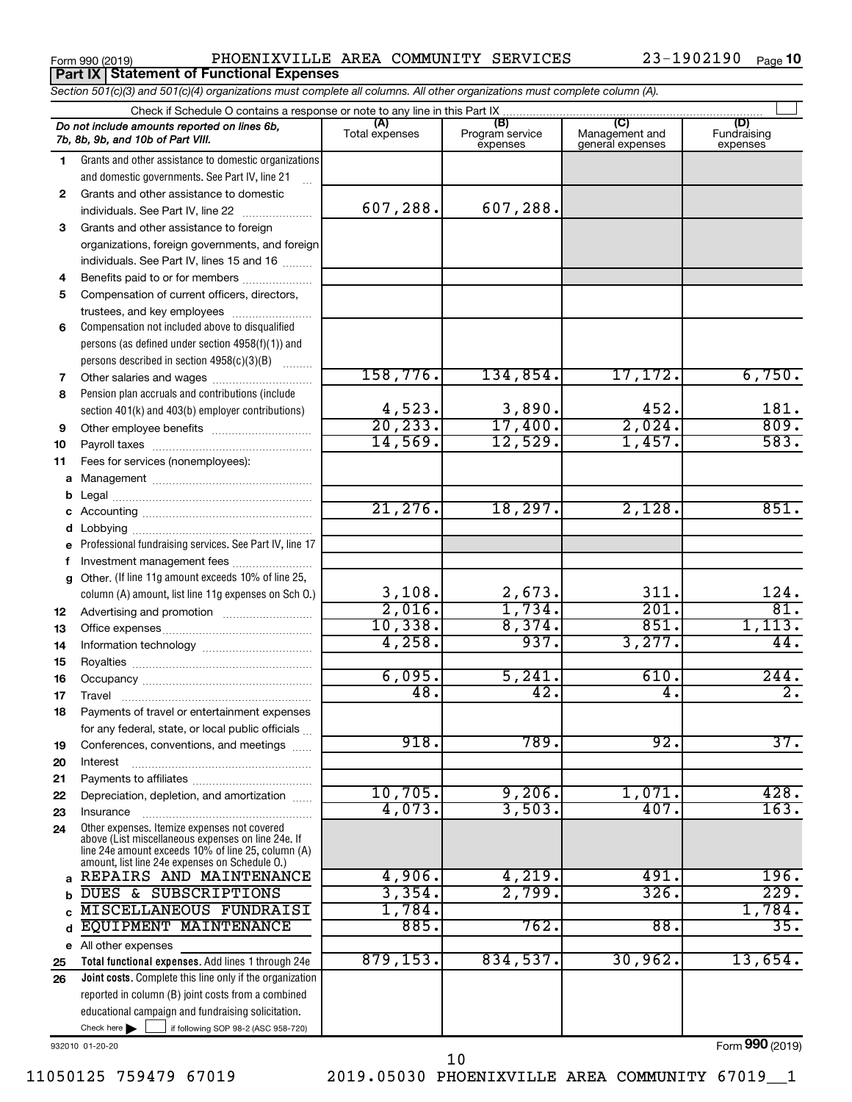|  | Form 990 (2019) |  |
|--|-----------------|--|
|  |                 |  |

**Part IX | Statement of Functional Expenses** 

Form 990 (2019) PHOENIXVILLE AREA COMMUNITY SERVICES 23-1902190 Page

23-1902190 Page 10

|          | Section 501(c)(3) and 501(c)(4) organizations must complete all columns. All other organizations must complete column (A). |                        |                                    |                                           |                                |
|----------|----------------------------------------------------------------------------------------------------------------------------|------------------------|------------------------------------|-------------------------------------------|--------------------------------|
|          | Check if Schedule O contains a response or note to any line in this Part IX                                                |                        |                                    |                                           |                                |
|          | Do not include amounts reported on lines 6b,<br>7b, 8b, 9b, and 10b of Part VIII.                                          | (A)<br>Total expenses  | (B)<br>Program service<br>expenses | (C)<br>Management and<br>general expenses | (D)<br>Fundraising<br>expenses |
| 1        | Grants and other assistance to domestic organizations                                                                      |                        |                                    |                                           |                                |
|          | and domestic governments. See Part IV, line 21                                                                             |                        |                                    |                                           |                                |
| 2        | Grants and other assistance to domestic                                                                                    |                        |                                    |                                           |                                |
|          | individuals. See Part IV, line 22                                                                                          | 607,288.               | 607,288.                           |                                           |                                |
| З        | Grants and other assistance to foreign                                                                                     |                        |                                    |                                           |                                |
|          | organizations, foreign governments, and foreign                                                                            |                        |                                    |                                           |                                |
|          | individuals. See Part IV, lines 15 and 16                                                                                  |                        |                                    |                                           |                                |
| 4        | Benefits paid to or for members                                                                                            |                        |                                    |                                           |                                |
| 5        | Compensation of current officers, directors,                                                                               |                        |                                    |                                           |                                |
|          | trustees, and key employees                                                                                                |                        |                                    |                                           |                                |
| 6        | Compensation not included above to disqualified                                                                            |                        |                                    |                                           |                                |
|          | persons (as defined under section 4958(f)(1)) and                                                                          |                        |                                    |                                           |                                |
|          | persons described in section 4958(c)(3)(B)                                                                                 |                        |                                    |                                           |                                |
| 7        | Other salaries and wages                                                                                                   | 158, 776.              | 134,854.                           | 17, 172.                                  | 6,750.                         |
| 8        | Pension plan accruals and contributions (include                                                                           |                        |                                    |                                           |                                |
|          | section 401(k) and 403(b) employer contributions)                                                                          | $\frac{4,523}{20,233}$ | $\frac{3,890}{17,400}$             | $\frac{452}{2,024}$                       | 181.                           |
| 9        | Other employee benefits                                                                                                    |                        |                                    |                                           | 809.                           |
| 10       |                                                                                                                            | 14,569.                | 12,529.                            | 1,457.                                    | 583.                           |
| 11       | Fees for services (nonemployees):                                                                                          |                        |                                    |                                           |                                |
| a        |                                                                                                                            |                        |                                    |                                           |                                |
| b        |                                                                                                                            |                        |                                    |                                           |                                |
|          |                                                                                                                            | 21,276.                | 18, 297.                           | 2,128.                                    | 851.                           |
|          |                                                                                                                            |                        |                                    |                                           |                                |
| е        | Professional fundraising services. See Part IV, line 17                                                                    |                        |                                    |                                           |                                |
|          | Investment management fees                                                                                                 |                        |                                    |                                           |                                |
| g        | Other. (If line 11g amount exceeds 10% of line 25,                                                                         |                        |                                    |                                           |                                |
|          | column (A) amount, list line 11g expenses on Sch O.)                                                                       | $\frac{3,108}{2,016}$  | $\frac{2,673}{1,734}$              | 311.<br>201.                              | 124.<br>$\overline{81}$ .      |
| 12       |                                                                                                                            | 10,338.                | 8,374.                             | 851.                                      |                                |
| 13       |                                                                                                                            | 4,258.                 | 937.                               | 3,277.                                    | 1,113.<br>44.                  |
| 14       |                                                                                                                            |                        |                                    |                                           |                                |
| 15       |                                                                                                                            | 6,095.                 | 5,241.                             | 610.                                      | 244.                           |
| 16       |                                                                                                                            | 48.                    | 42.                                | 4.                                        | $\overline{2}$ .               |
| 17       |                                                                                                                            |                        |                                    |                                           |                                |
| 18       | Payments of travel or entertainment expenses                                                                               |                        |                                    |                                           |                                |
|          | for any federal, state, or local public officials<br>Conferences, conventions, and meetings                                | 918.                   | 789.                               | 92.                                       | 37.                            |
| 19<br>20 | Interest                                                                                                                   |                        |                                    |                                           |                                |
| 21       |                                                                                                                            |                        |                                    |                                           |                                |
| 22       | Depreciation, depletion, and amortization                                                                                  | 10,705.                | 9,206.                             | 1,071.                                    | 428.                           |
| 23       | Insurance                                                                                                                  | 4,073.                 | 3,503.                             | 407.                                      | 163.                           |
| 24       | Other expenses. Itemize expenses not covered                                                                               |                        |                                    |                                           |                                |
|          | above (List miscellaneous expenses on line 24e. If                                                                         |                        |                                    |                                           |                                |
|          | line 24e amount exceeds 10% of line 25, column (A)<br>amount, list line 24e expenses on Schedule O.)                       |                        |                                    |                                           |                                |
| a        | REPAIRS AND MAINTENANCE                                                                                                    | 4,906.                 | 4,219.                             | 491.                                      | 196.                           |
| b        | DUES & SUBSCRIPTIONS                                                                                                       | 3,354.                 | 2,799.                             | 326.                                      | 229.                           |
|          | MISCELLANEOUS FUNDRAISI                                                                                                    | 1,784.                 |                                    |                                           | 1,784.                         |
| d        | EQUIPMENT MAINTENANCE                                                                                                      | 885.                   | 762.                               | 88.                                       | 35.                            |
|          | e All other expenses                                                                                                       |                        |                                    |                                           |                                |
| 25       | Total functional expenses. Add lines 1 through 24e                                                                         | 879, 153.              | 834,537.                           | 30,962.                                   | 13,654.                        |
| 26       | Joint costs. Complete this line only if the organization                                                                   |                        |                                    |                                           |                                |
|          | reported in column (B) joint costs from a combined                                                                         |                        |                                    |                                           |                                |
|          | educational campaign and fundraising solicitation.                                                                         |                        |                                    |                                           |                                |
|          | Check here $\blacktriangleright$<br>if following SOP 98-2 (ASC 958-720)                                                    |                        |                                    |                                           |                                |

932010 01-20-20

11050125 759479 67019 2019.05030 PHOENIXVILLE AREA COMMUNITY 67019\_\_1 10

Form (2019) **990**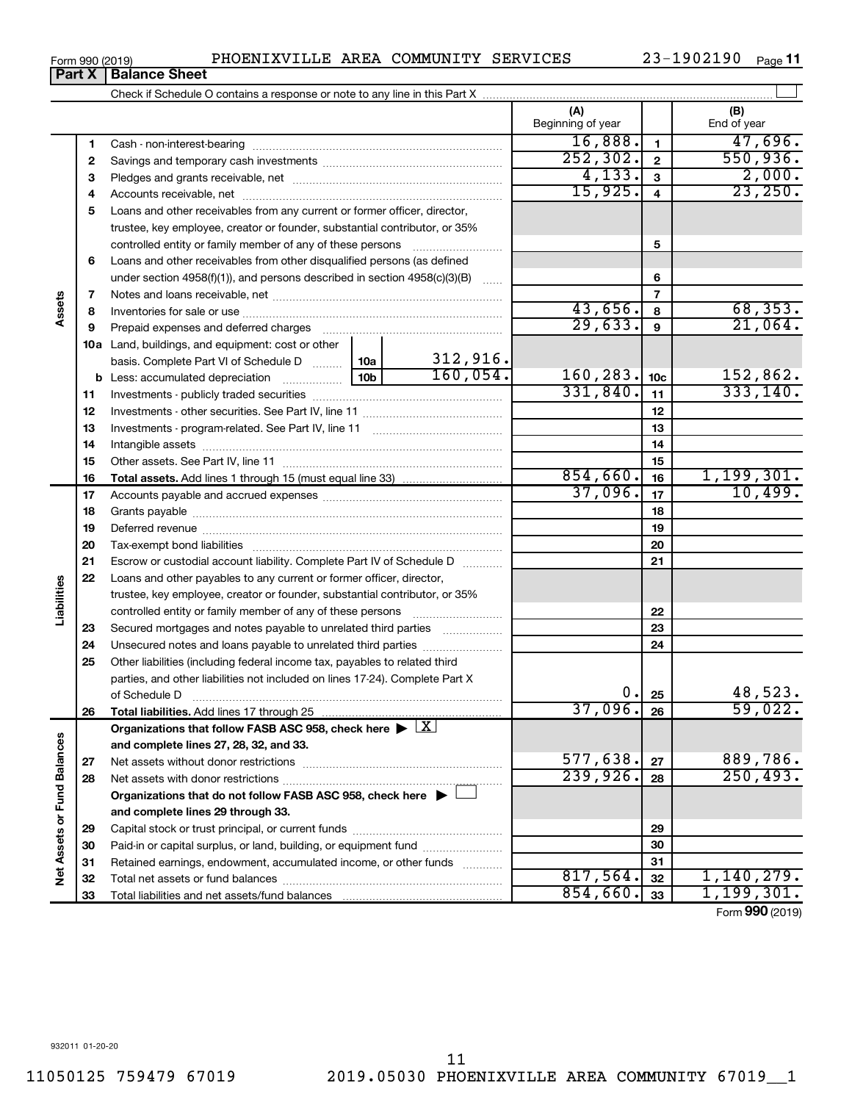Check if Schedule O contains a response or note to any line in this Part X

 $\perp$ **(A) (B)** Beginning of year | | End of year  $16,888.$   $1$   $1$   $47,696.$ **1 1** Cash - non-interest-bearing ~~~~~~~~~~~~~~~~~~~~~~~~~  $252,302.$   $2 \mid 2 \mid 550,936.$ **2 2** Savings and temporary cash investments ~~~~~~~~~~~~~~~~~~  $4,133$ .  $3$  2,000. **3 3** Pledges and grants receivable, net ~~~~~~~~~~~~~~~~~~~~~ 15,925. 23,250. **4 4** Accounts receivable, net ~~~~~~~~~~~~~~~~~~~~~~~~~~ **5** Loans and other receivables from any current or former officer, director, trustee, key employee, creator or founder, substantial contributor, or 35% controlled entity or family member of any of these persons ~~~~~~~~~ **5 6** Loans and other receivables from other disqualified persons (as defined **6** under section  $4958(f)(1)$ , and persons described in section  $4958(c)(3)(B)$ **7 7** Notes and loans receivable, net ~~~~~~~~~~~~~~~~~~~~~~~ **Assets** 43,656. 68,353. **8 8** Inventories for sale or use ~~~~~~~~~~~~~~~~~~~~~~~~~~ 29,633. 21,064. **9 9** Prepaid expenses and deferred charges ~~~~~~~~~~~~~~~~~~ **10 a** Land, buildings, and equipment: cost or other 312,916. basis. Complete Part VI of Schedule D  $\frac{1}{10}$  10a  $\overline{160, 054.}$  160,283.  $\overline{10c}$  152,862. **10c b** Less: accumulated depreciation  $\ldots$  [10b  $331,840.$   $11$  333,140. **11 11** Investments - publicly traded securities ~~~~~~~~~~~~~~~~~~~ **12 12** Investments - other securities. See Part IV, line 11 ~~~~~~~~~~~~~~ **13 13** Investments - program-related. See Part IV, line 11 ~~~~~~~~~~~~~ **14 14** Intangible assets ~~~~~~~~~~~~~~~~~~~~~~~~~~~~~~ Other assets. See Part IV, line 11 ~~~~~~~~~~~~~~~~~~~~~~ **15 15**  $854,660.$  16 1,199,301. **16 16 Total assets.**  Add lines 1 through 15 (must equal line 33) 37,096. <sub>17</sub> 10,499. **17 17** Accounts payable and accrued expenses ~~~~~~~~~~~~~~~~~~ **18 18** Grants payable ~~~~~~~~~~~~~~~~~~~~~~~~~~~~~~~ **19 19** Deferred revenue ~~~~~~~~~~~~~~~~~~~~~~~~~~~~~~ **20 20** Tax-exempt bond liabilities ~~~~~~~~~~~~~~~~~~~~~~~~~ **21 21** Escrow or custodial account liability. Complete Part IV of Schedule D ........... **22** Loans and other payables to any current or former officer, director, **Liabilities** trustee, key employee, creator or founder, substantial contributor, or 35% **22** controlled entity or family member of any of these persons ~~~~~~~~~ **23** Secured mortgages and notes payable to unrelated third parties **23 24** Unsecured notes and loans payable to unrelated third parties ~~~~~~~~ **24 25** Other liabilities (including federal income tax, payables to related third parties, and other liabilities not included on lines 17-24). Complete Part X of Schedule D ~~~~~~~~~~~~~~~~~~~~~~~~~~~~~~~  $0. |25|$  48,523. **25 26** 37,096. 59,022. **26 Total liabilities.**  Add lines 17 through 25 Organizations that follow FASB ASC 958, check here  $\blacktriangleright \boxed{\text{X}}$ Net Assets or Fund Balances **Net Assets or Fund Balances and complete lines 27, 28, 32, and 33.** 577,638.  $|27|$  889,786. **27 27** Net assets without donor restrictions ~~~~~~~~~~~~~~~~~~~~  $239,926.$  28 250,493. **28 28** Net assets with donor restrictions ~~~~~~~~~~~~~~~~~~~~~~ **Organizations that do not follow FASB ASC 958, check here** | † **and complete lines 29 through 33. 29 29** Capital stock or trust principal, or current funds ~~~~~~~~~~~~~~~ **30 30** Paid-in or capital surplus, or land, building, or equipment fund ....................... **31 31** Retained earnings, endowment, accumulated income, or other funds ............ Total net assets or fund balances ~~~~~~~~~~~~~~~~~~~~~~  $817,564.$   $32$  1, 140, 279. **32 32**  $854,660$ .  $33$  1, 199, 301. **33** Total liabilities and net assets/fund balances **33**

Form (2019) **990**

| Form 990 (2019) |                               |  |
|-----------------|-------------------------------|--|
|                 | <b>Part X   Balance Sheet</b> |  |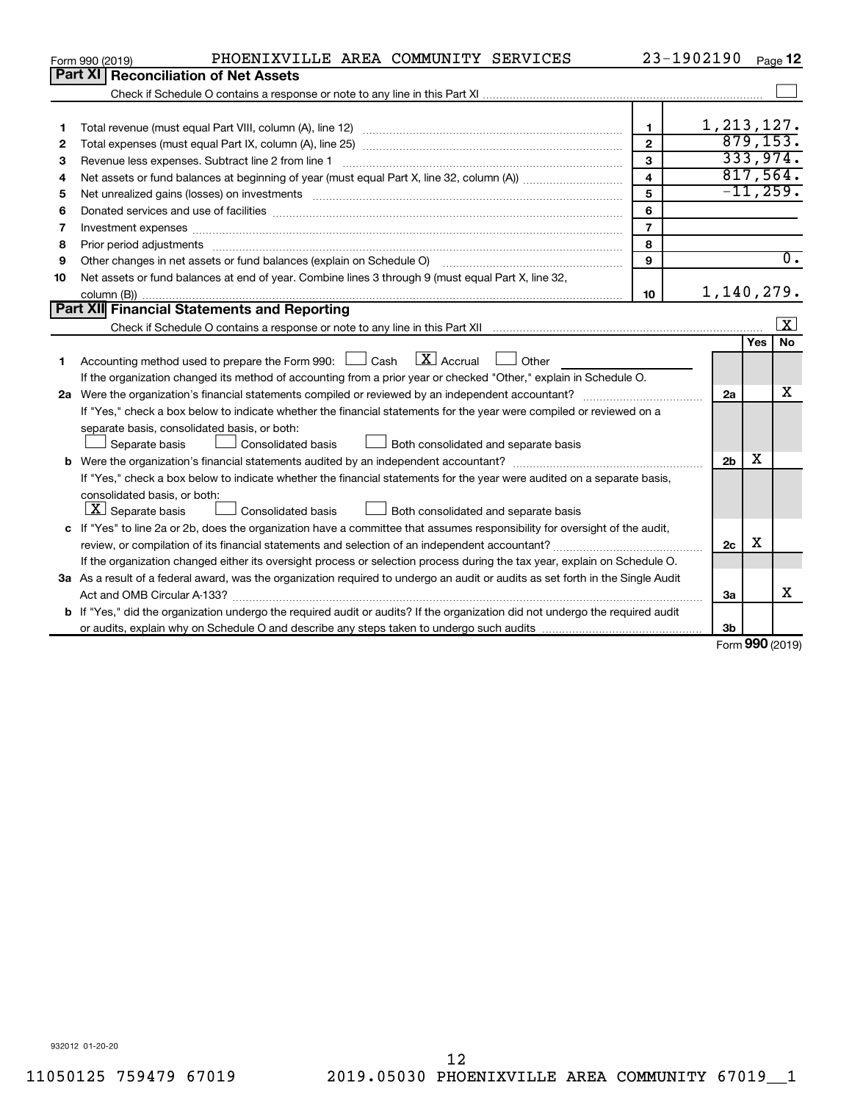|              | PHOENIXVILLE AREA COMMUNITY SERVICES<br>Form 990 (2019)                                                                                                                                                                        |                         | 23-1902190     |        | Page 12            |
|--------------|--------------------------------------------------------------------------------------------------------------------------------------------------------------------------------------------------------------------------------|-------------------------|----------------|--------|--------------------|
|              | Part XI   Reconciliation of Net Assets                                                                                                                                                                                         |                         |                |        |                    |
|              |                                                                                                                                                                                                                                |                         |                |        |                    |
|              |                                                                                                                                                                                                                                |                         |                |        |                    |
| 1            |                                                                                                                                                                                                                                | $\mathbf{1}$            | 1, 213, 127.   |        |                    |
| $\mathbf{2}$ |                                                                                                                                                                                                                                | $\overline{2}$          |                |        | 879, 153.          |
| З            |                                                                                                                                                                                                                                | 3                       |                |        | 333,974.           |
| 4            |                                                                                                                                                                                                                                | $\overline{\mathbf{4}}$ |                |        | 817,564.           |
| 5            |                                                                                                                                                                                                                                | 5                       |                |        | $-11, 259.$        |
| 6            | Donated services and use of facilities [[111] matter contracts and the service of facilities [11] matter contracts and use of facilities [[11] matter contracts and the service of facilities [[11] matter contracts and the s | 6                       |                |        |                    |
| 7            | Investment expenses www.communication.com/www.communication.com/www.communication.com/www.com                                                                                                                                  | $\overline{7}$          |                |        |                    |
| 8            |                                                                                                                                                                                                                                | 8                       |                |        |                    |
| 9            |                                                                                                                                                                                                                                | 9                       |                |        | $\overline{0}$ .   |
| 10           | Net assets or fund balances at end of year. Combine lines 3 through 9 (must equal Part X, line 32,                                                                                                                             |                         |                |        |                    |
|              |                                                                                                                                                                                                                                | 10                      | 1,140,279.     |        |                    |
|              | <b>Part XII</b> Financial Statements and Reporting                                                                                                                                                                             |                         |                |        |                    |
|              |                                                                                                                                                                                                                                |                         |                |        | $\boxed{\text{X}}$ |
|              |                                                                                                                                                                                                                                |                         |                | Yes    | No                 |
| 1            | Accounting method used to prepare the Form 990: $\Box$ Cash $\Box$ Accrual $\Box$ Other                                                                                                                                        |                         |                |        |                    |
|              | If the organization changed its method of accounting from a prior year or checked "Other," explain in Schedule O.                                                                                                              |                         |                |        |                    |
|              |                                                                                                                                                                                                                                |                         | 2a             |        | x                  |
|              | If "Yes," check a box below to indicate whether the financial statements for the year were compiled or reviewed on a                                                                                                           |                         |                |        |                    |
|              | separate basis, consolidated basis, or both:                                                                                                                                                                                   |                         |                |        |                    |
|              | Separate basis<br>Both consolidated and separate basis<br>Consolidated basis                                                                                                                                                   |                         |                |        |                    |
|              |                                                                                                                                                                                                                                |                         | 2 <sub>b</sub> | х      |                    |
|              | If "Yes," check a box below to indicate whether the financial statements for the year were audited on a separate basis,                                                                                                        |                         |                |        |                    |
|              | consolidated basis, or both:                                                                                                                                                                                                   |                         |                |        |                    |
|              | $ \mathbf{X} $ Separate basis<br><b>Consolidated basis</b><br>Both consolidated and separate basis                                                                                                                             |                         |                |        |                    |
|              | c If "Yes" to line 2a or 2b, does the organization have a committee that assumes responsibility for oversight of the audit,                                                                                                    |                         |                |        |                    |
|              |                                                                                                                                                                                                                                |                         | 2c             | X      |                    |
|              | If the organization changed either its oversight process or selection process during the tax year, explain on Schedule O.                                                                                                      |                         |                |        |                    |
|              | 3a As a result of a federal award, was the organization required to undergo an audit or audits as set forth in the Single Audit                                                                                                |                         |                |        |                    |
|              | Act and OMB Circular A-133?                                                                                                                                                                                                    |                         | За             |        | х                  |
|              | <b>b</b> If "Yes," did the organization undergo the required audit or audits? If the organization did not undergo the required audit                                                                                           |                         |                |        |                    |
|              |                                                                                                                                                                                                                                |                         | 3b             | $\sim$ |                    |

Form (2019) **990**

932012 01-20-20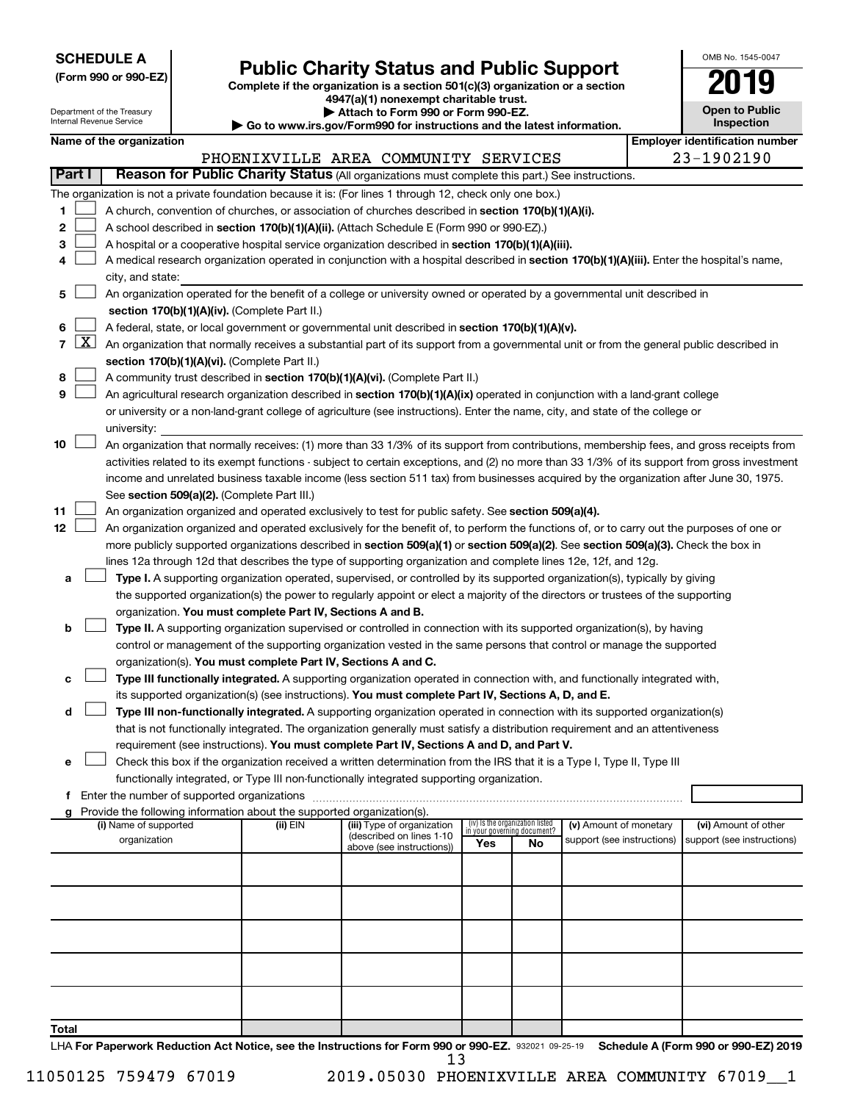| <b>SCHEDULE A</b> |  |
|-------------------|--|
|-------------------|--|

| (Form 990 or 990-EZ) |  |  |
|----------------------|--|--|
|----------------------|--|--|

# Form 990 or 990-EZ)<br>
Complete if the organization is a section 501(c)(3) organization or a section<br> **Public Charity Status and Public Support**

**4947(a)(1) nonexempt charitable trust.**

| OMB No 1545-0047                    |
|-------------------------------------|
|                                     |
| <b>Open to Public</b><br>Inspection |

 $\Box$ 

| Department of the Treasury<br>Internal Revenue Service |                     |                                                                                                   |  |                                                                          | Attach to Form 990 or Form 990-EZ.<br>Go to www.irs.gov/Form990 for instructions and the latest information.                                  |     |                                 |                            |  | <b>Open to Public</b><br>Inspection   |  |
|--------------------------------------------------------|---------------------|---------------------------------------------------------------------------------------------------|--|--------------------------------------------------------------------------|-----------------------------------------------------------------------------------------------------------------------------------------------|-----|---------------------------------|----------------------------|--|---------------------------------------|--|
|                                                        |                     | Name of the organization                                                                          |  |                                                                          |                                                                                                                                               |     |                                 |                            |  | <b>Employer identification number</b> |  |
|                                                        |                     |                                                                                                   |  |                                                                          | PHOENIXVILLE AREA COMMUNITY SERVICES                                                                                                          |     |                                 |                            |  | 23-1902190                            |  |
|                                                        | <b>Part I</b>       |                                                                                                   |  |                                                                          | Reason for Public Charity Status (All organizations must complete this part.) See instructions.                                               |     |                                 |                            |  |                                       |  |
|                                                        |                     |                                                                                                   |  |                                                                          | The organization is not a private foundation because it is: (For lines 1 through 12, check only one box.)                                     |     |                                 |                            |  |                                       |  |
| 1                                                      |                     |                                                                                                   |  |                                                                          | A church, convention of churches, or association of churches described in section 170(b)(1)(A)(i).                                            |     |                                 |                            |  |                                       |  |
| 2                                                      |                     | A school described in section 170(b)(1)(A)(ii). (Attach Schedule E (Form 990 or 990-EZ).)         |  |                                                                          |                                                                                                                                               |     |                                 |                            |  |                                       |  |
| 3                                                      |                     | A hospital or a cooperative hospital service organization described in section 170(b)(1)(A)(iii). |  |                                                                          |                                                                                                                                               |     |                                 |                            |  |                                       |  |
| 4                                                      |                     |                                                                                                   |  |                                                                          | A medical research organization operated in conjunction with a hospital described in section 170(b)(1)(A)(iii). Enter the hospital's name,    |     |                                 |                            |  |                                       |  |
|                                                        |                     | city, and state:                                                                                  |  |                                                                          |                                                                                                                                               |     |                                 |                            |  |                                       |  |
| 5                                                      |                     |                                                                                                   |  |                                                                          | An organization operated for the benefit of a college or university owned or operated by a governmental unit described in                     |     |                                 |                            |  |                                       |  |
|                                                        |                     |                                                                                                   |  | section 170(b)(1)(A)(iv). (Complete Part II.)                            |                                                                                                                                               |     |                                 |                            |  |                                       |  |
| 6                                                      |                     |                                                                                                   |  |                                                                          | A federal, state, or local government or governmental unit described in section 170(b)(1)(A)(v).                                              |     |                                 |                            |  |                                       |  |
| $\overline{7}$                                         | $\lfloor x \rfloor$ |                                                                                                   |  |                                                                          | An organization that normally receives a substantial part of its support from a governmental unit or from the general public described in     |     |                                 |                            |  |                                       |  |
|                                                        |                     |                                                                                                   |  | section 170(b)(1)(A)(vi). (Complete Part II.)                            |                                                                                                                                               |     |                                 |                            |  |                                       |  |
| 8                                                      |                     |                                                                                                   |  |                                                                          | A community trust described in section 170(b)(1)(A)(vi). (Complete Part II.)                                                                  |     |                                 |                            |  |                                       |  |
| 9                                                      |                     |                                                                                                   |  |                                                                          | An agricultural research organization described in section 170(b)(1)(A)(ix) operated in conjunction with a land-grant college                 |     |                                 |                            |  |                                       |  |
|                                                        |                     |                                                                                                   |  |                                                                          | or university or a non-land-grant college of agriculture (see instructions). Enter the name, city, and state of the college or                |     |                                 |                            |  |                                       |  |
|                                                        |                     | university:                                                                                       |  |                                                                          |                                                                                                                                               |     |                                 |                            |  |                                       |  |
| 10                                                     |                     |                                                                                                   |  |                                                                          | An organization that normally receives: (1) more than 33 1/3% of its support from contributions, membership fees, and gross receipts from     |     |                                 |                            |  |                                       |  |
|                                                        |                     |                                                                                                   |  |                                                                          | activities related to its exempt functions - subject to certain exceptions, and (2) no more than 33 1/3% of its support from gross investment |     |                                 |                            |  |                                       |  |
|                                                        |                     |                                                                                                   |  |                                                                          | income and unrelated business taxable income (less section 511 tax) from businesses acquired by the organization after June 30, 1975.         |     |                                 |                            |  |                                       |  |
|                                                        |                     |                                                                                                   |  | See section 509(a)(2). (Complete Part III.)                              |                                                                                                                                               |     |                                 |                            |  |                                       |  |
| 11                                                     |                     |                                                                                                   |  |                                                                          | An organization organized and operated exclusively to test for public safety. See section 509(a)(4).                                          |     |                                 |                            |  |                                       |  |
| 12                                                     |                     |                                                                                                   |  |                                                                          | An organization organized and operated exclusively for the benefit of, to perform the functions of, or to carry out the purposes of one or    |     |                                 |                            |  |                                       |  |
|                                                        |                     |                                                                                                   |  |                                                                          | more publicly supported organizations described in section 509(a)(1) or section 509(a)(2). See section 509(a)(3). Check the box in            |     |                                 |                            |  |                                       |  |
|                                                        |                     |                                                                                                   |  |                                                                          | lines 12a through 12d that describes the type of supporting organization and complete lines 12e, 12f, and 12g.                                |     |                                 |                            |  |                                       |  |
| а                                                      |                     |                                                                                                   |  |                                                                          | Type I. A supporting organization operated, supervised, or controlled by its supported organization(s), typically by giving                   |     |                                 |                            |  |                                       |  |
|                                                        |                     |                                                                                                   |  |                                                                          | the supported organization(s) the power to regularly appoint or elect a majority of the directors or trustees of the supporting               |     |                                 |                            |  |                                       |  |
|                                                        |                     |                                                                                                   |  | organization. You must complete Part IV, Sections A and B.               |                                                                                                                                               |     |                                 |                            |  |                                       |  |
| b                                                      |                     |                                                                                                   |  |                                                                          | <b>Type II.</b> A supporting organization supervised or controlled in connection with its supported organization(s), by having                |     |                                 |                            |  |                                       |  |
|                                                        |                     |                                                                                                   |  |                                                                          | control or management of the supporting organization vested in the same persons that control or manage the supported                          |     |                                 |                            |  |                                       |  |
|                                                        |                     |                                                                                                   |  | organization(s). You must complete Part IV, Sections A and C.            |                                                                                                                                               |     |                                 |                            |  |                                       |  |
| с                                                      |                     |                                                                                                   |  |                                                                          | Type III functionally integrated. A supporting organization operated in connection with, and functionally integrated with,                    |     |                                 |                            |  |                                       |  |
|                                                        |                     |                                                                                                   |  |                                                                          | its supported organization(s) (see instructions). You must complete Part IV, Sections A, D, and E.                                            |     |                                 |                            |  |                                       |  |
| d                                                      |                     |                                                                                                   |  |                                                                          | Type III non-functionally integrated. A supporting organization operated in connection with its supported organization(s)                     |     |                                 |                            |  |                                       |  |
|                                                        |                     |                                                                                                   |  |                                                                          | that is not functionally integrated. The organization generally must satisfy a distribution requirement and an attentiveness                  |     |                                 |                            |  |                                       |  |
|                                                        |                     |                                                                                                   |  |                                                                          | requirement (see instructions). You must complete Part IV, Sections A and D, and Part V.                                                      |     |                                 |                            |  |                                       |  |
| е                                                      |                     |                                                                                                   |  |                                                                          | Check this box if the organization received a written determination from the IRS that it is a Type I, Type II, Type III                       |     |                                 |                            |  |                                       |  |
|                                                        |                     |                                                                                                   |  |                                                                          | functionally integrated, or Type III non-functionally integrated supporting organization.                                                     |     |                                 |                            |  |                                       |  |
| f                                                      |                     |                                                                                                   |  |                                                                          |                                                                                                                                               |     |                                 |                            |  |                                       |  |
|                                                        |                     |                                                                                                   |  | g Provide the following information about the supported organization(s). | (iii) Type of organization                                                                                                                    |     | (iv) Is the organization listed | (v) Amount of monetary     |  | (vi) Amount of other                  |  |
|                                                        |                     | (i) Name of supported<br>organization                                                             |  | (ii) EIN                                                                 | (described on lines 1-10                                                                                                                      |     | in your governing document?     | support (see instructions) |  | support (see instructions)            |  |
|                                                        |                     |                                                                                                   |  |                                                                          | above (see instructions))                                                                                                                     | Yes | No                              |                            |  |                                       |  |
|                                                        |                     |                                                                                                   |  |                                                                          |                                                                                                                                               |     |                                 |                            |  |                                       |  |
|                                                        |                     |                                                                                                   |  |                                                                          |                                                                                                                                               |     |                                 |                            |  |                                       |  |
|                                                        |                     |                                                                                                   |  |                                                                          |                                                                                                                                               |     |                                 |                            |  |                                       |  |
|                                                        |                     |                                                                                                   |  |                                                                          |                                                                                                                                               |     |                                 |                            |  |                                       |  |
|                                                        |                     |                                                                                                   |  |                                                                          |                                                                                                                                               |     |                                 |                            |  |                                       |  |
|                                                        |                     |                                                                                                   |  |                                                                          |                                                                                                                                               |     |                                 |                            |  |                                       |  |
|                                                        |                     |                                                                                                   |  |                                                                          |                                                                                                                                               |     |                                 |                            |  |                                       |  |
|                                                        |                     |                                                                                                   |  |                                                                          |                                                                                                                                               |     |                                 |                            |  |                                       |  |
|                                                        |                     |                                                                                                   |  |                                                                          |                                                                                                                                               |     |                                 |                            |  |                                       |  |
|                                                        |                     |                                                                                                   |  |                                                                          |                                                                                                                                               |     |                                 |                            |  |                                       |  |
| Total                                                  |                     |                                                                                                   |  |                                                                          |                                                                                                                                               |     |                                 |                            |  |                                       |  |

LHA For Paperwork Reduction Act Notice, see the Instructions for Form 990 or 990-EZ. 932021 09-25-19 Schedule A (Form 990 or 990-EZ) 2019 13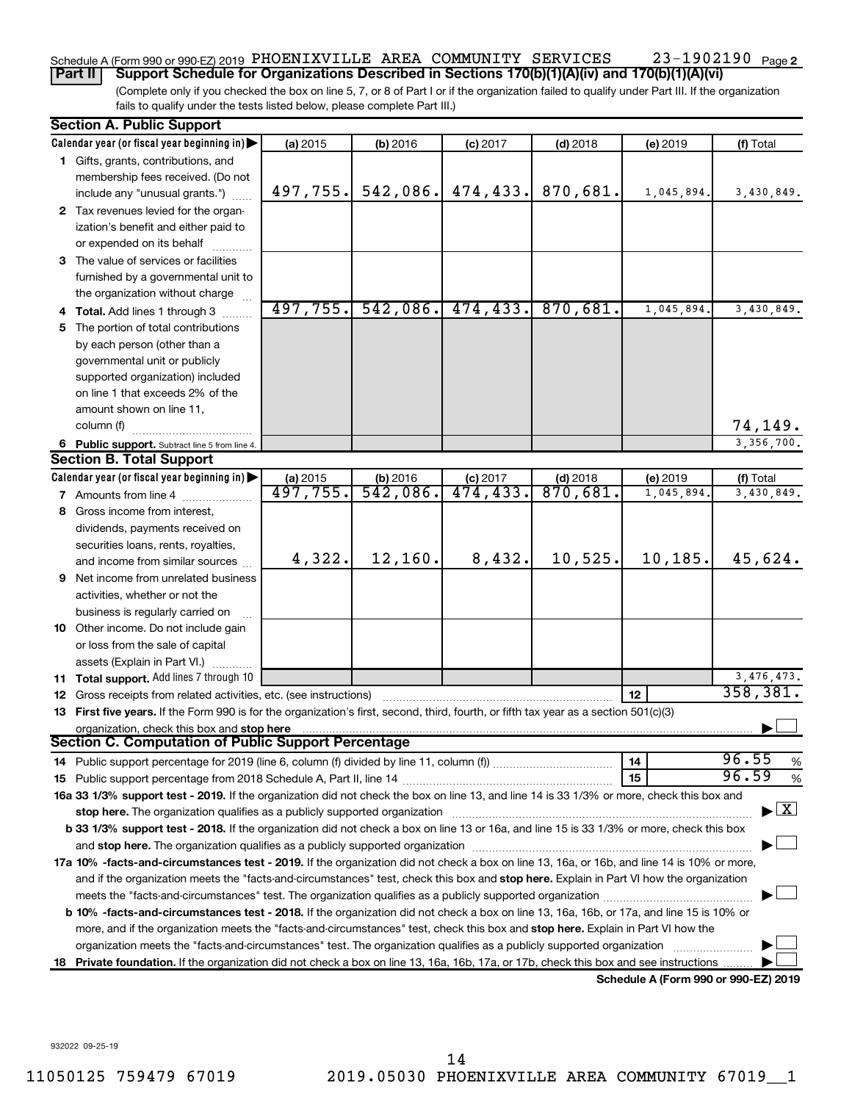### **2** Schedule A (Form 990 or 990-EZ) 2019 PHOENIXVILLE AREA COMMUNITY SERVICES 23-1902190 Page

(Complete only if you checked the box on line 5, 7, or 8 of Part I or if the organization failed to qualify under Part III. If the organization fails to qualify under the tests listed below, please complete Part III.) **Part II Support Schedule for Organizations Described in Sections 170(b)(1)(A)(iv) and 170(b)(1)(A)(vi)**

| <b>Section A. Public Support</b>                                                                                                                                                                                                                                                                                                                                                                                      |                        |                         |            |                      |            |              |
|-----------------------------------------------------------------------------------------------------------------------------------------------------------------------------------------------------------------------------------------------------------------------------------------------------------------------------------------------------------------------------------------------------------------------|------------------------|-------------------------|------------|----------------------|------------|--------------|
| Calendar year (or fiscal year beginning in)                                                                                                                                                                                                                                                                                                                                                                           | (a) 2015               | (b) 2016                | $(c)$ 2017 | $(d)$ 2018           | (e) 2019   | (f) Total    |
| 1 Gifts, grants, contributions, and                                                                                                                                                                                                                                                                                                                                                                                   |                        |                         |            |                      |            |              |
| membership fees received. (Do not                                                                                                                                                                                                                                                                                                                                                                                     |                        |                         |            |                      |            |              |
| include any "unusual grants.")                                                                                                                                                                                                                                                                                                                                                                                        | 497,755.               | 542,086.                | 474, 433.  | 870,681.             | 1,045,894. | 3,430,849.   |
| 2 Tax revenues levied for the organ-                                                                                                                                                                                                                                                                                                                                                                                  |                        |                         |            |                      |            |              |
| ization's benefit and either paid to                                                                                                                                                                                                                                                                                                                                                                                  |                        |                         |            |                      |            |              |
| or expended on its behalf                                                                                                                                                                                                                                                                                                                                                                                             |                        |                         |            |                      |            |              |
| 3 The value of services or facilities                                                                                                                                                                                                                                                                                                                                                                                 |                        |                         |            |                      |            |              |
| furnished by a governmental unit to                                                                                                                                                                                                                                                                                                                                                                                   |                        |                         |            |                      |            |              |
| the organization without charge                                                                                                                                                                                                                                                                                                                                                                                       |                        |                         |            |                      |            |              |
| 4 Total. Add lines 1 through 3                                                                                                                                                                                                                                                                                                                                                                                        | 497,755.               | 542,086.                | 474, 433.  | 870,681.             | 1,045,894. | 3,430,849.   |
| 5 The portion of total contributions                                                                                                                                                                                                                                                                                                                                                                                  |                        |                         |            |                      |            |              |
| by each person (other than a                                                                                                                                                                                                                                                                                                                                                                                          |                        |                         |            |                      |            |              |
| governmental unit or publicly                                                                                                                                                                                                                                                                                                                                                                                         |                        |                         |            |                      |            |              |
| supported organization) included                                                                                                                                                                                                                                                                                                                                                                                      |                        |                         |            |                      |            |              |
| on line 1 that exceeds 2% of the                                                                                                                                                                                                                                                                                                                                                                                      |                        |                         |            |                      |            |              |
| amount shown on line 11,                                                                                                                                                                                                                                                                                                                                                                                              |                        |                         |            |                      |            |              |
| column (f)                                                                                                                                                                                                                                                                                                                                                                                                            |                        |                         |            |                      |            | 74,149.      |
| 6 Public support. Subtract line 5 from line 4.                                                                                                                                                                                                                                                                                                                                                                        |                        |                         |            |                      |            | 3,356,700.   |
| <b>Section B. Total Support</b>                                                                                                                                                                                                                                                                                                                                                                                       |                        |                         |            |                      |            |              |
| Calendar year (or fiscal year beginning in)                                                                                                                                                                                                                                                                                                                                                                           | (a) 2015               | (b) $2016$<br>542, 086. | $(c)$ 2017 | (d) 2018<br>870, 681 | (e) 2019   | (f) Total    |
| <b>7</b> Amounts from line 4                                                                                                                                                                                                                                                                                                                                                                                          | $\overline{497,755}$ . |                         | 474, 433.  |                      | 1,045,894  | 3,430,849.   |
| 8 Gross income from interest,                                                                                                                                                                                                                                                                                                                                                                                         |                        |                         |            |                      |            |              |
| dividends, payments received on                                                                                                                                                                                                                                                                                                                                                                                       |                        |                         |            |                      |            |              |
| securities loans, rents, royalties,                                                                                                                                                                                                                                                                                                                                                                                   |                        |                         |            |                      |            |              |
| and income from similar sources                                                                                                                                                                                                                                                                                                                                                                                       | 4,322.                 | 12,160.                 | 8,432.     | 10,525.              | 10, 185.   | 45,624.      |
| 9 Net income from unrelated business                                                                                                                                                                                                                                                                                                                                                                                  |                        |                         |            |                      |            |              |
| activities, whether or not the                                                                                                                                                                                                                                                                                                                                                                                        |                        |                         |            |                      |            |              |
| business is regularly carried on                                                                                                                                                                                                                                                                                                                                                                                      |                        |                         |            |                      |            |              |
| 10 Other income. Do not include gain                                                                                                                                                                                                                                                                                                                                                                                  |                        |                         |            |                      |            |              |
| or loss from the sale of capital                                                                                                                                                                                                                                                                                                                                                                                      |                        |                         |            |                      |            |              |
| assets (Explain in Part VI.)                                                                                                                                                                                                                                                                                                                                                                                          |                        |                         |            |                      |            |              |
| <b>11 Total support.</b> Add lines 7 through 10                                                                                                                                                                                                                                                                                                                                                                       |                        |                         |            |                      |            | 3, 476, 473. |
| <b>12</b> Gross receipts from related activities, etc. (see instructions)                                                                                                                                                                                                                                                                                                                                             |                        |                         |            |                      | 12         | 358, 381.    |
| 13 First five years. If the Form 990 is for the organization's first, second, third, fourth, or fifth tax year as a section 501(c)(3)                                                                                                                                                                                                                                                                                 |                        |                         |            |                      |            |              |
| organization, check this box and stop here                                                                                                                                                                                                                                                                                                                                                                            |                        |                         |            |                      |            |              |
| Section C. Computation of Public Support Percentage                                                                                                                                                                                                                                                                                                                                                                   |                        |                         |            |                      |            | 96.55        |
|                                                                                                                                                                                                                                                                                                                                                                                                                       |                        |                         |            |                      | 14         | %<br>96.59   |
|                                                                                                                                                                                                                                                                                                                                                                                                                       |                        |                         |            |                      | 15         | $\%$         |
| 16a 33 1/3% support test - 2019. If the organization did not check the box on line 13, and line 14 is 33 1/3% or more, check this box and                                                                                                                                                                                                                                                                             |                        |                         |            |                      |            |              |
| $\blacktriangleright$ $\boxed{\text{X}}$<br>stop here. The organization qualifies as a publicly supported organization manufaction manufacture or the organization manufacture or the organization manufacture or the organization of the state of the state of the state<br>b 33 1/3% support test - 2018. If the organization did not check a box on line 13 or 16a, and line 15 is 33 1/3% or more, check this box |                        |                         |            |                      |            |              |
|                                                                                                                                                                                                                                                                                                                                                                                                                       |                        |                         |            |                      |            |              |
|                                                                                                                                                                                                                                                                                                                                                                                                                       |                        |                         |            |                      |            |              |
| 17a 10% -facts-and-circumstances test - 2019. If the organization did not check a box on line 13, 16a, or 16b, and line 14 is 10% or more,<br>and if the organization meets the "facts-and-circumstances" test, check this box and stop here. Explain in Part VI how the organization                                                                                                                                 |                        |                         |            |                      |            |              |
|                                                                                                                                                                                                                                                                                                                                                                                                                       |                        |                         |            |                      |            |              |
| <b>b 10%</b> -facts-and-circumstances test - 2018. If the organization did not check a box on line 13, 16a, 16b, or 17a, and line 15 is 10% or                                                                                                                                                                                                                                                                        |                        |                         |            |                      |            |              |
| more, and if the organization meets the "facts-and-circumstances" test, check this box and stop here. Explain in Part VI how the                                                                                                                                                                                                                                                                                      |                        |                         |            |                      |            |              |
| organization meets the "facts-and-circumstances" test. The organization qualifies as a publicly supported organization                                                                                                                                                                                                                                                                                                |                        |                         |            |                      |            |              |
|                                                                                                                                                                                                                                                                                                                                                                                                                       |                        |                         |            |                      |            |              |
| 18 Private foundation. If the organization did not check a box on line 13, 16a, 16b, 17a, or 17b, check this box and see instructions.<br>Schedule A (Form 990 or 990-EZ) 2019                                                                                                                                                                                                                                        |                        |                         |            |                      |            |              |

932022 09-25-19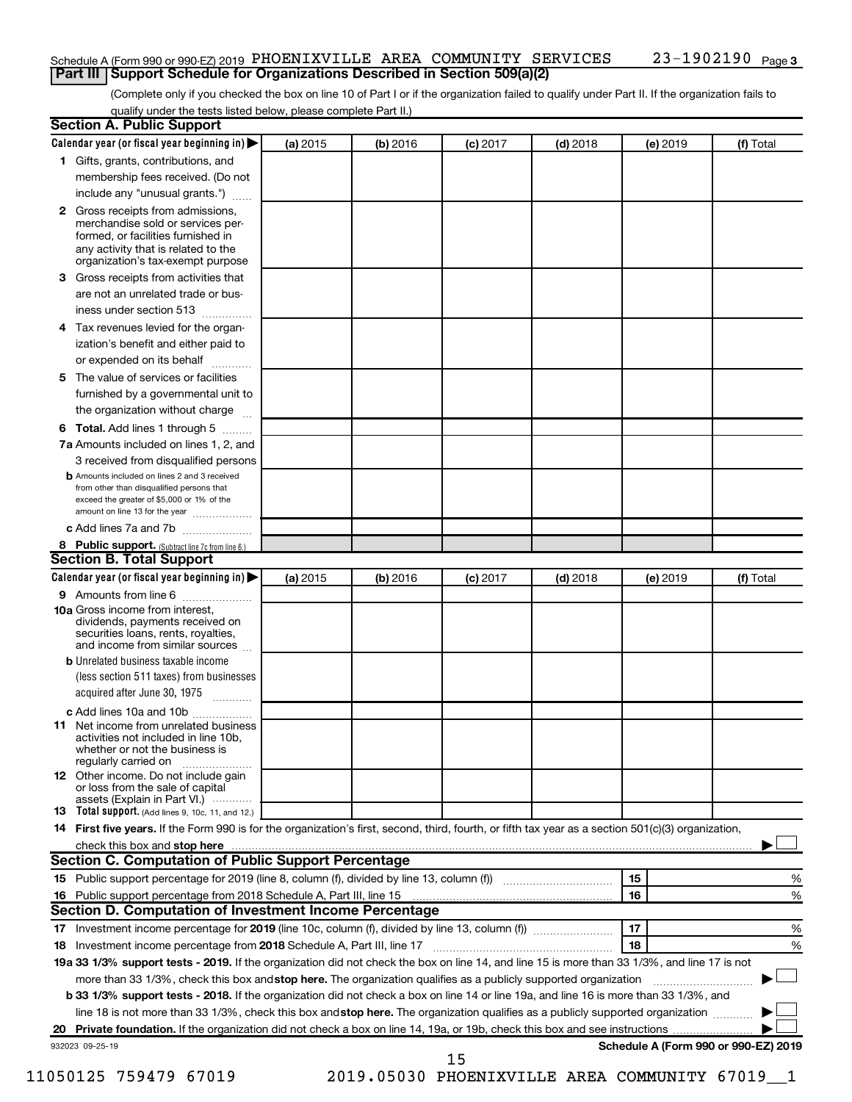### Schedule A (Form 990 or 990-EZ) 2019 PHOENIXVILLE AREA COMMUNITY SERVICES 23-1902190 Page **Part III | Support Schedule for Organizations Described in Section 509(a)(2)**

(Complete only if you checked the box on line 10 of Part I or if the organization failed to qualify under Part II. If the organization fails to qualify under the tests listed below, please complete Part II.)

|    | Calendar year (or fiscal year beginning in)                                                                                                         | (a) 2015 | (b) 2016                                       | $(c)$ 2017 | $(d)$ 2018 | (e) 2019 | (f) Total                            |   |
|----|-----------------------------------------------------------------------------------------------------------------------------------------------------|----------|------------------------------------------------|------------|------------|----------|--------------------------------------|---|
|    | 1 Gifts, grants, contributions, and                                                                                                                 |          |                                                |            |            |          |                                      |   |
|    | membership fees received. (Do not                                                                                                                   |          |                                                |            |            |          |                                      |   |
|    | include any "unusual grants.")                                                                                                                      |          |                                                |            |            |          |                                      |   |
|    | 2 Gross receipts from admissions,<br>merchandise sold or services per-<br>formed, or facilities furnished in<br>any activity that is related to the |          |                                                |            |            |          |                                      |   |
|    | organization's tax-exempt purpose                                                                                                                   |          |                                                |            |            |          |                                      |   |
| 3. | Gross receipts from activities that                                                                                                                 |          |                                                |            |            |          |                                      |   |
|    | are not an unrelated trade or bus-<br>iness under section 513                                                                                       |          |                                                |            |            |          |                                      |   |
| 4  | Tax revenues levied for the organ-                                                                                                                  |          |                                                |            |            |          |                                      |   |
|    | ization's benefit and either paid to<br>or expended on its behalf<br>.                                                                              |          |                                                |            |            |          |                                      |   |
| 5. | The value of services or facilities                                                                                                                 |          |                                                |            |            |          |                                      |   |
|    | furnished by a governmental unit to<br>the organization without charge                                                                              |          |                                                |            |            |          |                                      |   |
| 6  | Total. Add lines 1 through 5                                                                                                                        |          |                                                |            |            |          |                                      |   |
|    | 7a Amounts included on lines 1, 2, and                                                                                                              |          |                                                |            |            |          |                                      |   |
|    | 3 received from disqualified persons                                                                                                                |          |                                                |            |            |          |                                      |   |
|    | <b>b</b> Amounts included on lines 2 and 3 received                                                                                                 |          |                                                |            |            |          |                                      |   |
|    | from other than disqualified persons that<br>exceed the greater of \$5,000 or 1% of the<br>amount on line 13 for the year                           |          |                                                |            |            |          |                                      |   |
|    | c Add lines 7a and 7b                                                                                                                               |          |                                                |            |            |          |                                      |   |
|    | 8 Public support. (Subtract line 7c from line 6.)                                                                                                   |          |                                                |            |            |          |                                      |   |
|    | <b>Section B. Total Support</b>                                                                                                                     |          |                                                |            |            |          |                                      |   |
|    | Calendar year (or fiscal year beginning in)                                                                                                         | (a) 2015 | (b) 2016                                       | $(c)$ 2017 | $(d)$ 2018 | (e) 2019 | (f) Total                            |   |
|    | <b>9</b> Amounts from line 6                                                                                                                        |          |                                                |            |            |          |                                      |   |
|    | <b>10a</b> Gross income from interest,<br>dividends, payments received on<br>securities loans, rents, royalties,<br>and income from similar sources |          |                                                |            |            |          |                                      |   |
|    | <b>b</b> Unrelated business taxable income                                                                                                          |          |                                                |            |            |          |                                      |   |
|    | (less section 511 taxes) from businesses<br>acquired after June 30, 1975 [[11, 11, 11, 11]                                                          |          |                                                |            |            |          |                                      |   |
|    | c Add lines 10a and 10b                                                                                                                             |          |                                                |            |            |          |                                      |   |
| 11 | Net income from unrelated business<br>activities not included in line 10b.<br>whether or not the business is<br>regularly carried on                |          |                                                |            |            |          |                                      |   |
|    | <b>12</b> Other income. Do not include gain<br>or loss from the sale of capital<br>assets (Explain in Part VI.)                                     |          |                                                |            |            |          |                                      |   |
|    | <b>13</b> Total support. (Add lines 9, 10c, 11, and 12.)                                                                                            |          |                                                |            |            |          |                                      |   |
|    | 14 First five years. If the Form 990 is for the organization's first, second, third, fourth, or fifth tax year as a section 501(c)(3) organization, |          |                                                |            |            |          |                                      |   |
|    |                                                                                                                                                     |          |                                                |            |            |          |                                      |   |
|    | <b>Section C. Computation of Public Support Percentage</b>                                                                                          |          |                                                |            |            |          |                                      |   |
|    |                                                                                                                                                     |          |                                                |            |            | 15       |                                      | % |
|    |                                                                                                                                                     |          |                                                |            |            | 16       |                                      | % |
|    | Section D. Computation of Investment Income Percentage                                                                                              |          |                                                |            |            |          |                                      |   |
|    |                                                                                                                                                     |          |                                                |            |            | 17       |                                      | % |
|    | 18 Investment income percentage from 2018 Schedule A, Part III, line 17                                                                             |          |                                                |            |            | 18       |                                      | % |
|    | 19a 33 1/3% support tests - 2019. If the organization did not check the box on line 14, and line 15 is more than 33 1/3%, and line 17 is not        |          |                                                |            |            |          |                                      |   |
|    |                                                                                                                                                     |          |                                                |            |            |          |                                      |   |
|    | more than 33 1/3%, check this box and stop here. The organization qualifies as a publicly supported organization                                    |          |                                                |            |            |          |                                      |   |
|    | b 33 1/3% support tests - 2018. If the organization did not check a box on line 14 or line 19a, and line 16 is more than 33 1/3%, and               |          |                                                |            |            |          |                                      |   |
|    | line 18 is not more than 33 1/3%, check this box and stop here. The organization qualifies as a publicly supported organization                     |          |                                                |            |            |          |                                      |   |
|    |                                                                                                                                                     |          |                                                |            |            |          |                                      |   |
|    | 932023 09-25-19                                                                                                                                     |          |                                                |            |            |          | Schedule A (Form 990 or 990-EZ) 2019 |   |
|    |                                                                                                                                                     |          |                                                | 15         |            |          |                                      |   |
|    | 11050125 759479 67019                                                                                                                               |          | 2019.05030 PHOENIXVILLE AREA COMMUNITY 67019_1 |            |            |          |                                      |   |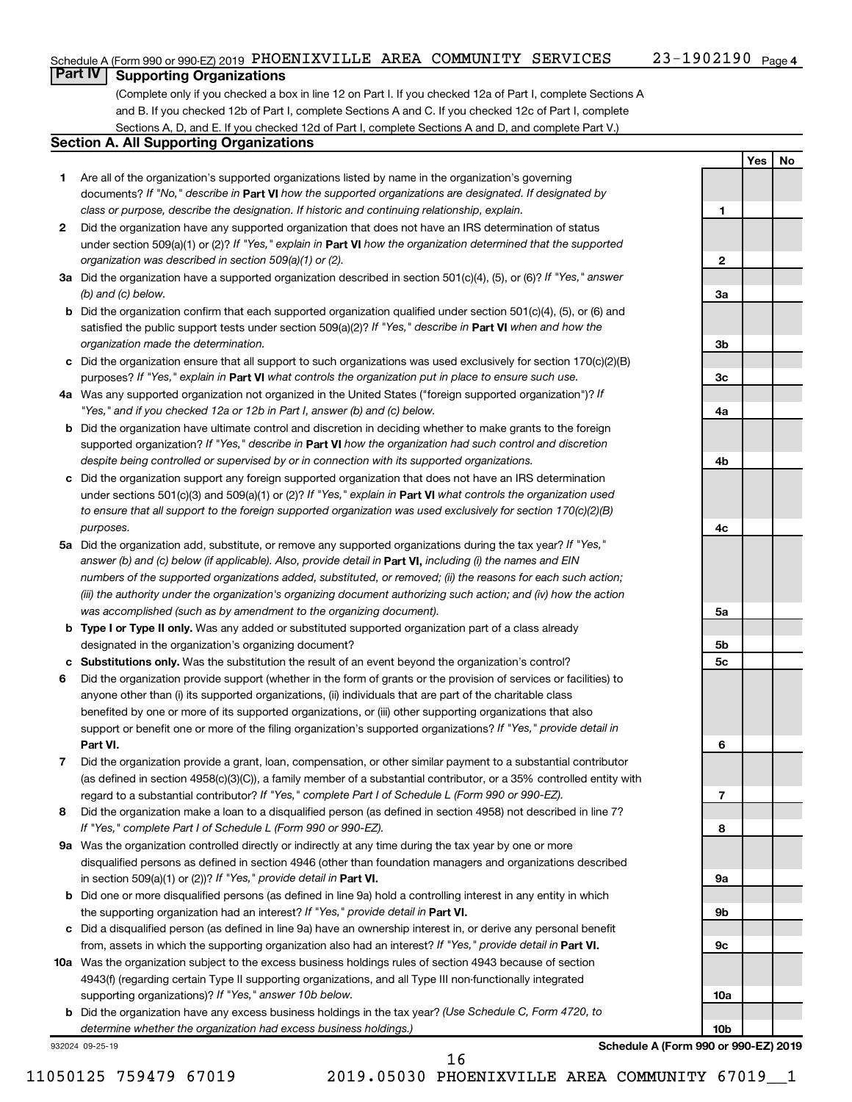## **Part IV Supporting Organizations**

(Complete only if you checked a box in line 12 on Part I. If you checked 12a of Part I, complete Sections A and B. If you checked 12b of Part I, complete Sections A and C. If you checked 12c of Part I, complete Sections A, D, and E. If you checked 12d of Part I, complete Sections A and D, and complete Part V.)

### **Section A. All Supporting Organizations**

- **1** Are all of the organization's supported organizations listed by name in the organization's governing documents? If "No," describe in Part VI how the supported organizations are designated. If designated by *class or purpose, describe the designation. If historic and continuing relationship, explain.*
- **2** Did the organization have any supported organization that does not have an IRS determination of status under section 509(a)(1) or (2)? If "Yes," explain in Part **VI** how the organization determined that the supported *organization was described in section 509(a)(1) or (2).*
- **3a** Did the organization have a supported organization described in section 501(c)(4), (5), or (6)? If "Yes," answer *(b) and (c) below.*
- **b** Did the organization confirm that each supported organization qualified under section 501(c)(4), (5), or (6) and satisfied the public support tests under section 509(a)(2)? If "Yes," describe in Part VI when and how the *organization made the determination.*
- **c** Did the organization ensure that all support to such organizations was used exclusively for section 170(c)(2)(B) purposes? If "Yes," explain in Part VI what controls the organization put in place to ensure such use.
- **4 a** *If* Was any supported organization not organized in the United States ("foreign supported organization")? *"Yes," and if you checked 12a or 12b in Part I, answer (b) and (c) below.*
- **b** Did the organization have ultimate control and discretion in deciding whether to make grants to the foreign supported organization? If "Yes," describe in Part VI how the organization had such control and discretion *despite being controlled or supervised by or in connection with its supported organizations.*
- **c** Did the organization support any foreign supported organization that does not have an IRS determination under sections 501(c)(3) and 509(a)(1) or (2)? If "Yes," explain in Part VI what controls the organization used *to ensure that all support to the foreign supported organization was used exclusively for section 170(c)(2)(B) purposes.*
- **5a** Did the organization add, substitute, or remove any supported organizations during the tax year? If "Yes," answer (b) and (c) below (if applicable). Also, provide detail in **Part VI,** including (i) the names and EIN *numbers of the supported organizations added, substituted, or removed; (ii) the reasons for each such action; (iii) the authority under the organization's organizing document authorizing such action; and (iv) how the action was accomplished (such as by amendment to the organizing document).*
- **b** Type I or Type II only. Was any added or substituted supported organization part of a class already designated in the organization's organizing document?
- **c Substitutions only.**  Was the substitution the result of an event beyond the organization's control?
- **6** Did the organization provide support (whether in the form of grants or the provision of services or facilities) to **Part VI.** support or benefit one or more of the filing organization's supported organizations? If "Yes," provide detail in anyone other than (i) its supported organizations, (ii) individuals that are part of the charitable class benefited by one or more of its supported organizations, or (iii) other supporting organizations that also
- **7** Did the organization provide a grant, loan, compensation, or other similar payment to a substantial contributor regard to a substantial contributor? If "Yes," complete Part I of Schedule L (Form 990 or 990-EZ). (as defined in section 4958(c)(3)(C)), a family member of a substantial contributor, or a 35% controlled entity with
- **8** Did the organization make a loan to a disqualified person (as defined in section 4958) not described in line 7? *If "Yes," complete Part I of Schedule L (Form 990 or 990-EZ).*
- **9 a** Was the organization controlled directly or indirectly at any time during the tax year by one or more in section 509(a)(1) or (2))? If "Yes," provide detail in **Part VI.** disqualified persons as defined in section 4946 (other than foundation managers and organizations described
- **b** Did one or more disqualified persons (as defined in line 9a) hold a controlling interest in any entity in which the supporting organization had an interest? If "Yes," provide detail in Part VI.
- **c** Did a disqualified person (as defined in line 9a) have an ownership interest in, or derive any personal benefit from, assets in which the supporting organization also had an interest? If "Yes," provide detail in Part VI.
- **10 a** Was the organization subject to the excess business holdings rules of section 4943 because of section supporting organizations)? If "Yes," answer 10b below. 4943(f) (regarding certain Type II supporting organizations, and all Type III non-functionally integrated
	- **b** Did the organization have any excess business holdings in the tax year? (Use Schedule C, Form 4720, to *determine whether the organization had excess business holdings.)*

932024 09-25-19

**Schedule A (Form 990 or 990-EZ) 2019**

**Yes No**

**1**

**2**

**3a**

**3b**

**3c**

**4a**

**4b**

**4c**

**5a**

**5b 5c**

**6**

**7**

**8**

**9a**

**9b**

**9c**

**10a**

**10b**

16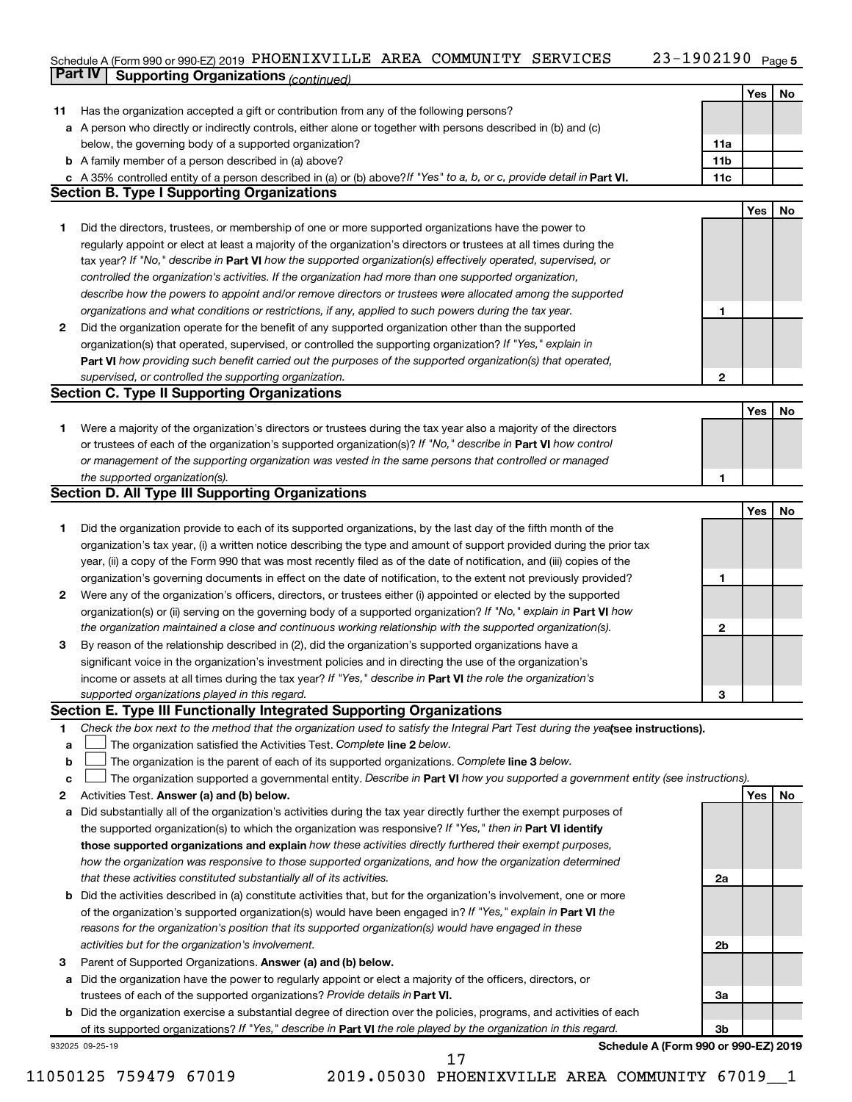#### 23-1902190 Page 5  $S$ chedule A (Form 990 or 990-EZ) 2019 PHOENIXVILLE AREA COMMUNITY SERVICES  $Z3-190Z190$  Page **Part IV Supporting Organizations** *(continued)* PHOENIXVILLE AREA COMMUNITY SERVICES 23-1902190

|              |                                                                                                                                 |                 | Yes | No |
|--------------|---------------------------------------------------------------------------------------------------------------------------------|-----------------|-----|----|
| 11           | Has the organization accepted a gift or contribution from any of the following persons?                                         |                 |     |    |
|              | a A person who directly or indirectly controls, either alone or together with persons described in (b) and (c)                  |                 |     |    |
|              | below, the governing body of a supported organization?                                                                          | 11a             |     |    |
|              | <b>b</b> A family member of a person described in (a) above?                                                                    | 11 <sub>b</sub> |     |    |
|              | c A 35% controlled entity of a person described in (a) or (b) above? If "Yes" to a, b, or c, provide detail in Part VI.         | 11c             |     |    |
|              | <b>Section B. Type I Supporting Organizations</b>                                                                               |                 |     |    |
|              |                                                                                                                                 |                 | Yes | No |
|              |                                                                                                                                 |                 |     |    |
| 1.           | Did the directors, trustees, or membership of one or more supported organizations have the power to                             |                 |     |    |
|              | regularly appoint or elect at least a majority of the organization's directors or trustees at all times during the              |                 |     |    |
|              | tax year? If "No," describe in Part VI how the supported organization(s) effectively operated, supervised, or                   |                 |     |    |
|              | controlled the organization's activities. If the organization had more than one supported organization,                         |                 |     |    |
|              | describe how the powers to appoint and/or remove directors or trustees were allocated among the supported                       |                 |     |    |
|              | organizations and what conditions or restrictions, if any, applied to such powers during the tax year.                          | 1               |     |    |
| $\mathbf{2}$ | Did the organization operate for the benefit of any supported organization other than the supported                             |                 |     |    |
|              | organization(s) that operated, supervised, or controlled the supporting organization? If "Yes," explain in                      |                 |     |    |
|              | Part VI how providing such benefit carried out the purposes of the supported organization(s) that operated,                     |                 |     |    |
|              | supervised, or controlled the supporting organization.                                                                          | $\mathbf{2}$    |     |    |
|              | <b>Section C. Type II Supporting Organizations</b>                                                                              |                 |     |    |
|              |                                                                                                                                 |                 | Yes | No |
| 1.           | Were a majority of the organization's directors or trustees during the tax year also a majority of the directors                |                 |     |    |
|              | or trustees of each of the organization's supported organization(s)? If "No," describe in Part VI how control                   |                 |     |    |
|              | or management of the supporting organization was vested in the same persons that controlled or managed                          |                 |     |    |
|              | the supported organization(s).                                                                                                  | 1               |     |    |
|              | Section D. All Type III Supporting Organizations                                                                                |                 |     |    |
|              |                                                                                                                                 |                 | Yes | No |
| 1.           | Did the organization provide to each of its supported organizations, by the last day of the fifth month of the                  |                 |     |    |
|              | organization's tax year, (i) a written notice describing the type and amount of support provided during the prior tax           |                 |     |    |
|              | year, (ii) a copy of the Form 990 that was most recently filed as of the date of notification, and (iii) copies of the          |                 |     |    |
|              | organization's governing documents in effect on the date of notification, to the extent not previously provided?                | 1               |     |    |
| 2            | Were any of the organization's officers, directors, or trustees either (i) appointed or elected by the supported                |                 |     |    |
|              | organization(s) or (ii) serving on the governing body of a supported organization? If "No," explain in <b>Part VI</b> how       |                 |     |    |
|              | the organization maintained a close and continuous working relationship with the supported organization(s).                     | 2               |     |    |
| 3            | By reason of the relationship described in (2), did the organization's supported organizations have a                           |                 |     |    |
|              | significant voice in the organization's investment policies and in directing the use of the organization's                      |                 |     |    |
|              | income or assets at all times during the tax year? If "Yes," describe in Part VI the role the organization's                    |                 |     |    |
|              | supported organizations played in this regard.                                                                                  | 3               |     |    |
|              | Section E. Type III Functionally Integrated Supporting Organizations                                                            |                 |     |    |
| 1            | Check the box next to the method that the organization used to satisfy the Integral Part Test during the yealsee instructions). |                 |     |    |
| a            | The organization satisfied the Activities Test. Complete line 2 below.                                                          |                 |     |    |
| b            | The organization is the parent of each of its supported organizations. Complete line 3 below.                                   |                 |     |    |
| c            | The organization supported a governmental entity. Describe in Part VI how you supported a government entity (see instructions). |                 |     |    |
| 2            | Activities Test. Answer (a) and (b) below.                                                                                      |                 | Yes | No |
| a            | Did substantially all of the organization's activities during the tax year directly further the exempt purposes of              |                 |     |    |
|              | the supported organization(s) to which the organization was responsive? If "Yes," then in Part VI identify                      |                 |     |    |
|              | those supported organizations and explain how these activities directly furthered their exempt purposes,                        |                 |     |    |
|              | how the organization was responsive to those supported organizations, and how the organization determined                       |                 |     |    |
|              |                                                                                                                                 |                 |     |    |
|              | that these activities constituted substantially all of its activities.                                                          | 2a              |     |    |
|              | <b>b</b> Did the activities described in (a) constitute activities that, but for the organization's involvement, one or more    |                 |     |    |
|              | of the organization's supported organization(s) would have been engaged in? If "Yes," explain in Part VI the                    |                 |     |    |
|              | reasons for the organization's position that its supported organization(s) would have engaged in these                          |                 |     |    |
|              | activities but for the organization's involvement.                                                                              | 2b              |     |    |
| з            | Parent of Supported Organizations. Answer (a) and (b) below.                                                                    |                 |     |    |
|              | a Did the organization have the power to regularly appoint or elect a majority of the officers, directors, or                   |                 |     |    |
|              | trustees of each of the supported organizations? Provide details in Part VI.                                                    | За              |     |    |
|              | <b>b</b> Did the organization exercise a substantial degree of direction over the policies, programs, and activities of each    |                 |     |    |
|              | of its supported organizations? If "Yes," describe in Part VI the role played by the organization in this regard.               | 3b              |     |    |

932025 09-25-19

**Schedule A (Form 990 or 990-EZ) 2019**

17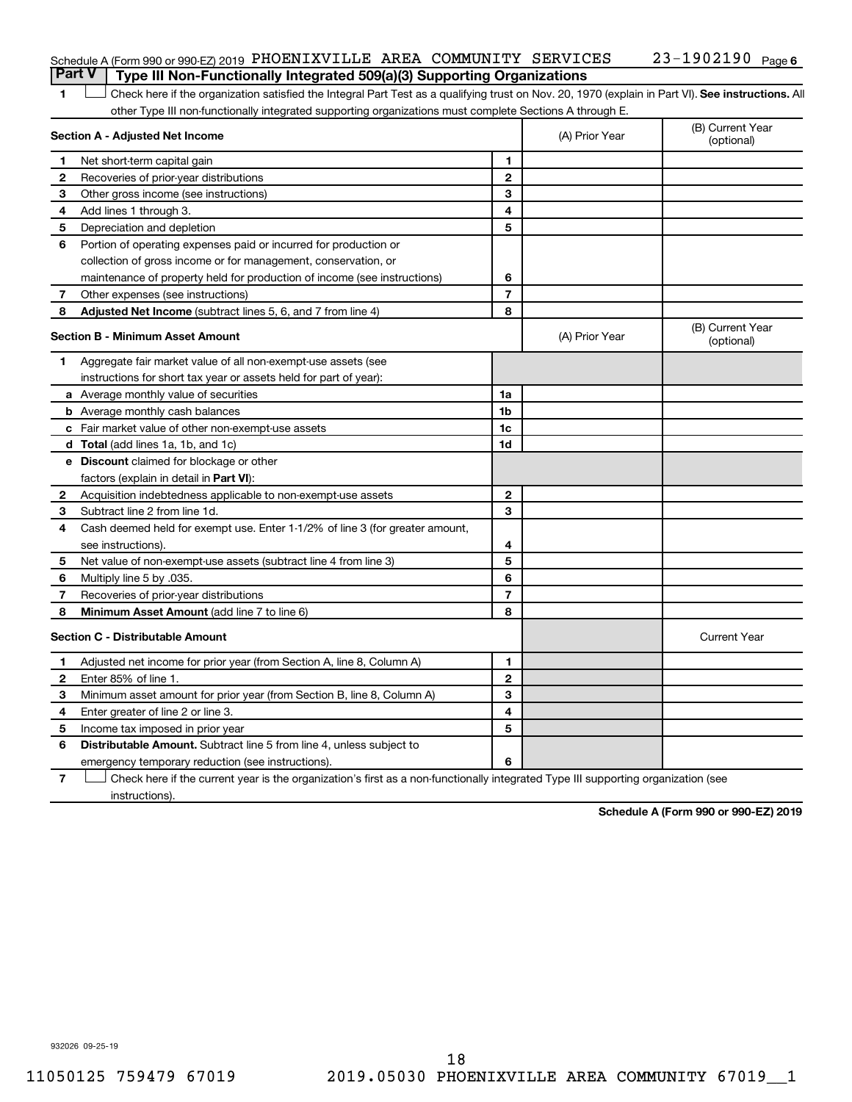| <b>Part V</b> Type III Non-Functionally Integrated 509(a)(3) Supporting Organizations |  |  |                              |  |
|---------------------------------------------------------------------------------------|--|--|------------------------------|--|
| Schedule A (Form 990 or 990-EZ) 2019 PHOENIXVILLE AREA COMMUNITY SERVICES             |  |  | 23-1902190 <sub>Page 6</sub> |  |

1 **Letter See instructions.** All Check here if the organization satisfied the Integral Part Test as a qualifying trust on Nov. 20, 1970 (explain in Part VI). See instructions. All other Type III non-functionally integrated supporting organizations must complete Sections A through E.

|    | Section A - Adjusted Net Income                                                                                                   | (A) Prior Year | (B) Current Year<br>(optional) |                                |
|----|-----------------------------------------------------------------------------------------------------------------------------------|----------------|--------------------------------|--------------------------------|
| 1  | Net short-term capital gain                                                                                                       | 1              |                                |                                |
| 2  | Recoveries of prior-year distributions                                                                                            | $\mathbf{2}$   |                                |                                |
| З  | Other gross income (see instructions)                                                                                             | 3              |                                |                                |
| 4  | Add lines 1 through 3.                                                                                                            | 4              |                                |                                |
| 5  | Depreciation and depletion                                                                                                        | 5              |                                |                                |
| 6  | Portion of operating expenses paid or incurred for production or                                                                  |                |                                |                                |
|    | collection of gross income or for management, conservation, or                                                                    |                |                                |                                |
|    | maintenance of property held for production of income (see instructions)                                                          | 6              |                                |                                |
| 7  | Other expenses (see instructions)                                                                                                 | $\overline{7}$ |                                |                                |
| 8  | Adjusted Net Income (subtract lines 5, 6, and 7 from line 4)                                                                      | 8              |                                |                                |
|    | <b>Section B - Minimum Asset Amount</b>                                                                                           |                | (A) Prior Year                 | (B) Current Year<br>(optional) |
| 1. | Aggregate fair market value of all non-exempt-use assets (see                                                                     |                |                                |                                |
|    | instructions for short tax year or assets held for part of year):                                                                 |                |                                |                                |
|    | <b>a</b> Average monthly value of securities                                                                                      | 1a             |                                |                                |
|    | <b>b</b> Average monthly cash balances                                                                                            | 1 <sub>b</sub> |                                |                                |
|    | c Fair market value of other non-exempt-use assets                                                                                | 1c             |                                |                                |
|    | d Total (add lines 1a, 1b, and 1c)                                                                                                | 1d             |                                |                                |
|    | e Discount claimed for blockage or other                                                                                          |                |                                |                                |
|    | factors (explain in detail in Part VI):                                                                                           |                |                                |                                |
| 2  | Acquisition indebtedness applicable to non-exempt-use assets                                                                      | 2              |                                |                                |
| 3  | Subtract line 2 from line 1d.                                                                                                     | 3              |                                |                                |
| 4  | Cash deemed held for exempt use. Enter 1-1/2% of line 3 (for greater amount,                                                      |                |                                |                                |
|    | see instructions).                                                                                                                | 4              |                                |                                |
| 5  | Net value of non-exempt-use assets (subtract line 4 from line 3)                                                                  | 5              |                                |                                |
| 6  | Multiply line 5 by .035.                                                                                                          | 6              |                                |                                |
| 7  | Recoveries of prior-year distributions                                                                                            | $\overline{7}$ |                                |                                |
| 8  | Minimum Asset Amount (add line 7 to line 6)                                                                                       | 8              |                                |                                |
|    | <b>Section C - Distributable Amount</b>                                                                                           |                |                                | <b>Current Year</b>            |
| 1  | Adjusted net income for prior year (from Section A, line 8, Column A)                                                             | $\mathbf{1}$   |                                |                                |
| 2  | Enter 85% of line 1.                                                                                                              | $\overline{2}$ |                                |                                |
| З  | Minimum asset amount for prior year (from Section B, line 8, Column A)                                                            | 3              |                                |                                |
| 4  | Enter greater of line 2 or line 3.                                                                                                | 4              |                                |                                |
| 5  | Income tax imposed in prior year                                                                                                  | 5              |                                |                                |
| 6  | <b>Distributable Amount.</b> Subtract line 5 from line 4, unless subject to                                                       |                |                                |                                |
|    | emergency temporary reduction (see instructions).                                                                                 | 6              |                                |                                |
| 7  | Check here if the current year is the organization's first as a non-functionally integrated Type III supporting organization (see |                |                                |                                |

instructions).

**Schedule A (Form 990 or 990-EZ) 2019**

932026 09-25-19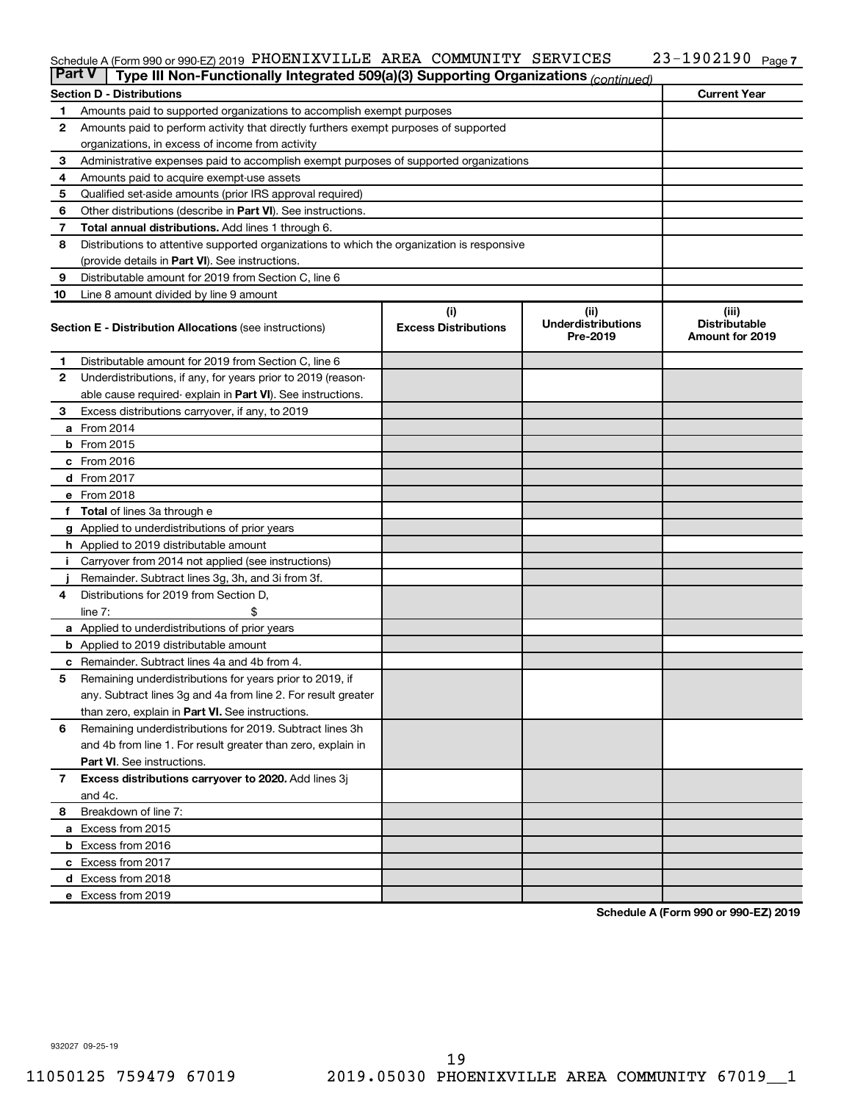#### $S$ chedule A (Form 990 or 990-EZ) 2019 PHOENIXVILLE AREA COMMUNITY SERVICES  $Z3-190Z190$  Page COMMUNITY SERVICES

| <b>Part V</b><br>Type III Non-Functionally Integrated 509(a)(3) Supporting Organizations (continued) |                                                                                            |                             |                                       |                                                |  |  |  |  |  |
|------------------------------------------------------------------------------------------------------|--------------------------------------------------------------------------------------------|-----------------------------|---------------------------------------|------------------------------------------------|--|--|--|--|--|
|                                                                                                      | <b>Current Year</b><br><b>Section D - Distributions</b>                                    |                             |                                       |                                                |  |  |  |  |  |
| 1                                                                                                    | Amounts paid to supported organizations to accomplish exempt purposes                      |                             |                                       |                                                |  |  |  |  |  |
| $\mathbf{2}$                                                                                         | Amounts paid to perform activity that directly furthers exempt purposes of supported       |                             |                                       |                                                |  |  |  |  |  |
|                                                                                                      | organizations, in excess of income from activity                                           |                             |                                       |                                                |  |  |  |  |  |
| 3                                                                                                    | Administrative expenses paid to accomplish exempt purposes of supported organizations      |                             |                                       |                                                |  |  |  |  |  |
| 4                                                                                                    | Amounts paid to acquire exempt-use assets                                                  |                             |                                       |                                                |  |  |  |  |  |
| 5                                                                                                    | Qualified set-aside amounts (prior IRS approval required)                                  |                             |                                       |                                                |  |  |  |  |  |
| 6                                                                                                    | Other distributions (describe in <b>Part VI</b> ). See instructions.                       |                             |                                       |                                                |  |  |  |  |  |
| 7                                                                                                    | Total annual distributions. Add lines 1 through 6.                                         |                             |                                       |                                                |  |  |  |  |  |
| 8                                                                                                    | Distributions to attentive supported organizations to which the organization is responsive |                             |                                       |                                                |  |  |  |  |  |
|                                                                                                      | (provide details in Part VI). See instructions.                                            |                             |                                       |                                                |  |  |  |  |  |
| 9                                                                                                    | Distributable amount for 2019 from Section C, line 6                                       |                             |                                       |                                                |  |  |  |  |  |
| 10                                                                                                   | Line 8 amount divided by line 9 amount                                                     |                             |                                       |                                                |  |  |  |  |  |
|                                                                                                      |                                                                                            | (i)                         | (ii)                                  | (iii)                                          |  |  |  |  |  |
|                                                                                                      | <b>Section E - Distribution Allocations (see instructions)</b>                             | <b>Excess Distributions</b> | <b>Underdistributions</b><br>Pre-2019 | <b>Distributable</b><br><b>Amount for 2019</b> |  |  |  |  |  |
| 1                                                                                                    | Distributable amount for 2019 from Section C, line 6                                       |                             |                                       |                                                |  |  |  |  |  |
| 2                                                                                                    | Underdistributions, if any, for years prior to 2019 (reason-                               |                             |                                       |                                                |  |  |  |  |  |
|                                                                                                      | able cause required-explain in Part VI). See instructions.                                 |                             |                                       |                                                |  |  |  |  |  |
| 3                                                                                                    | Excess distributions carryover, if any, to 2019                                            |                             |                                       |                                                |  |  |  |  |  |
|                                                                                                      | a From 2014                                                                                |                             |                                       |                                                |  |  |  |  |  |
|                                                                                                      | <b>b</b> From 2015                                                                         |                             |                                       |                                                |  |  |  |  |  |
|                                                                                                      | c From 2016                                                                                |                             |                                       |                                                |  |  |  |  |  |
|                                                                                                      | d From 2017                                                                                |                             |                                       |                                                |  |  |  |  |  |
|                                                                                                      | e From 2018                                                                                |                             |                                       |                                                |  |  |  |  |  |
|                                                                                                      | f Total of lines 3a through e                                                              |                             |                                       |                                                |  |  |  |  |  |
|                                                                                                      | <b>g</b> Applied to underdistributions of prior years                                      |                             |                                       |                                                |  |  |  |  |  |
|                                                                                                      | <b>h</b> Applied to 2019 distributable amount                                              |                             |                                       |                                                |  |  |  |  |  |
| Ť.                                                                                                   | Carryover from 2014 not applied (see instructions)                                         |                             |                                       |                                                |  |  |  |  |  |
|                                                                                                      | Remainder. Subtract lines 3g, 3h, and 3i from 3f.                                          |                             |                                       |                                                |  |  |  |  |  |
| 4                                                                                                    | Distributions for 2019 from Section D,                                                     |                             |                                       |                                                |  |  |  |  |  |
|                                                                                                      | line $7:$                                                                                  |                             |                                       |                                                |  |  |  |  |  |
|                                                                                                      | a Applied to underdistributions of prior years                                             |                             |                                       |                                                |  |  |  |  |  |
|                                                                                                      | <b>b</b> Applied to 2019 distributable amount                                              |                             |                                       |                                                |  |  |  |  |  |
| c                                                                                                    | Remainder. Subtract lines 4a and 4b from 4.                                                |                             |                                       |                                                |  |  |  |  |  |
| 5                                                                                                    | Remaining underdistributions for years prior to 2019, if                                   |                             |                                       |                                                |  |  |  |  |  |
|                                                                                                      | any. Subtract lines 3g and 4a from line 2. For result greater                              |                             |                                       |                                                |  |  |  |  |  |
|                                                                                                      | than zero, explain in Part VI. See instructions.                                           |                             |                                       |                                                |  |  |  |  |  |
| 6                                                                                                    | Remaining underdistributions for 2019. Subtract lines 3h                                   |                             |                                       |                                                |  |  |  |  |  |
|                                                                                                      | and 4b from line 1. For result greater than zero, explain in                               |                             |                                       |                                                |  |  |  |  |  |
|                                                                                                      | <b>Part VI.</b> See instructions.                                                          |                             |                                       |                                                |  |  |  |  |  |
| $\overline{7}$                                                                                       | Excess distributions carryover to 2020. Add lines 3j                                       |                             |                                       |                                                |  |  |  |  |  |
|                                                                                                      | and 4c.                                                                                    |                             |                                       |                                                |  |  |  |  |  |
| 8                                                                                                    | Breakdown of line 7:                                                                       |                             |                                       |                                                |  |  |  |  |  |
|                                                                                                      | a Excess from 2015                                                                         |                             |                                       |                                                |  |  |  |  |  |
|                                                                                                      | <b>b</b> Excess from 2016                                                                  |                             |                                       |                                                |  |  |  |  |  |
|                                                                                                      | c Excess from 2017                                                                         |                             |                                       |                                                |  |  |  |  |  |
|                                                                                                      | d Excess from 2018                                                                         |                             |                                       |                                                |  |  |  |  |  |
|                                                                                                      | e Excess from 2019                                                                         |                             |                                       |                                                |  |  |  |  |  |

**Schedule A (Form 990 or 990-EZ) 2019**

932027 09-25-19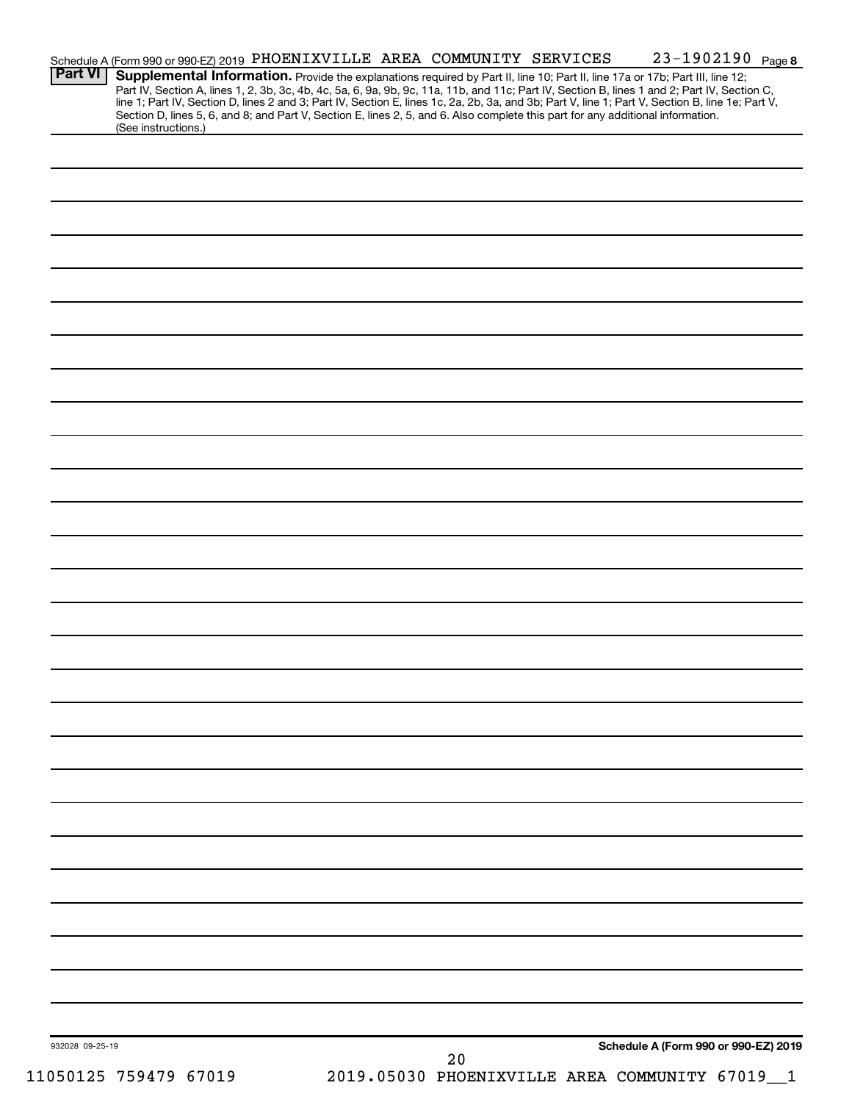|                 | Schedule A (Form 990 or 990-EZ) 2019 PHOENIXVILLE AREA COMMUNITY SERVICES                                                                                                                                                                                                           |  |    |  | 23-1902190 Page 8                            |  |
|-----------------|-------------------------------------------------------------------------------------------------------------------------------------------------------------------------------------------------------------------------------------------------------------------------------------|--|----|--|----------------------------------------------|--|
| <b>Part VI</b>  | Supplemental Information. Provide the explanations required by Part II, line 10; Part II, line 17a or 17b; Part III, line 12;<br>Part IV, Section A, lines 1, 2, 3b, 3c, 4b, 4c, 5a, 6, 9a, 9b, 9c, 11a, 11b, and 11c; Part IV, Section B, lines 1 and 2; Part IV, Section C,       |  |    |  |                                              |  |
|                 | line 1; Part IV, Section D, lines 2 and 3; Part IV, Section E, lines 1c, 2a, 2b, 3a, and 3b; Part V, line 1; Part V, Section B, line 1e; Part V,<br>Section D, lines 5, 6, and 8; and Part V, Section E, lines 2, 5, and 6. Also complete this part for any additional information. |  |    |  |                                              |  |
|                 | (See instructions.)                                                                                                                                                                                                                                                                 |  |    |  |                                              |  |
|                 |                                                                                                                                                                                                                                                                                     |  |    |  |                                              |  |
|                 |                                                                                                                                                                                                                                                                                     |  |    |  |                                              |  |
|                 |                                                                                                                                                                                                                                                                                     |  |    |  |                                              |  |
|                 |                                                                                                                                                                                                                                                                                     |  |    |  |                                              |  |
|                 |                                                                                                                                                                                                                                                                                     |  |    |  |                                              |  |
|                 |                                                                                                                                                                                                                                                                                     |  |    |  |                                              |  |
|                 |                                                                                                                                                                                                                                                                                     |  |    |  |                                              |  |
|                 |                                                                                                                                                                                                                                                                                     |  |    |  |                                              |  |
|                 |                                                                                                                                                                                                                                                                                     |  |    |  |                                              |  |
|                 |                                                                                                                                                                                                                                                                                     |  |    |  |                                              |  |
|                 |                                                                                                                                                                                                                                                                                     |  |    |  |                                              |  |
|                 |                                                                                                                                                                                                                                                                                     |  |    |  |                                              |  |
|                 |                                                                                                                                                                                                                                                                                     |  |    |  |                                              |  |
|                 |                                                                                                                                                                                                                                                                                     |  |    |  |                                              |  |
|                 |                                                                                                                                                                                                                                                                                     |  |    |  |                                              |  |
|                 |                                                                                                                                                                                                                                                                                     |  |    |  |                                              |  |
|                 |                                                                                                                                                                                                                                                                                     |  |    |  |                                              |  |
|                 |                                                                                                                                                                                                                                                                                     |  |    |  |                                              |  |
|                 |                                                                                                                                                                                                                                                                                     |  |    |  |                                              |  |
|                 |                                                                                                                                                                                                                                                                                     |  |    |  |                                              |  |
|                 |                                                                                                                                                                                                                                                                                     |  |    |  |                                              |  |
|                 |                                                                                                                                                                                                                                                                                     |  |    |  |                                              |  |
|                 |                                                                                                                                                                                                                                                                                     |  |    |  |                                              |  |
|                 |                                                                                                                                                                                                                                                                                     |  |    |  |                                              |  |
|                 |                                                                                                                                                                                                                                                                                     |  |    |  |                                              |  |
|                 |                                                                                                                                                                                                                                                                                     |  |    |  |                                              |  |
|                 |                                                                                                                                                                                                                                                                                     |  |    |  |                                              |  |
|                 |                                                                                                                                                                                                                                                                                     |  |    |  |                                              |  |
|                 |                                                                                                                                                                                                                                                                                     |  |    |  |                                              |  |
|                 |                                                                                                                                                                                                                                                                                     |  |    |  |                                              |  |
|                 |                                                                                                                                                                                                                                                                                     |  |    |  |                                              |  |
|                 |                                                                                                                                                                                                                                                                                     |  |    |  |                                              |  |
|                 |                                                                                                                                                                                                                                                                                     |  |    |  |                                              |  |
|                 |                                                                                                                                                                                                                                                                                     |  |    |  |                                              |  |
|                 |                                                                                                                                                                                                                                                                                     |  |    |  |                                              |  |
|                 |                                                                                                                                                                                                                                                                                     |  |    |  |                                              |  |
|                 |                                                                                                                                                                                                                                                                                     |  |    |  |                                              |  |
|                 |                                                                                                                                                                                                                                                                                     |  |    |  |                                              |  |
|                 |                                                                                                                                                                                                                                                                                     |  |    |  |                                              |  |
|                 |                                                                                                                                                                                                                                                                                     |  |    |  |                                              |  |
|                 |                                                                                                                                                                                                                                                                                     |  |    |  |                                              |  |
|                 |                                                                                                                                                                                                                                                                                     |  |    |  |                                              |  |
|                 |                                                                                                                                                                                                                                                                                     |  |    |  |                                              |  |
|                 |                                                                                                                                                                                                                                                                                     |  |    |  |                                              |  |
| 932028 09-25-19 |                                                                                                                                                                                                                                                                                     |  |    |  | Schedule A (Form 990 or 990-EZ) 2019         |  |
|                 |                                                                                                                                                                                                                                                                                     |  | 20 |  |                                              |  |
|                 | 11050125 759479 67019                                                                                                                                                                                                                                                               |  |    |  | 2019.05030 PHOENIXVILLE AREA COMMUNITY 67019 |  |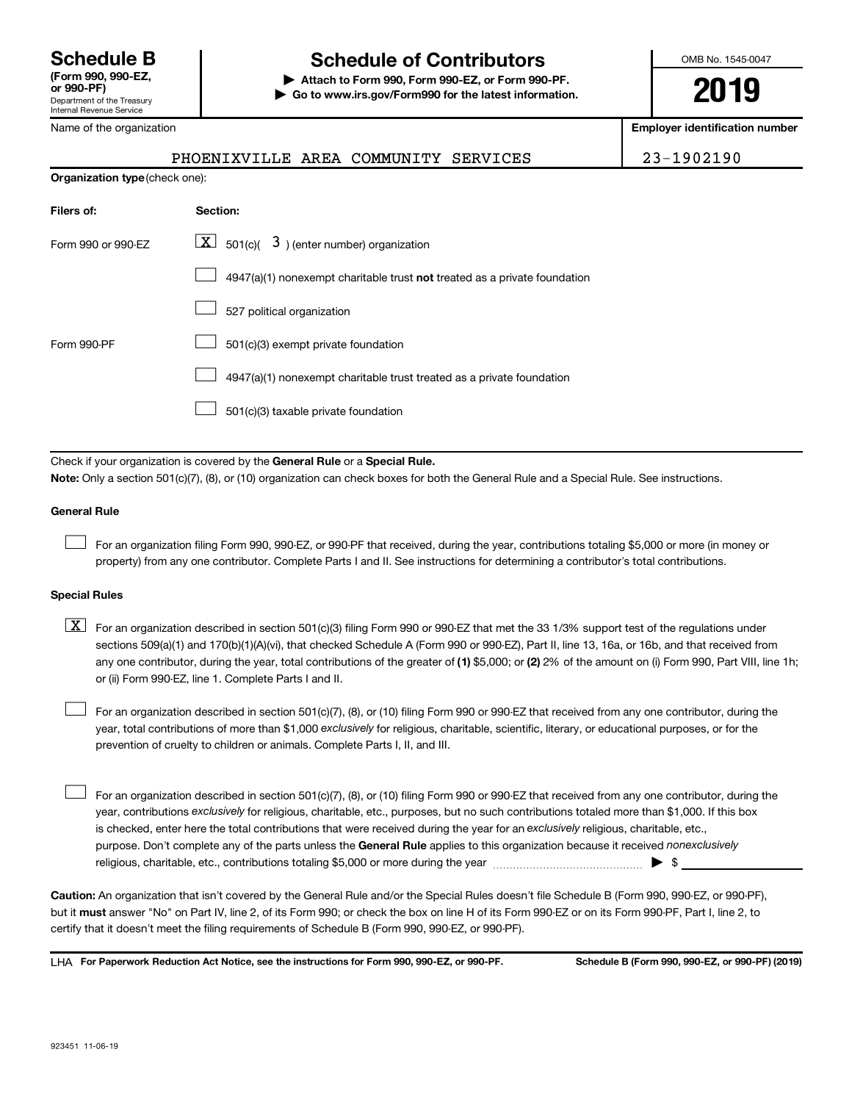## **Schedule B Schedule of Contributors**

**or 990-PF) | Attach to Form 990, Form 990-EZ, or Form 990-PF. | Go to www.irs.gov/Form990 for the latest information.** OMB No. 1545-0047

**2019**

**Employer identification number**

| 23-1902190 |
|------------|
|------------|

| Name of the organization |  |
|--------------------------|--|
|--------------------------|--|

| <b>Organization type</b> (check one): |                                                                           |  |  |  |  |  |
|---------------------------------------|---------------------------------------------------------------------------|--|--|--|--|--|
| Filers of:                            | Section:                                                                  |  |  |  |  |  |
| Form 990 or 990-EZ                    | $\boxed{\textbf{X}}$ 501(c)( 3) (enter number) organization               |  |  |  |  |  |
|                                       | 4947(a)(1) nonexempt charitable trust not treated as a private foundation |  |  |  |  |  |
|                                       | 527 political organization                                                |  |  |  |  |  |
| Form 990-PF                           | 501(c)(3) exempt private foundation                                       |  |  |  |  |  |
|                                       | 4947(a)(1) nonexempt charitable trust treated as a private foundation     |  |  |  |  |  |
|                                       | 501(c)(3) taxable private foundation                                      |  |  |  |  |  |
|                                       |                                                                           |  |  |  |  |  |

PHOENIXVILLE AREA COMMUNITY SERVICES

Check if your organization is covered by the General Rule or a Special Rule. **Note:**  Only a section 501(c)(7), (8), or (10) organization can check boxes for both the General Rule and a Special Rule. See instructions.

### **General Rule**

 $\Box$ 

For an organization filing Form 990, 990-EZ, or 990-PF that received, during the year, contributions totaling \$5,000 or more (in money or property) from any one contributor. Complete Parts I and II. See instructions for determining a contributor's total contributions.

### **Special Rules**

any one contributor, during the year, total contributions of the greater of (1) \$5,000; or (2) 2% of the amount on (i) Form 990, Part VIII, line 1h;  $\boxed{\text{X}}$  For an organization described in section 501(c)(3) filing Form 990 or 990-EZ that met the 33 1/3% support test of the regulations under sections 509(a)(1) and 170(b)(1)(A)(vi), that checked Schedule A (Form 990 or 990-EZ), Part II, line 13, 16a, or 16b, and that received from or (ii) Form 990-EZ, line 1. Complete Parts I and II.

year, total contributions of more than \$1,000 *exclusively* for religious, charitable, scientific, literary, or educational purposes, or for the For an organization described in section 501(c)(7), (8), or (10) filing Form 990 or 990-EZ that received from any one contributor, during the prevention of cruelty to children or animals. Complete Parts I, II, and III.  $\Box$ 

purpose. Don't complete any of the parts unless the General Rule applies to this organization because it received nonexclusively year, contributions exclusively for religious, charitable, etc., purposes, but no such contributions totaled more than \$1,000. If this box is checked, enter here the total contributions that were received during the year for an exclusively religious, charitable, etc., For an organization described in section 501(c)(7), (8), or (10) filing Form 990 or 990-EZ that received from any one contributor, during the religious, charitable, etc., contributions totaling \$5,000 or more during the year  $~\ldots\ldots\ldots\ldots\ldots\ldots\ldots\ldots\ldots\blacktriangleright~$ \$  $\Box$ 

**Caution:**  An organization that isn't covered by the General Rule and/or the Special Rules doesn't file Schedule B (Form 990, 990-EZ, or 990-PF),  **must** but it answer "No" on Part IV, line 2, of its Form 990; or check the box on line H of its Form 990-EZ or on its Form 990-PF, Part I, line 2, to certify that it doesn't meet the filing requirements of Schedule B (Form 990, 990-EZ, or 990-PF).

**For Paperwork Reduction Act Notice, see the instructions for Form 990, 990-EZ, or 990-PF. Schedule B (Form 990, 990-EZ, or 990-PF) (2019)** LHA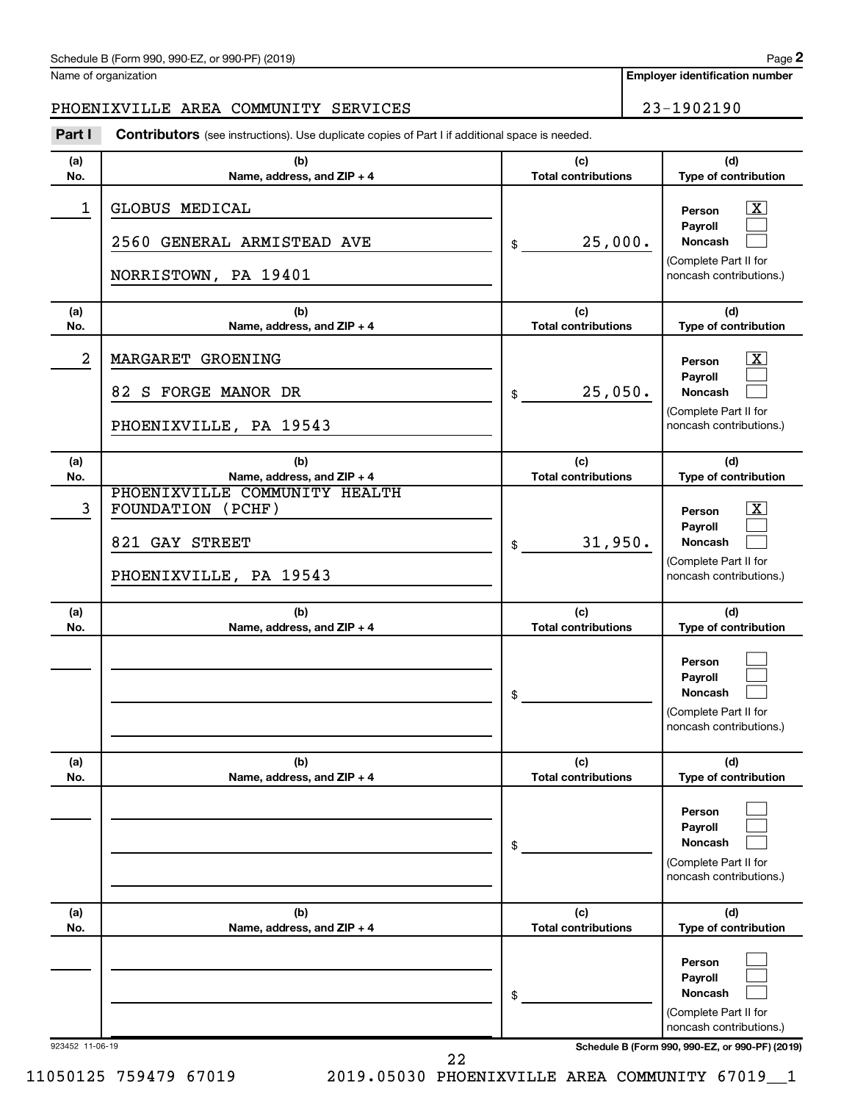| Schedule B (Form 990, 990-EZ, or 990-PF) (2019)<br>$\sqrt{2}$ and $\sqrt{2}$ and $\sqrt{2}$ and $\sqrt{2}$ and $\sqrt{2}$ and $\sqrt{2}$ and $\sqrt{2}$ and $\sqrt{2}$ and $\sqrt{2}$ and $\sqrt{2}$ and $\sqrt{2}$ and $\sqrt{2}$ and $\sqrt{2}$ and $\sqrt{2}$ and $\sqrt{2}$ and $\sqrt{2}$ and $\sqrt{2}$ and $\sqrt{2}$ and $\sqrt{2$ | Page |
|--------------------------------------------------------------------------------------------------------------------------------------------------------------------------------------------------------------------------------------------------------------------------------------------------------------------------------------------|------|
|--------------------------------------------------------------------------------------------------------------------------------------------------------------------------------------------------------------------------------------------------------------------------------------------------------------------------------------------|------|

Name of organization

**Employer identification number**

### PHOENIXVILLE AREA COMMUNITY SERVICES  $\vert$  23-1902190

**(a) No. (b) Name, address, and ZIP + 4 (c) Total contributions (d) Type of contribution Person Payroll Noncash (a) No. (b) Name, address, and ZIP + 4 (c) Total contributions (d) Type of contribution Person Payroll Noncash (a) No. (b) Name, address, and ZIP + 4 (c) Total contributions (d) Type of contribution Person Payroll Noncash (a) No. (b) Name, address, and ZIP + 4 (c) Total contributions (d) Type of contribution Person Payroll Noncash (a) No. (b) Name, address, and ZIP + 4 (c) Total contributions (d) Type of contribution Person Payroll Noncash (a) No. (b) Name, address, and ZIP + 4 (c) Total contributions (d) Type of contribution Person Payroll Noncash Part I** Contributors (see instructions). Use duplicate copies of Part I if additional space is needed. \$ (Complete Part II for noncash contributions.) \$ (Complete Part II for noncash contributions.) \$ (Complete Part II for noncash contributions.) \$ (Complete Part II for noncash contributions.) \$ (Complete Part II for noncash contributions.) \$ (Complete Part II for †  $\Box$  $\Box$  $\overline{\mathbf{X}}$  $\Box$  $\Box$  $\boxed{\textbf{X}}$  $\Box$  $\Box$  $\Box$  $\Box$  $\Box$  $\Box$  $\Box$  $\Box$  $\Box$  $\Box$  $\Box$ 1 | GLOBUS MEDICAL 2560 GENERAL ARMISTEAD AVE  $\frac{1}{3}$  25,000. NORRISTOWN, PA 19401 2 | MARGARET GROENING 82 S FORGE MANOR DR  $\vert$  \$ 25,050. PHOENIXVILLE, PA 19543 3 PHOENIXVILLE COMMUNITY HEALTH FOUNDATION (PCHF) X 821 GAY STREET  $\frac{1}{3}$  31,950. PHOENIXVILLE, PA 19543

923452 11-06-19 **Schedule B (Form 990, 990-EZ, or 990-PF) (2019)**

22

11050125 759479 67019 2019.05030 PHOENIXVILLE AREA COMMUNITY 67019\_\_1

noncash contributions.)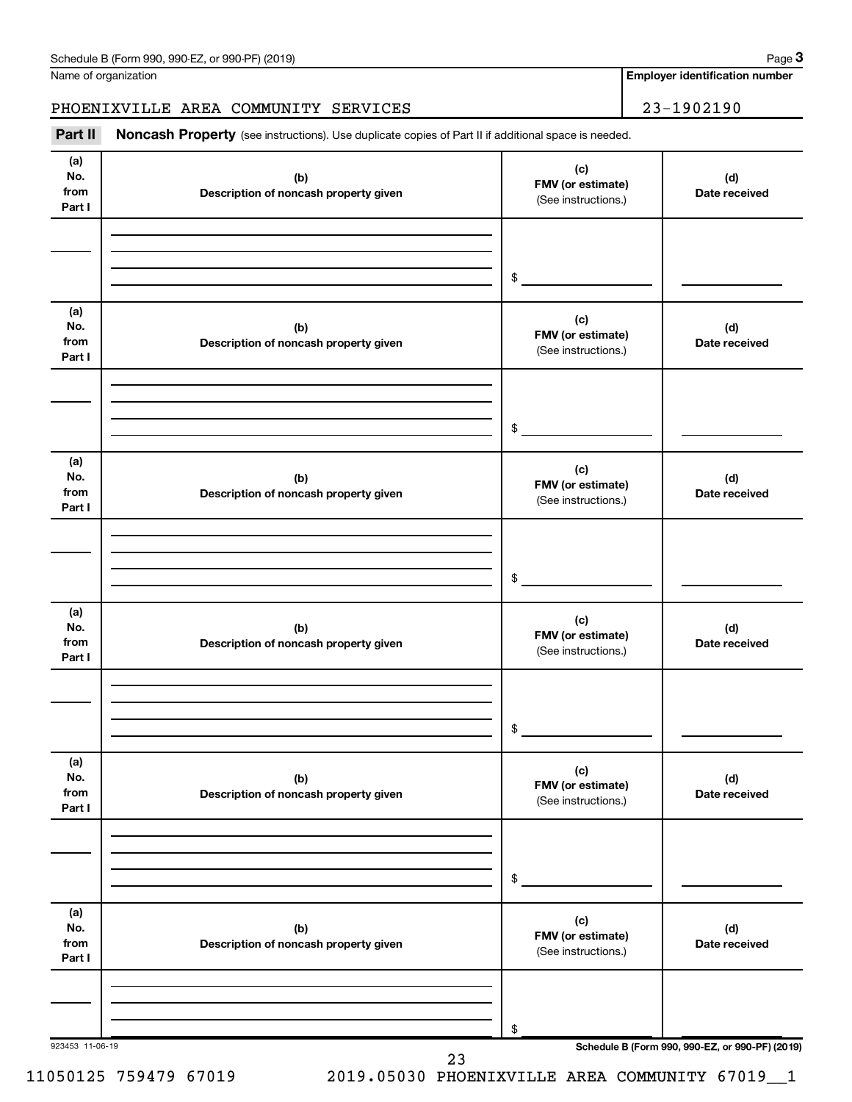Name of organization

**Employer identification number**

### PHOENIXVILLE AREA COMMUNITY SERVICES | 23-1902190

Part II Noncash Property (see instructions). Use duplicate copies of Part II if additional space is needed.

| (a)<br>No.<br>from<br>Part I | (b)<br>Description of noncash property given | (c)<br>FMV (or estimate)<br>(See instructions.) | (d)<br>Date received                            |
|------------------------------|----------------------------------------------|-------------------------------------------------|-------------------------------------------------|
|                              |                                              | \$                                              |                                                 |
| (a)<br>No.<br>from<br>Part I | (b)<br>Description of noncash property given | (c)<br>FMV (or estimate)<br>(See instructions.) | (d)<br>Date received                            |
|                              |                                              | \$                                              |                                                 |
| (a)<br>No.<br>from<br>Part I | (b)<br>Description of noncash property given | (c)<br>FMV (or estimate)<br>(See instructions.) | (d)<br>Date received                            |
|                              |                                              | \$                                              |                                                 |
| (a)<br>No.<br>from<br>Part I | (b)<br>Description of noncash property given | (c)<br>FMV (or estimate)<br>(See instructions.) | (d)<br>Date received                            |
|                              |                                              | \$                                              |                                                 |
| (a)<br>No.<br>from<br>Part I | (b)<br>Description of noncash property given | (c)<br>FMV (or estimate)<br>(See instructions.) | (d)<br>Date received                            |
|                              |                                              | \$                                              |                                                 |
| (a)<br>No.<br>from<br>Part I | (b)<br>Description of noncash property given | (c)<br>FMV (or estimate)<br>(See instructions.) | (d)<br>Date received                            |
|                              |                                              | \$                                              |                                                 |
| 923453 11-06-19              | 23                                           |                                                 | Schedule B (Form 990, 990-EZ, or 990-PF) (2019) |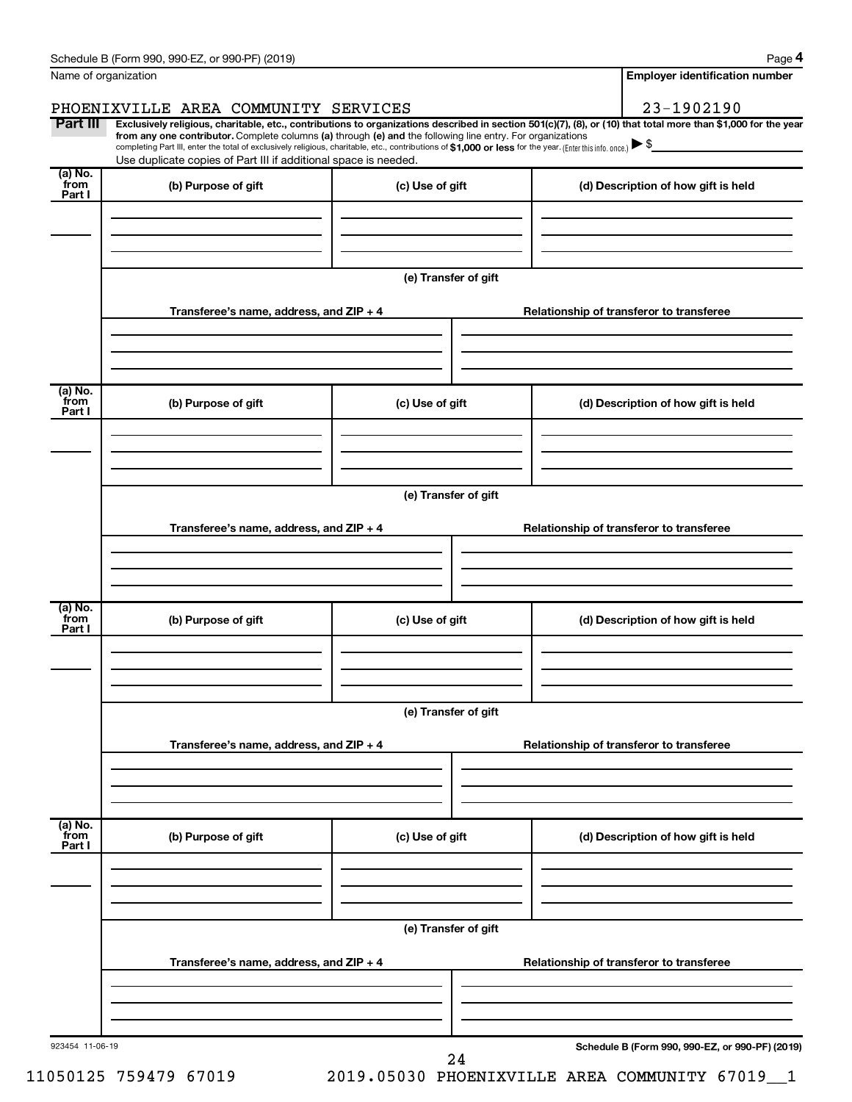|                           | Schedule B (Form 990, 990-EZ, or 990-PF) (2019)                                                                                                                                                                                                                                                                                           |                                          | Page 4                                                                                                                                                         |  |  |  |  |  |
|---------------------------|-------------------------------------------------------------------------------------------------------------------------------------------------------------------------------------------------------------------------------------------------------------------------------------------------------------------------------------------|------------------------------------------|----------------------------------------------------------------------------------------------------------------------------------------------------------------|--|--|--|--|--|
| Name of organization      |                                                                                                                                                                                                                                                                                                                                           |                                          | <b>Employer identification number</b>                                                                                                                          |  |  |  |  |  |
|                           | PHOENIXVILLE AREA COMMUNITY SERVICES                                                                                                                                                                                                                                                                                                      |                                          | 23-1902190                                                                                                                                                     |  |  |  |  |  |
| Part III                  | from any one contributor. Complete columns (a) through (e) and the following line entry. For organizations<br>completing Part III, enter the total of exclusively religious, charitable, etc., contributions of \$1,000 or less for the year. (Enter this info. once.)<br>Use duplicate copies of Part III if additional space is needed. |                                          | Exclusively religious, charitable, etc., contributions to organizations described in section 501(c)(7), (8), or (10) that total more than \$1,000 for the year |  |  |  |  |  |
| (a) No.<br>from<br>Part I | (b) Purpose of gift                                                                                                                                                                                                                                                                                                                       | (c) Use of gift                          | (d) Description of how gift is held                                                                                                                            |  |  |  |  |  |
|                           |                                                                                                                                                                                                                                                                                                                                           |                                          |                                                                                                                                                                |  |  |  |  |  |
|                           |                                                                                                                                                                                                                                                                                                                                           | (e) Transfer of gift                     |                                                                                                                                                                |  |  |  |  |  |
|                           | Transferee's name, address, and ZIP + 4                                                                                                                                                                                                                                                                                                   |                                          | Relationship of transferor to transferee                                                                                                                       |  |  |  |  |  |
| (a) No.<br>from           | (b) Purpose of gift                                                                                                                                                                                                                                                                                                                       | (c) Use of gift                          | (d) Description of how gift is held                                                                                                                            |  |  |  |  |  |
| Part I                    |                                                                                                                                                                                                                                                                                                                                           |                                          |                                                                                                                                                                |  |  |  |  |  |
|                           |                                                                                                                                                                                                                                                                                                                                           | (e) Transfer of gift                     |                                                                                                                                                                |  |  |  |  |  |
|                           | Transferee's name, address, and ZIP + 4                                                                                                                                                                                                                                                                                                   |                                          | Relationship of transferor to transferee                                                                                                                       |  |  |  |  |  |
|                           |                                                                                                                                                                                                                                                                                                                                           |                                          |                                                                                                                                                                |  |  |  |  |  |
| (a) No.<br>from<br>Part I | (b) Purpose of gift                                                                                                                                                                                                                                                                                                                       | (c) Use of gift                          | (d) Description of how gift is held                                                                                                                            |  |  |  |  |  |
|                           |                                                                                                                                                                                                                                                                                                                                           |                                          |                                                                                                                                                                |  |  |  |  |  |
|                           | (e) Transfer of gift                                                                                                                                                                                                                                                                                                                      |                                          |                                                                                                                                                                |  |  |  |  |  |
|                           | Transferee's name, address, and ZIP + 4                                                                                                                                                                                                                                                                                                   |                                          | Relationship of transferor to transferee                                                                                                                       |  |  |  |  |  |
|                           |                                                                                                                                                                                                                                                                                                                                           |                                          |                                                                                                                                                                |  |  |  |  |  |
| (a) No.<br>from<br>Part I | (b) Purpose of gift                                                                                                                                                                                                                                                                                                                       | (c) Use of gift                          | (d) Description of how gift is held                                                                                                                            |  |  |  |  |  |
|                           |                                                                                                                                                                                                                                                                                                                                           | (e) Transfer of gift                     |                                                                                                                                                                |  |  |  |  |  |
|                           | Transferee's name, address, and ZIP + 4                                                                                                                                                                                                                                                                                                   | Relationship of transferor to transferee |                                                                                                                                                                |  |  |  |  |  |
|                           |                                                                                                                                                                                                                                                                                                                                           |                                          |                                                                                                                                                                |  |  |  |  |  |
| 923454 11-06-19           |                                                                                                                                                                                                                                                                                                                                           | 24                                       | Schedule B (Form 990, 990-EZ, or 990-PF) (2019)                                                                                                                |  |  |  |  |  |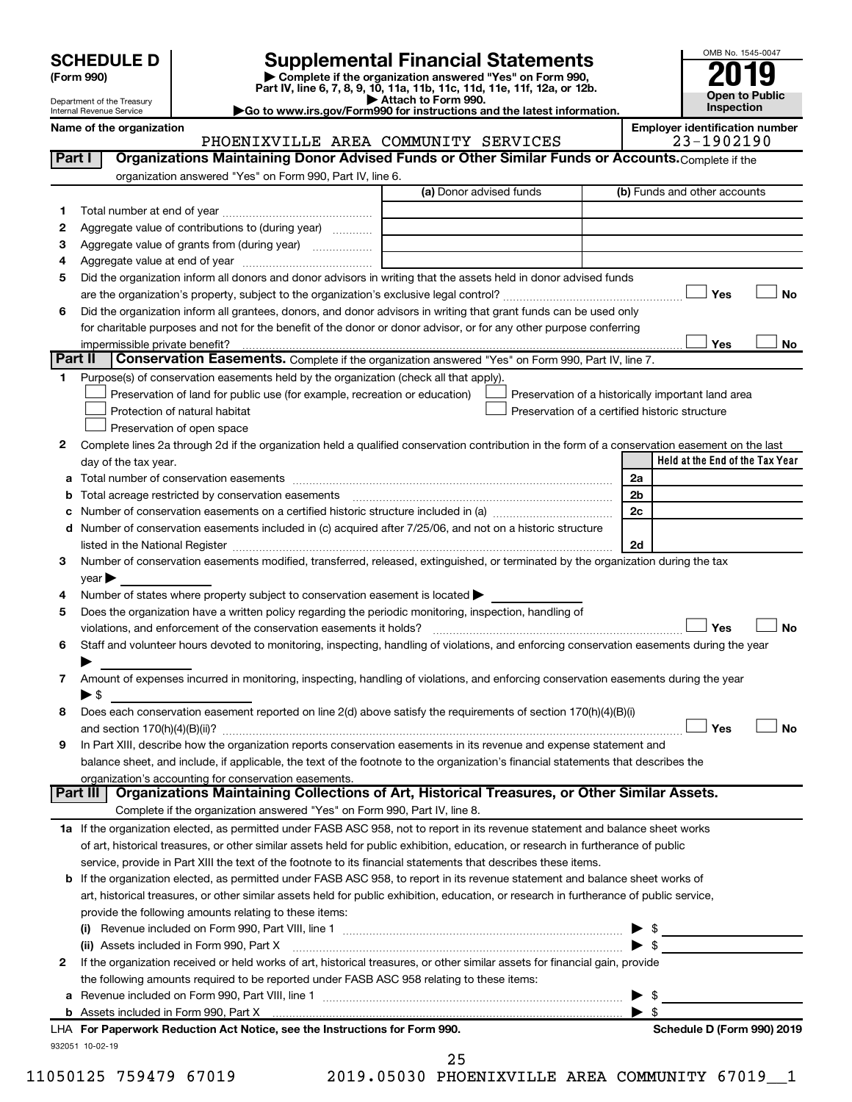Department of the Treasury Internal Revenue Service

**(Form 990) | Complete if the organization answered "Yes" on Form 990, Part IV, line 6, 7, 8, 9, 10, 11a, 11b, 11c, 11d, 11e, 11f, 12a, or 12b. SCHEDULE D Supplemental Financial Statements**<br> **Form 990 2019**<br> **Part IV** line 6.7.8.9.10, 11a, 11b, 11d, 11d, 11d, 11d, 11d, 12a, 0r, 12b

**| Attach to Form 990. |Go to www.irs.gov/Form990 for instructions and the latest information.**



Name of the organization<br>**PHOENIXVILLE AREA COMMUNITY SERVICES** 23-1902190 PHOENIXVILLE AREA COMMUNITY SERVICES

|         |                                                                                                                                                                                                                                                          | (a) Donor advised funds                        | (b) Funds and other accounts                       |
|---------|----------------------------------------------------------------------------------------------------------------------------------------------------------------------------------------------------------------------------------------------------------|------------------------------------------------|----------------------------------------------------|
| 1       |                                                                                                                                                                                                                                                          |                                                |                                                    |
| 2       | Aggregate value of contributions to (during year)                                                                                                                                                                                                        |                                                |                                                    |
| З       |                                                                                                                                                                                                                                                          |                                                |                                                    |
| 4       |                                                                                                                                                                                                                                                          |                                                |                                                    |
| 5       | Did the organization inform all donors and donor advisors in writing that the assets held in donor advised funds                                                                                                                                         |                                                |                                                    |
|         |                                                                                                                                                                                                                                                          |                                                | Yes<br><b>No</b>                                   |
| 6       | Did the organization inform all grantees, donors, and donor advisors in writing that grant funds can be used only                                                                                                                                        |                                                |                                                    |
|         | for charitable purposes and not for the benefit of the donor or donor advisor, or for any other purpose conferring                                                                                                                                       |                                                |                                                    |
|         |                                                                                                                                                                                                                                                          |                                                | Yes<br>No                                          |
| Part II | Conservation Easements. Complete if the organization answered "Yes" on Form 990, Part IV, line 7.                                                                                                                                                        |                                                |                                                    |
| 1.      | Purpose(s) of conservation easements held by the organization (check all that apply).                                                                                                                                                                    |                                                |                                                    |
|         | Preservation of land for public use (for example, recreation or education)                                                                                                                                                                               |                                                | Preservation of a historically important land area |
|         | Protection of natural habitat                                                                                                                                                                                                                            |                                                | Preservation of a certified historic structure     |
|         | Preservation of open space                                                                                                                                                                                                                               |                                                |                                                    |
| 2       | Complete lines 2a through 2d if the organization held a qualified conservation contribution in the form of a conservation easement on the last                                                                                                           |                                                |                                                    |
|         | day of the tax year.                                                                                                                                                                                                                                     |                                                | Held at the End of the Tax Year                    |
| а       |                                                                                                                                                                                                                                                          |                                                | 2a                                                 |
|         | Total acreage restricted by conservation easements [11] matter continuum matter of the stricted by conservation easements [11] matter continuum matter of the stricted by conservation easements [11] matter continuum matter                            |                                                | 2 <sub>b</sub>                                     |
|         | Number of conservation easements on a certified historic structure included in (a) manufacture included in (a)                                                                                                                                           |                                                | 2 <sub>c</sub>                                     |
| d       | Number of conservation easements included in (c) acquired after 7/25/06, and not on a historic structure                                                                                                                                                 |                                                |                                                    |
|         | listed in the National Register [111] [12] The National Register [11] Manuscritt, Manuscritt, Manuscritt, Manuscritt, Manuscritt, Manuscritt, Manuscritt, Manuscritt, Manuscritt, Manuscritt, Manuscritt, Manuscritt, Manuscri                           |                                                | 2d                                                 |
| 3       | Number of conservation easements modified, transferred, released, extinguished, or terminated by the organization during the tax                                                                                                                         |                                                |                                                    |
|         | $year \blacktriangleright$                                                                                                                                                                                                                               |                                                |                                                    |
| 4       | Number of states where property subject to conservation easement is located >                                                                                                                                                                            |                                                |                                                    |
| 5       | Does the organization have a written policy regarding the periodic monitoring, inspection, handling of                                                                                                                                                   |                                                |                                                    |
|         | violations, and enforcement of the conservation easements it holds?                                                                                                                                                                                      |                                                | Yes<br><b>No</b>                                   |
| 6       | Staff and volunteer hours devoted to monitoring, inspecting, handling of violations, and enforcing conservation easements during the year                                                                                                                |                                                |                                                    |
|         |                                                                                                                                                                                                                                                          |                                                |                                                    |
| 7       | Amount of expenses incurred in monitoring, inspecting, handling of violations, and enforcing conservation easements during the year                                                                                                                      |                                                |                                                    |
|         | $\blacktriangleright$ \$                                                                                                                                                                                                                                 |                                                |                                                    |
| 8       | Does each conservation easement reported on line 2(d) above satisfy the requirements of section 170(h)(4)(B)(i)                                                                                                                                          |                                                | Yes<br>No                                          |
| 9       |                                                                                                                                                                                                                                                          |                                                |                                                    |
|         | In Part XIII, describe how the organization reports conservation easements in its revenue and expense statement and<br>balance sheet, and include, if applicable, the text of the footnote to the organization's financial statements that describes the |                                                |                                                    |
|         | organization's accounting for conservation easements.                                                                                                                                                                                                    |                                                |                                                    |
|         | Organizations Maintaining Collections of Art, Historical Treasures, or Other Similar Assets.<br>Part III                                                                                                                                                 |                                                |                                                    |
|         | Complete if the organization answered "Yes" on Form 990, Part IV, line 8.                                                                                                                                                                                |                                                |                                                    |
|         | 1a If the organization elected, as permitted under FASB ASC 958, not to report in its revenue statement and balance sheet works                                                                                                                          |                                                |                                                    |
|         | of art, historical treasures, or other similar assets held for public exhibition, education, or research in furtherance of public                                                                                                                        |                                                |                                                    |
|         | service, provide in Part XIII the text of the footnote to its financial statements that describes these items.                                                                                                                                           |                                                |                                                    |
|         | <b>b</b> If the organization elected, as permitted under FASB ASC 958, to report in its revenue statement and balance sheet works of                                                                                                                     |                                                |                                                    |
|         | art, historical treasures, or other similar assets held for public exhibition, education, or research in furtherance of public service,                                                                                                                  |                                                |                                                    |
|         | provide the following amounts relating to these items:                                                                                                                                                                                                   |                                                |                                                    |
|         |                                                                                                                                                                                                                                                          |                                                |                                                    |
|         | (ii) Assets included in Form 990, Part X                                                                                                                                                                                                                 |                                                | $\blacktriangleright$ \$                           |
| 2       | If the organization received or held works of art, historical treasures, or other similar assets for financial gain, provide                                                                                                                             |                                                |                                                    |
|         | the following amounts required to be reported under FASB ASC 958 relating to these items:                                                                                                                                                                |                                                |                                                    |
|         |                                                                                                                                                                                                                                                          |                                                | - \$                                               |
| а       |                                                                                                                                                                                                                                                          |                                                | $\blacktriangleright$ s                            |
|         | LHA For Paperwork Reduction Act Notice, see the Instructions for Form 990.                                                                                                                                                                               |                                                | Schedule D (Form 990) 2019                         |
|         | 932051 10-02-19                                                                                                                                                                                                                                          |                                                |                                                    |
|         |                                                                                                                                                                                                                                                          | 25                                             |                                                    |
|         | 11050125 759479 67019                                                                                                                                                                                                                                    | 2019.05030 PHOENIXVILLE AREA COMMUNITY 67019 1 |                                                    |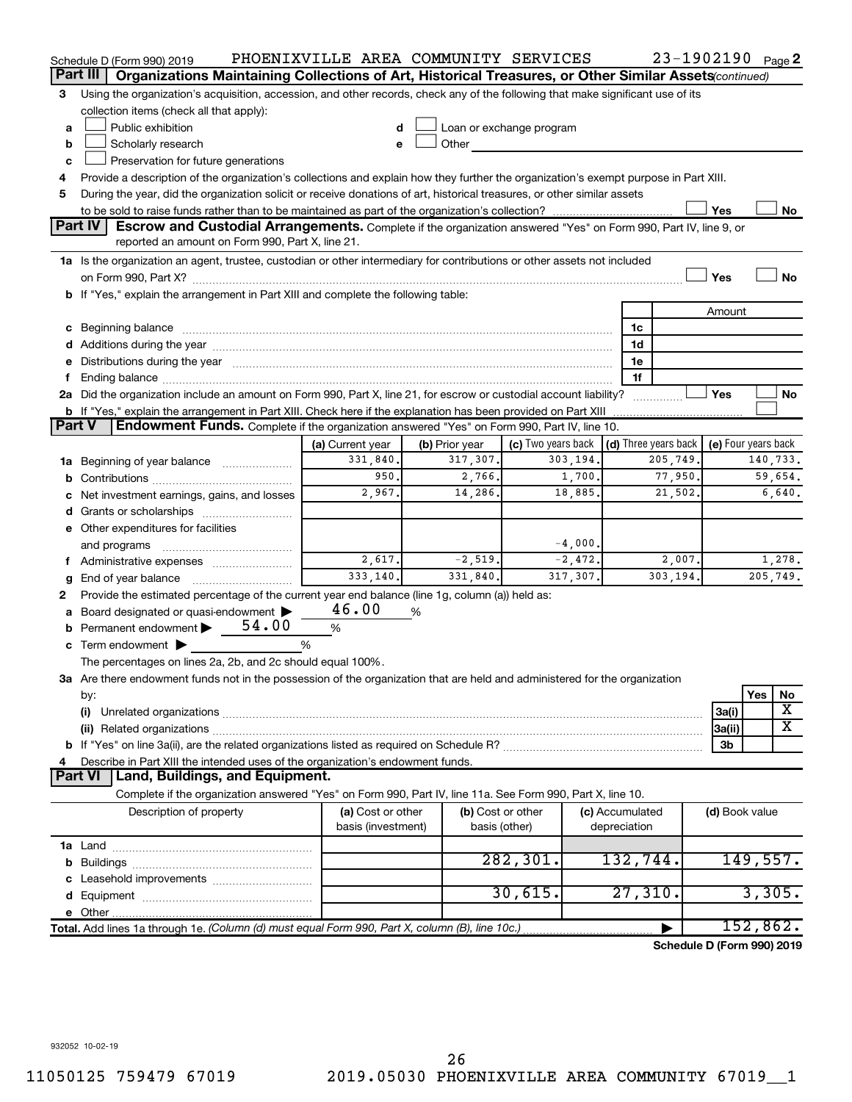|                                                                                    | Schedule D (Form 990) 2019                                                                                                                                                                                                     | PHOENIXVILLE AREA COMMUNITY SERVICES |   |                            |                                                                                                                                                                                                                               |           |                 | 23-1902190 Page 2          |                     |          |                         |
|------------------------------------------------------------------------------------|--------------------------------------------------------------------------------------------------------------------------------------------------------------------------------------------------------------------------------|--------------------------------------|---|----------------------------|-------------------------------------------------------------------------------------------------------------------------------------------------------------------------------------------------------------------------------|-----------|-----------------|----------------------------|---------------------|----------|-------------------------|
|                                                                                    | Part III<br>Organizations Maintaining Collections of Art, Historical Treasures, or Other Similar Assets (continued)                                                                                                            |                                      |   |                            |                                                                                                                                                                                                                               |           |                 |                            |                     |          |                         |
| 3                                                                                  | Using the organization's acquisition, accession, and other records, check any of the following that make significant use of its                                                                                                |                                      |   |                            |                                                                                                                                                                                                                               |           |                 |                            |                     |          |                         |
|                                                                                    | collection items (check all that apply):                                                                                                                                                                                       |                                      |   |                            |                                                                                                                                                                                                                               |           |                 |                            |                     |          |                         |
| a                                                                                  | Public exhibition                                                                                                                                                                                                              |                                      |   |                            | Loan or exchange program                                                                                                                                                                                                      |           |                 |                            |                     |          |                         |
| b                                                                                  | Scholarly research                                                                                                                                                                                                             |                                      |   |                            | Other and the contract of the contract of the contract of the contract of the contract of the contract of the contract of the contract of the contract of the contract of the contract of the contract of the contract of the |           |                 |                            |                     |          |                         |
| c                                                                                  | Preservation for future generations                                                                                                                                                                                            |                                      |   |                            |                                                                                                                                                                                                                               |           |                 |                            |                     |          |                         |
| 4                                                                                  | Provide a description of the organization's collections and explain how they further the organization's exempt purpose in Part XIII.                                                                                           |                                      |   |                            |                                                                                                                                                                                                                               |           |                 |                            |                     |          |                         |
| 5                                                                                  | During the year, did the organization solicit or receive donations of art, historical treasures, or other similar assets                                                                                                       |                                      |   |                            |                                                                                                                                                                                                                               |           |                 |                            |                     |          |                         |
|                                                                                    |                                                                                                                                                                                                                                |                                      |   |                            |                                                                                                                                                                                                                               |           |                 |                            | Yes                 |          | No                      |
|                                                                                    | <b>Part IV</b><br>Escrow and Custodial Arrangements. Complete if the organization answered "Yes" on Form 990, Part IV, line 9, or                                                                                              |                                      |   |                            |                                                                                                                                                                                                                               |           |                 |                            |                     |          |                         |
|                                                                                    | reported an amount on Form 990, Part X, line 21.                                                                                                                                                                               |                                      |   |                            |                                                                                                                                                                                                                               |           |                 |                            |                     |          |                         |
|                                                                                    | 1a Is the organization an agent, trustee, custodian or other intermediary for contributions or other assets not included                                                                                                       |                                      |   |                            |                                                                                                                                                                                                                               |           |                 |                            |                     |          |                         |
|                                                                                    |                                                                                                                                                                                                                                |                                      |   |                            |                                                                                                                                                                                                                               |           |                 |                            | Yes                 |          | No                      |
| b If "Yes," explain the arrangement in Part XIII and complete the following table: |                                                                                                                                                                                                                                |                                      |   |                            |                                                                                                                                                                                                                               |           |                 |                            |                     |          |                         |
|                                                                                    |                                                                                                                                                                                                                                |                                      |   |                            |                                                                                                                                                                                                                               |           |                 |                            | Amount              |          |                         |
|                                                                                    | c Beginning balance measurements and the contract of the contract of the contract of the contract of the contract of the contract of the contract of the contract of the contract of the contract of the contract of the contr |                                      |   |                            |                                                                                                                                                                                                                               |           | 1c              |                            |                     |          |                         |
|                                                                                    |                                                                                                                                                                                                                                |                                      |   |                            |                                                                                                                                                                                                                               |           | 1d              |                            |                     |          |                         |
|                                                                                    | e Distributions during the year manufactured and continuum control of the control of the control of the state of the control of the control of the control of the control of the control of the control of the control of the  |                                      |   |                            |                                                                                                                                                                                                                               |           | 1e              |                            |                     |          |                         |
|                                                                                    |                                                                                                                                                                                                                                |                                      |   |                            |                                                                                                                                                                                                                               |           | 1f              |                            |                     |          |                         |
|                                                                                    | 2a Did the organization include an amount on Form 990, Part X, line 21, for escrow or custodial account liability?                                                                                                             |                                      |   |                            |                                                                                                                                                                                                                               |           |                 |                            | Yes                 |          | No                      |
|                                                                                    | <b>b</b> If "Yes," explain the arrangement in Part XIII. Check here if the explanation has been provided on Part XIII                                                                                                          |                                      |   |                            |                                                                                                                                                                                                                               |           |                 |                            |                     |          |                         |
| <b>Part V</b>                                                                      | Endowment Funds. Complete if the organization answered "Yes" on Form 990, Part IV, line 10.                                                                                                                                    |                                      |   |                            |                                                                                                                                                                                                                               |           |                 |                            |                     |          |                         |
|                                                                                    |                                                                                                                                                                                                                                | (a) Current year<br>331,840.         |   | (b) Prior year<br>317,307. | (c) Two years back $\vert$ (d) Three years back $\vert$                                                                                                                                                                       | 303,194.  |                 | 205,749.                   | (e) Four years back | 140,733. |                         |
|                                                                                    | 1a Beginning of year balance                                                                                                                                                                                                   | 950.                                 |   | 2,766.                     |                                                                                                                                                                                                                               | 1,700.    |                 | 77,950.                    |                     |          | 59,654.                 |
|                                                                                    |                                                                                                                                                                                                                                | 2,967.                               |   | 14,286.                    |                                                                                                                                                                                                                               | 18,885.   |                 | 21,502.                    |                     |          | 6,640.                  |
|                                                                                    | c Net investment earnings, gains, and losses                                                                                                                                                                                   |                                      |   |                            |                                                                                                                                                                                                                               |           |                 |                            |                     |          |                         |
|                                                                                    |                                                                                                                                                                                                                                |                                      |   |                            |                                                                                                                                                                                                                               |           |                 |                            |                     |          |                         |
|                                                                                    | e Other expenditures for facilities                                                                                                                                                                                            |                                      |   |                            |                                                                                                                                                                                                                               | $-4,000.$ |                 |                            |                     |          |                         |
|                                                                                    | and programs                                                                                                                                                                                                                   | 2,617.                               |   | $-2,519.$                  |                                                                                                                                                                                                                               | $-2,472.$ |                 | 2,007.                     |                     |          | 1,278.                  |
|                                                                                    | f Administrative expenses                                                                                                                                                                                                      | 333.140.                             |   | 331,840.                   |                                                                                                                                                                                                                               | 317,307.  |                 | 303,194.                   |                     |          | 205,749.                |
|                                                                                    | <b>g</b> End of year balance $\ldots$<br>Provide the estimated percentage of the current year end balance (line 1g, column (a)) held as:                                                                                       |                                      |   |                            |                                                                                                                                                                                                                               |           |                 |                            |                     |          |                         |
| 2                                                                                  | a Board designated or quasi-endowment >                                                                                                                                                                                        | 46.00                                | % |                            |                                                                                                                                                                                                                               |           |                 |                            |                     |          |                         |
|                                                                                    | <b>b</b> Permanent endowment $\triangleright$ 54.00                                                                                                                                                                            | $\%$                                 |   |                            |                                                                                                                                                                                                                               |           |                 |                            |                     |          |                         |
|                                                                                    | c Term endowment $\blacktriangleright$                                                                                                                                                                                         | %                                    |   |                            |                                                                                                                                                                                                                               |           |                 |                            |                     |          |                         |
|                                                                                    | The percentages on lines 2a, 2b, and 2c should equal 100%.                                                                                                                                                                     |                                      |   |                            |                                                                                                                                                                                                                               |           |                 |                            |                     |          |                         |
|                                                                                    | 3a Are there endowment funds not in the possession of the organization that are held and administered for the organization                                                                                                     |                                      |   |                            |                                                                                                                                                                                                                               |           |                 |                            |                     |          |                         |
|                                                                                    | by:                                                                                                                                                                                                                            |                                      |   |                            |                                                                                                                                                                                                                               |           |                 |                            |                     | Yes      | No                      |
|                                                                                    | (i)                                                                                                                                                                                                                            |                                      |   |                            |                                                                                                                                                                                                                               |           |                 |                            | 3a(i)               |          | Х                       |
|                                                                                    |                                                                                                                                                                                                                                |                                      |   |                            |                                                                                                                                                                                                                               |           |                 |                            | 3a(ii)              |          | $\overline{\textbf{X}}$ |
|                                                                                    |                                                                                                                                                                                                                                |                                      |   |                            |                                                                                                                                                                                                                               |           |                 |                            | 3b                  |          |                         |
| 4                                                                                  | Describe in Part XIII the intended uses of the organization's endowment funds.                                                                                                                                                 |                                      |   |                            |                                                                                                                                                                                                                               |           |                 |                            |                     |          |                         |
|                                                                                    | Land, Buildings, and Equipment.<br><b>Part VI</b>                                                                                                                                                                              |                                      |   |                            |                                                                                                                                                                                                                               |           |                 |                            |                     |          |                         |
|                                                                                    | Complete if the organization answered "Yes" on Form 990, Part IV, line 11a. See Form 990, Part X, line 10.                                                                                                                     |                                      |   |                            |                                                                                                                                                                                                                               |           |                 |                            |                     |          |                         |
|                                                                                    | Description of property                                                                                                                                                                                                        | (a) Cost or other                    |   |                            | (b) Cost or other                                                                                                                                                                                                             |           | (c) Accumulated |                            | (d) Book value      |          |                         |
|                                                                                    |                                                                                                                                                                                                                                | basis (investment)                   |   |                            | basis (other)                                                                                                                                                                                                                 |           | depreciation    |                            |                     |          |                         |
|                                                                                    |                                                                                                                                                                                                                                |                                      |   |                            |                                                                                                                                                                                                                               |           |                 |                            |                     |          |                         |
|                                                                                    |                                                                                                                                                                                                                                |                                      |   |                            | 282, 301.                                                                                                                                                                                                                     |           | 132,744.        |                            |                     | 149,557. |                         |
|                                                                                    |                                                                                                                                                                                                                                |                                      |   |                            |                                                                                                                                                                                                                               |           |                 |                            |                     |          |                         |
|                                                                                    |                                                                                                                                                                                                                                |                                      |   |                            | 30,615.                                                                                                                                                                                                                       |           | 27,310.         |                            |                     | 3,305.   |                         |
|                                                                                    |                                                                                                                                                                                                                                |                                      |   |                            |                                                                                                                                                                                                                               |           |                 |                            |                     |          |                         |
|                                                                                    | Total. Add lines 1a through 1e. (Column (d) must equal Form 990, Part X, column (B), line 10c.)                                                                                                                                |                                      |   |                            |                                                                                                                                                                                                                               |           |                 |                            |                     | 152,862. |                         |
|                                                                                    |                                                                                                                                                                                                                                |                                      |   |                            |                                                                                                                                                                                                                               |           |                 | Schedule D (Form 990) 2019 |                     |          |                         |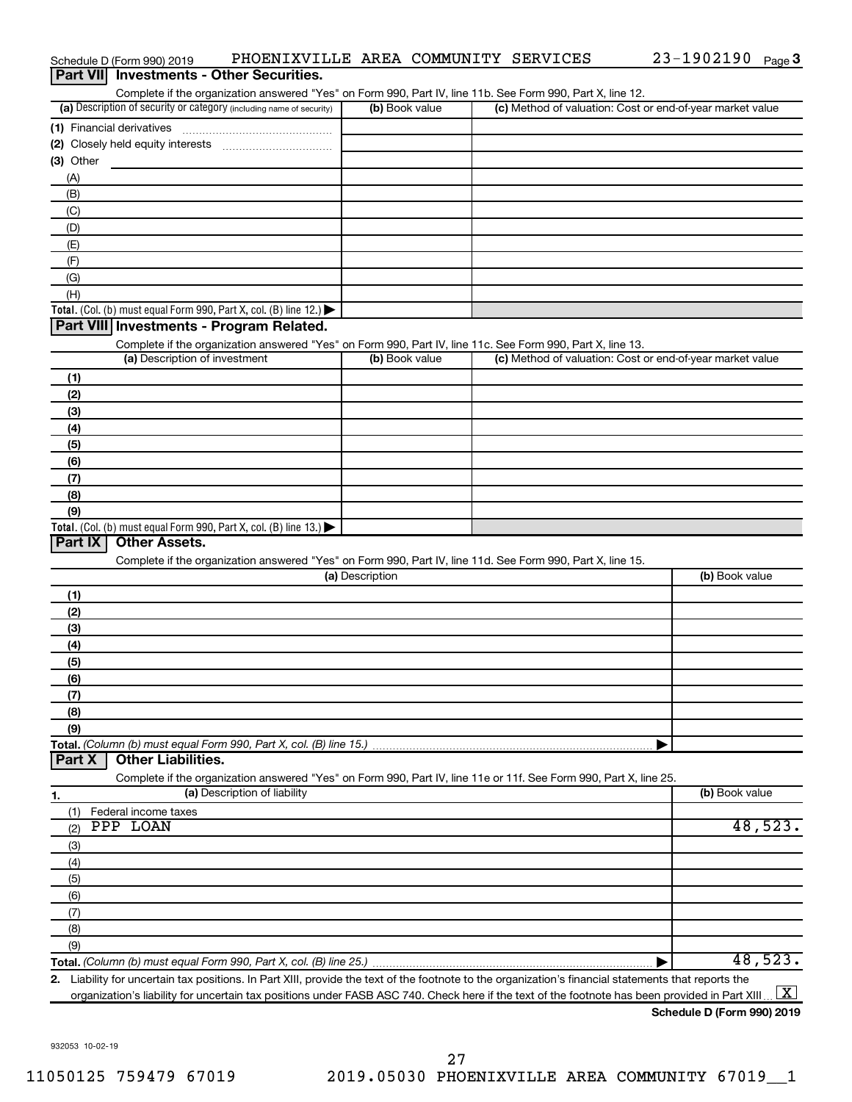|                  | Schedule D (Form 990) 2019               | PHOENIXVILLE AREA COMMUNITY SERVICES                                 |                 |                |                                                                                                                                                      | $23 - 1902190$ Page 3 |                     |
|------------------|------------------------------------------|----------------------------------------------------------------------|-----------------|----------------|------------------------------------------------------------------------------------------------------------------------------------------------------|-----------------------|---------------------|
| <b>Part VIII</b> |                                          | <b>Investments - Other Securities.</b>                               |                 |                |                                                                                                                                                      |                       |                     |
|                  |                                          |                                                                      |                 |                | Complete if the organization answered "Yes" on Form 990, Part IV, line 11b. See Form 990, Part X, line 12.                                           |                       |                     |
|                  |                                          | (a) Description of security or category (including name of security) |                 | (b) Book value | (c) Method of valuation: Cost or end-of-year market value                                                                                            |                       |                     |
|                  |                                          |                                                                      |                 |                |                                                                                                                                                      |                       |                     |
|                  |                                          |                                                                      |                 |                |                                                                                                                                                      |                       |                     |
| (3) Other        |                                          |                                                                      |                 |                |                                                                                                                                                      |                       |                     |
| (A)              |                                          |                                                                      |                 |                |                                                                                                                                                      |                       |                     |
| (B)              |                                          |                                                                      |                 |                |                                                                                                                                                      |                       |                     |
| (C)              |                                          |                                                                      |                 |                |                                                                                                                                                      |                       |                     |
| (D)              |                                          |                                                                      |                 |                |                                                                                                                                                      |                       |                     |
| (E)              |                                          |                                                                      |                 |                |                                                                                                                                                      |                       |                     |
| (F)              |                                          |                                                                      |                 |                |                                                                                                                                                      |                       |                     |
| (G)              |                                          |                                                                      |                 |                |                                                                                                                                                      |                       |                     |
| (H)              |                                          |                                                                      |                 |                |                                                                                                                                                      |                       |                     |
|                  |                                          | Total. (Col. (b) must equal Form 990, Part X, col. (B) line 12.)     |                 |                |                                                                                                                                                      |                       |                     |
|                  | Part VIII Investments - Program Related. |                                                                      |                 |                |                                                                                                                                                      |                       |                     |
|                  |                                          |                                                                      |                 |                | Complete if the organization answered "Yes" on Form 990, Part IV, line 11c. See Form 990, Part X, line 13.                                           |                       |                     |
|                  | (a) Description of investment            |                                                                      |                 | (b) Book value | (c) Method of valuation: Cost or end-of-year market value                                                                                            |                       |                     |
| (1)              |                                          |                                                                      |                 |                |                                                                                                                                                      |                       |                     |
| (2)              |                                          |                                                                      |                 |                |                                                                                                                                                      |                       |                     |
| (3)              |                                          |                                                                      |                 |                |                                                                                                                                                      |                       |                     |
| (4)              |                                          |                                                                      |                 |                |                                                                                                                                                      |                       |                     |
| (5)              |                                          |                                                                      |                 |                |                                                                                                                                                      |                       |                     |
|                  |                                          |                                                                      |                 |                |                                                                                                                                                      |                       |                     |
| (6)              |                                          |                                                                      |                 |                |                                                                                                                                                      |                       |                     |
| (7)              |                                          |                                                                      |                 |                |                                                                                                                                                      |                       |                     |
| (8)              |                                          |                                                                      |                 |                |                                                                                                                                                      |                       |                     |
| (9)              |                                          |                                                                      |                 |                |                                                                                                                                                      |                       |                     |
| Part IX          | <b>Other Assets.</b>                     | Total. (Col. (b) must equal Form 990, Part X, col. (B) line 13.)     |                 |                |                                                                                                                                                      |                       |                     |
|                  |                                          |                                                                      |                 |                | Complete if the organization answered "Yes" on Form 990, Part IV, line 11d. See Form 990, Part X, line 15.                                           |                       |                     |
|                  |                                          |                                                                      | (a) Description |                |                                                                                                                                                      | (b) Book value        |                     |
|                  |                                          |                                                                      |                 |                |                                                                                                                                                      |                       |                     |
| (1)              |                                          |                                                                      |                 |                |                                                                                                                                                      |                       |                     |
| (2)              |                                          |                                                                      |                 |                |                                                                                                                                                      |                       |                     |
| (3)              |                                          |                                                                      |                 |                |                                                                                                                                                      |                       |                     |
| (4)              |                                          |                                                                      |                 |                |                                                                                                                                                      |                       |                     |
| (5)              |                                          |                                                                      |                 |                |                                                                                                                                                      |                       |                     |
| (6)              |                                          |                                                                      |                 |                |                                                                                                                                                      |                       |                     |
| (7)              |                                          |                                                                      |                 |                |                                                                                                                                                      |                       |                     |
| (8)              |                                          |                                                                      |                 |                |                                                                                                                                                      |                       |                     |
| (9)              |                                          |                                                                      |                 |                |                                                                                                                                                      |                       |                     |
|                  |                                          | Total. (Column (b) must equal Form 990, Part X, col. (B) line 15.)   |                 |                |                                                                                                                                                      |                       |                     |
| Part X           | <b>Other Liabilities.</b>                |                                                                      |                 |                |                                                                                                                                                      |                       |                     |
|                  |                                          |                                                                      |                 |                | Complete if the organization answered "Yes" on Form 990, Part IV, line 11e or 11f. See Form 990, Part X, line 25.                                    |                       |                     |
| 1.               |                                          | (a) Description of liability                                         |                 |                |                                                                                                                                                      | (b) Book value        |                     |
| (1)              | Federal income taxes                     |                                                                      |                 |                |                                                                                                                                                      |                       |                     |
| (2)              | PPP LOAN                                 |                                                                      |                 |                |                                                                                                                                                      |                       | 48,523.             |
| (3)              |                                          |                                                                      |                 |                |                                                                                                                                                      |                       |                     |
| (4)              |                                          |                                                                      |                 |                |                                                                                                                                                      |                       |                     |
| (5)              |                                          |                                                                      |                 |                |                                                                                                                                                      |                       |                     |
| (6)              |                                          |                                                                      |                 |                |                                                                                                                                                      |                       |                     |
| (7)              |                                          |                                                                      |                 |                |                                                                                                                                                      |                       |                     |
| (8)              |                                          |                                                                      |                 |                |                                                                                                                                                      |                       |                     |
| (9)              |                                          |                                                                      |                 |                |                                                                                                                                                      |                       |                     |
|                  |                                          |                                                                      |                 |                |                                                                                                                                                      |                       | 48,523.             |
|                  |                                          |                                                                      |                 |                | 2. Liability for uncertain tax positions. In Part XIII, provide the text of the footnote to the organization's financial statements that reports the |                       |                     |
|                  |                                          |                                                                      |                 |                | organization's liability for uncertain tax positions under FASB ASC 740. Check here if the text of the footnote has been provided in Part XIII       |                       | $\lfloor x \rfloor$ |

**Schedule D (Form 990) 2019**

23-1902190 Page 3

932053 10-02-19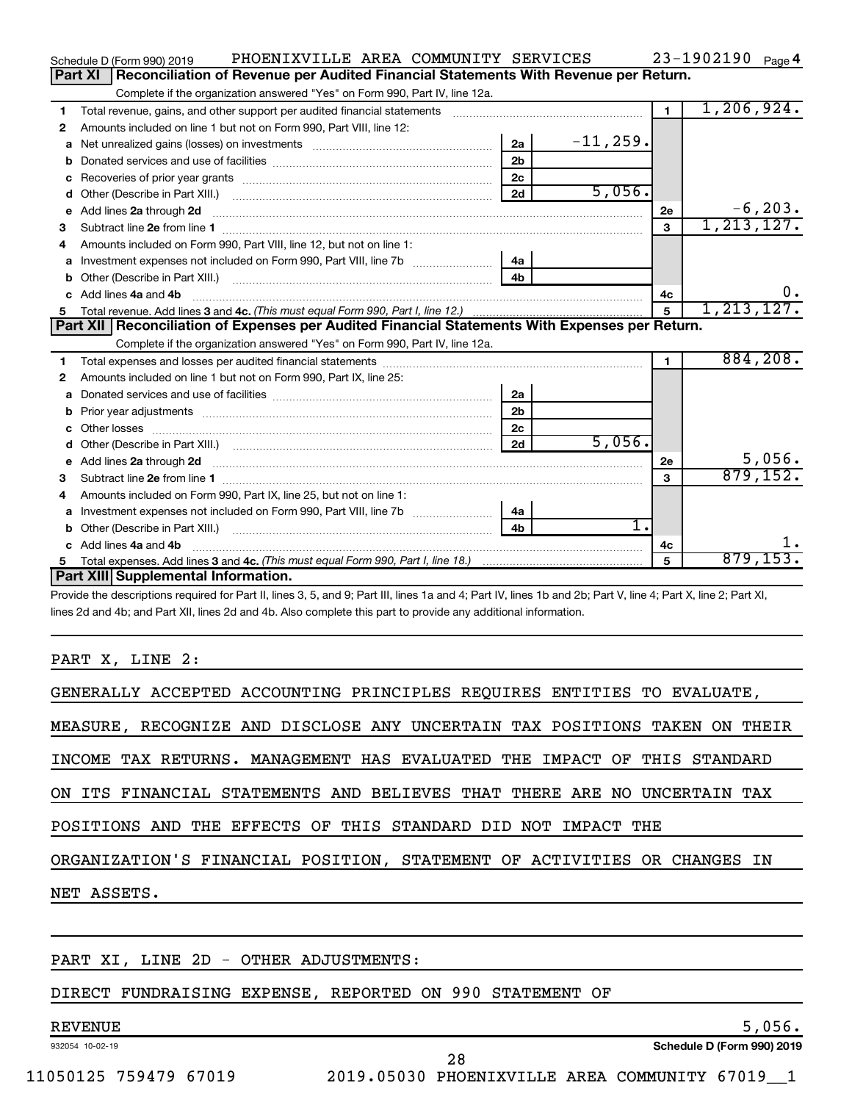|    | PHOENIXVILLE AREA COMMUNITY SERVICES<br>Schedule D (Form 990) 2019                                    |                |             |              | $23 - 1902190$ Page 4    |
|----|-------------------------------------------------------------------------------------------------------|----------------|-------------|--------------|--------------------------|
|    | Reconciliation of Revenue per Audited Financial Statements With Revenue per Return.<br><b>Part XI</b> |                |             |              |                          |
|    | Complete if the organization answered "Yes" on Form 990, Part IV, line 12a.                           |                |             |              |                          |
| 1  | Total revenue, gains, and other support per audited financial statements                              |                |             | $\mathbf 1$  | 1, 206, 924.             |
| 2  | Amounts included on line 1 but not on Form 990, Part VIII, line 12:                                   |                |             |              |                          |
| a  |                                                                                                       | 2a             | $-11, 259.$ |              |                          |
|    |                                                                                                       | 2 <sub>b</sub> |             |              |                          |
| c  |                                                                                                       | 2 <sub>c</sub> |             |              |                          |
| d  |                                                                                                       | 2d             | 5,056.      |              |                          |
| e  | Add lines 2a through 2d                                                                               |                |             | 2e           | $-6,203$ .<br>1,213,127. |
| 3  |                                                                                                       |                |             | 3            |                          |
| 4  | Amounts included on Form 990, Part VIII, line 12, but not on line 1:                                  |                |             |              |                          |
| a  |                                                                                                       | 4a             |             |              |                          |
| b  |                                                                                                       | 4 <sub>b</sub> |             |              |                          |
| c  | Add lines 4a and 4b                                                                                   |                |             | 4c           | 0.                       |
|    |                                                                                                       |                |             | 5            | 1, 213, 127.             |
|    |                                                                                                       |                |             |              |                          |
|    | Part XII   Reconciliation of Expenses per Audited Financial Statements With Expenses per Return.      |                |             |              |                          |
|    | Complete if the organization answered "Yes" on Form 990, Part IV, line 12a.                           |                |             |              |                          |
| 1  |                                                                                                       |                |             | $\mathbf{1}$ | 884, 208.                |
| 2  | Amounts included on line 1 but not on Form 990, Part IX, line 25:                                     |                |             |              |                          |
| a  |                                                                                                       | 2a             |             |              |                          |
| b  |                                                                                                       | 2 <sub>b</sub> |             |              |                          |
| с  |                                                                                                       | 2c             |             |              |                          |
| d  |                                                                                                       | 2d             | 5,056.      |              |                          |
| е  | Add lines 2a through 2d                                                                               |                |             | 2е           | 5,056.                   |
| 3  |                                                                                                       |                |             | 3            | 879, 152.                |
| 4  | Amounts included on Form 990, Part IX, line 25, but not on line 1:                                    |                |             |              |                          |
| a  |                                                                                                       | 4a             |             |              |                          |
| b  |                                                                                                       | 4 <sub>h</sub> | 1.          |              |                          |
| c. | Add lines 4a and 4b                                                                                   |                |             | 4c           |                          |
|    | Part XIII Supplemental Information.                                                                   |                |             | 5            | 879, 153.                |

Provide the descriptions required for Part II, lines 3, 5, and 9; Part III, lines 1a and 4; Part IV, lines 1b and 2b; Part V, line 4; Part X, line 2; Part XI, lines 2d and 4b; and Part XII, lines 2d and 4b. Also complete this part to provide any additional information.

### PART X, LINE 2:

| GENERALLY ACCEPTED ACCOUNTING PRINCIPLES REQUIRES ENTITIES TO EVALUATE,    |
|----------------------------------------------------------------------------|
| MEASURE, RECOGNIZE AND DISCLOSE ANY UNCERTAIN TAX POSITIONS TAKEN ON THEIR |
| INCOME TAX RETURNS. MANAGEMENT HAS EVALUATED THE IMPACT OF THIS STANDARD   |
| ON ITS FINANCIAL STATEMENTS AND BELIEVES THAT THERE ARE NO UNCERTAIN TAX   |
| POSITIONS AND THE EFFECTS OF THIS STANDARD DID NOT IMPACT THE              |
| ORGANIZATION'S FINANCIAL POSITION, STATEMENT OF ACTIVITIES OR CHANGES IN   |
| NET ASSETS.                                                                |
|                                                                            |
|                                                                            |

## PART XI, LINE 2D - OTHER ADJUSTMENTS:

### DIRECT FUNDRAISING EXPENSE, REPORTED ON 990 STATEMENT OF

### 932054 10-02-19 REVENUE 5,056.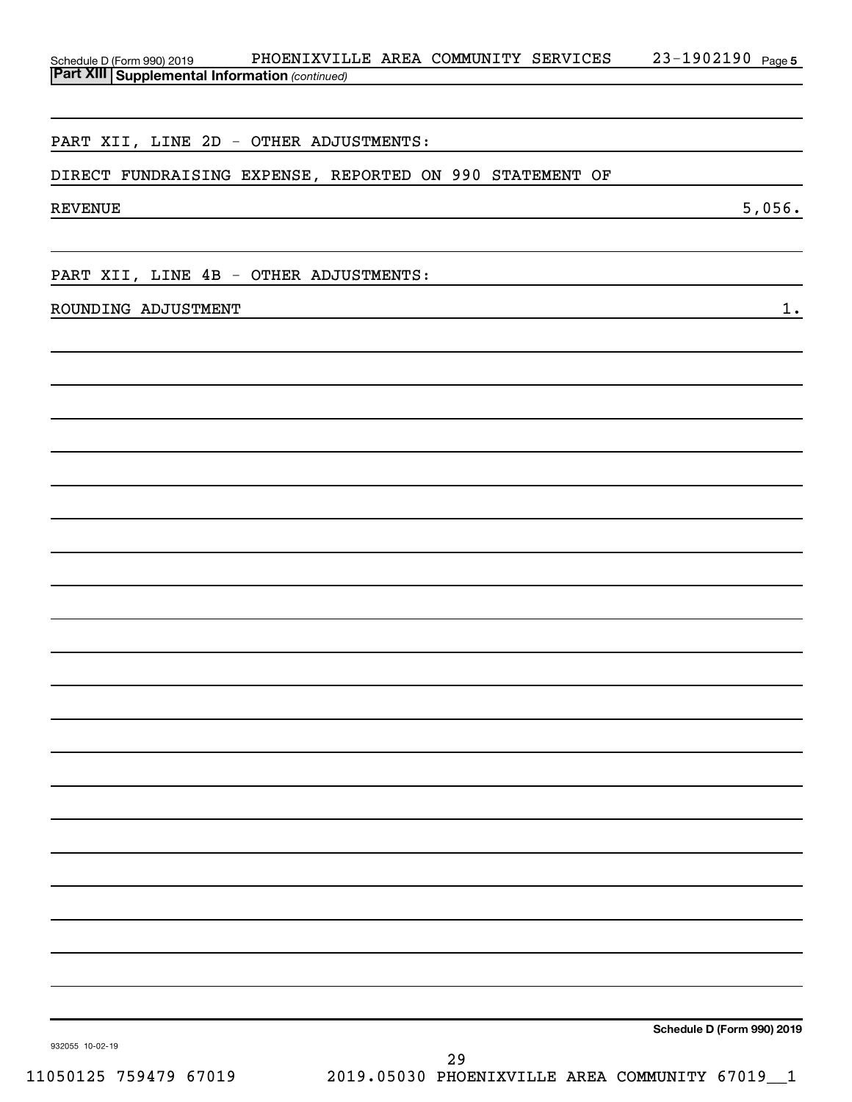| Schedule D (Form 990) 2019                            | PHOENIXVILLE AREA COMMUNITY SERVICES                     | 23-1902190 Page 5          |
|-------------------------------------------------------|----------------------------------------------------------|----------------------------|
| <b>Part XIII Supplemental Information (continued)</b> |                                                          |                            |
|                                                       |                                                          |                            |
|                                                       | PART XII, LINE 2D - OTHER ADJUSTMENTS:                   |                            |
|                                                       | DIRECT FUNDRAISING EXPENSE, REPORTED ON 990 STATEMENT OF |                            |
|                                                       |                                                          |                            |
| <b>REVENUE</b>                                        |                                                          | 5,056.                     |
|                                                       |                                                          |                            |
|                                                       | PART XII, LINE 4B - OTHER ADJUSTMENTS:                   |                            |
| ROUNDING ADJUSTMENT                                   |                                                          | $1$ .                      |
|                                                       |                                                          |                            |
|                                                       |                                                          |                            |
|                                                       |                                                          |                            |
|                                                       |                                                          |                            |
|                                                       |                                                          |                            |
|                                                       |                                                          |                            |
|                                                       |                                                          |                            |
|                                                       |                                                          |                            |
|                                                       |                                                          |                            |
|                                                       |                                                          |                            |
|                                                       |                                                          |                            |
|                                                       |                                                          |                            |
|                                                       |                                                          |                            |
|                                                       |                                                          |                            |
|                                                       |                                                          |                            |
|                                                       |                                                          |                            |
|                                                       |                                                          |                            |
|                                                       |                                                          |                            |
|                                                       |                                                          |                            |
|                                                       |                                                          |                            |
|                                                       |                                                          |                            |
|                                                       |                                                          |                            |
|                                                       |                                                          |                            |
|                                                       |                                                          |                            |
|                                                       |                                                          |                            |
|                                                       |                                                          |                            |
|                                                       |                                                          | Schedule D (Form 990) 2019 |
| 932055 10-02-19                                       | 29                                                       |                            |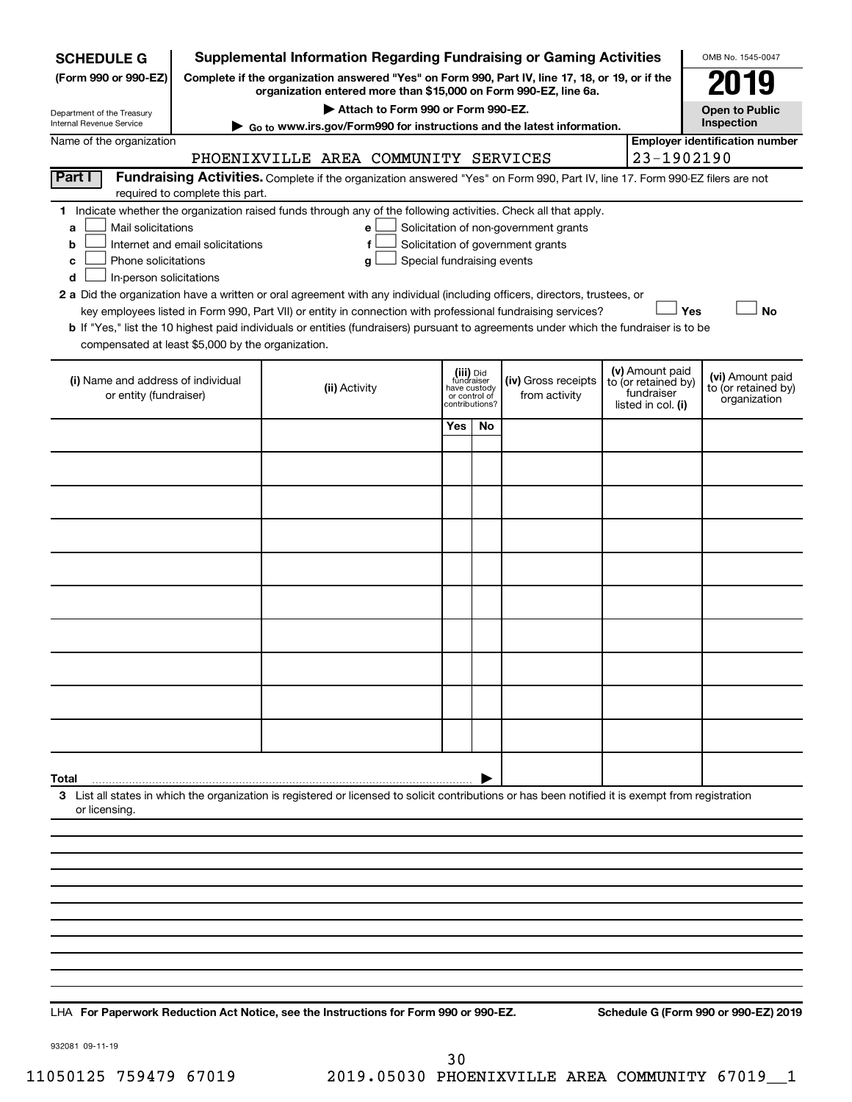| <b>SCHEDULE G</b>                                                                        |                                                                                                                                                                     | <b>Supplemental Information Regarding Fundraising or Gaming Activities</b>                                                                                                                                                                           |                                                                            |     |                                                                            |                                                                            |     | OMB No. 1545-0047                                       |
|------------------------------------------------------------------------------------------|---------------------------------------------------------------------------------------------------------------------------------------------------------------------|------------------------------------------------------------------------------------------------------------------------------------------------------------------------------------------------------------------------------------------------------|----------------------------------------------------------------------------|-----|----------------------------------------------------------------------------|----------------------------------------------------------------------------|-----|---------------------------------------------------------|
| (Form 990 or 990-EZ)                                                                     | Complete if the organization answered "Yes" on Form 990, Part IV, line 17, 18, or 19, or if the<br>organization entered more than \$15,000 on Form 990-EZ, line 6a. |                                                                                                                                                                                                                                                      |                                                                            |     |                                                                            |                                                                            |     | 179                                                     |
| Department of the Treasury                                                               |                                                                                                                                                                     | Attach to Form 990 or Form 990-EZ.                                                                                                                                                                                                                   |                                                                            |     |                                                                            |                                                                            |     | <b>Open to Public</b>                                   |
| Internal Revenue Service                                                                 |                                                                                                                                                                     | ► Go to www.irs.gov/Form990 for instructions and the latest information.                                                                                                                                                                             |                                                                            |     |                                                                            |                                                                            |     | Inspection                                              |
| Name of the organization                                                                 |                                                                                                                                                                     | PHOENIXVILLE AREA COMMUNITY SERVICES                                                                                                                                                                                                                 |                                                                            |     |                                                                            | 23-1902190                                                                 |     | <b>Employer identification number</b>                   |
| Part I                                                                                   |                                                                                                                                                                     | Fundraising Activities. Complete if the organization answered "Yes" on Form 990, Part IV, line 17. Form 990-EZ filers are not                                                                                                                        |                                                                            |     |                                                                            |                                                                            |     |                                                         |
|                                                                                          | required to complete this part.                                                                                                                                     |                                                                                                                                                                                                                                                      |                                                                            |     |                                                                            |                                                                            |     |                                                         |
| Mail solicitations<br>a<br>b<br>Phone solicitations<br>c<br>In-person solicitations<br>d | Internet and email solicitations                                                                                                                                    | 1 Indicate whether the organization raised funds through any of the following activities. Check all that apply.<br>е<br>f<br>Special fundraising events<br>g                                                                                         |                                                                            |     | Solicitation of non-government grants<br>Solicitation of government grants |                                                                            |     |                                                         |
|                                                                                          |                                                                                                                                                                     | 2 a Did the organization have a written or oral agreement with any individual (including officers, directors, trustees, or                                                                                                                           |                                                                            |     |                                                                            |                                                                            |     |                                                         |
|                                                                                          |                                                                                                                                                                     | key employees listed in Form 990, Part VII) or entity in connection with professional fundraising services?<br>b If "Yes," list the 10 highest paid individuals or entities (fundraisers) pursuant to agreements under which the fundraiser is to be |                                                                            |     |                                                                            |                                                                            | Yes | <b>No</b>                                               |
| compensated at least \$5,000 by the organization.                                        |                                                                                                                                                                     |                                                                                                                                                                                                                                                      |                                                                            |     |                                                                            |                                                                            |     |                                                         |
| (i) Name and address of individual<br>or entity (fundraiser)                             |                                                                                                                                                                     | (ii) Activity                                                                                                                                                                                                                                        | (iii) Did<br>fundraiser<br>have custody<br>or control of<br>contributions? |     | (iv) Gross receipts<br>from activity                                       | (v) Amount paid<br>to (or retained by)<br>fundraiser<br>listed in col. (i) |     | (vi) Amount paid<br>to (or retained by)<br>organization |
|                                                                                          |                                                                                                                                                                     |                                                                                                                                                                                                                                                      | Yes                                                                        | No. |                                                                            |                                                                            |     |                                                         |
|                                                                                          |                                                                                                                                                                     |                                                                                                                                                                                                                                                      |                                                                            |     |                                                                            |                                                                            |     |                                                         |
|                                                                                          |                                                                                                                                                                     |                                                                                                                                                                                                                                                      |                                                                            |     |                                                                            |                                                                            |     |                                                         |
|                                                                                          |                                                                                                                                                                     |                                                                                                                                                                                                                                                      |                                                                            |     |                                                                            |                                                                            |     |                                                         |
|                                                                                          |                                                                                                                                                                     |                                                                                                                                                                                                                                                      |                                                                            |     |                                                                            |                                                                            |     |                                                         |
|                                                                                          |                                                                                                                                                                     |                                                                                                                                                                                                                                                      |                                                                            |     |                                                                            |                                                                            |     |                                                         |
|                                                                                          |                                                                                                                                                                     |                                                                                                                                                                                                                                                      |                                                                            |     |                                                                            |                                                                            |     |                                                         |
|                                                                                          |                                                                                                                                                                     |                                                                                                                                                                                                                                                      |                                                                            |     |                                                                            |                                                                            |     |                                                         |
|                                                                                          |                                                                                                                                                                     |                                                                                                                                                                                                                                                      |                                                                            |     |                                                                            |                                                                            |     |                                                         |
|                                                                                          |                                                                                                                                                                     |                                                                                                                                                                                                                                                      |                                                                            |     |                                                                            |                                                                            |     |                                                         |
| Total                                                                                    |                                                                                                                                                                     |                                                                                                                                                                                                                                                      |                                                                            |     |                                                                            |                                                                            |     |                                                         |
| or licensing.                                                                            |                                                                                                                                                                     | 3 List all states in which the organization is registered or licensed to solicit contributions or has been notified it is exempt from registration                                                                                                   |                                                                            |     |                                                                            |                                                                            |     |                                                         |
|                                                                                          |                                                                                                                                                                     |                                                                                                                                                                                                                                                      |                                                                            |     |                                                                            |                                                                            |     |                                                         |
|                                                                                          |                                                                                                                                                                     |                                                                                                                                                                                                                                                      |                                                                            |     |                                                                            |                                                                            |     |                                                         |
|                                                                                          |                                                                                                                                                                     |                                                                                                                                                                                                                                                      |                                                                            |     |                                                                            |                                                                            |     |                                                         |
|                                                                                          |                                                                                                                                                                     |                                                                                                                                                                                                                                                      |                                                                            |     |                                                                            |                                                                            |     |                                                         |
|                                                                                          |                                                                                                                                                                     |                                                                                                                                                                                                                                                      |                                                                            |     |                                                                            |                                                                            |     |                                                         |
|                                                                                          |                                                                                                                                                                     |                                                                                                                                                                                                                                                      |                                                                            |     |                                                                            |                                                                            |     |                                                         |
|                                                                                          |                                                                                                                                                                     |                                                                                                                                                                                                                                                      |                                                                            |     |                                                                            |                                                                            |     |                                                         |

**For Paperwork Reduction Act Notice, see the Instructions for Form 990 or 990-EZ. Schedule G (Form 990 or 990-EZ) 2019** LHA

932081 09-11-19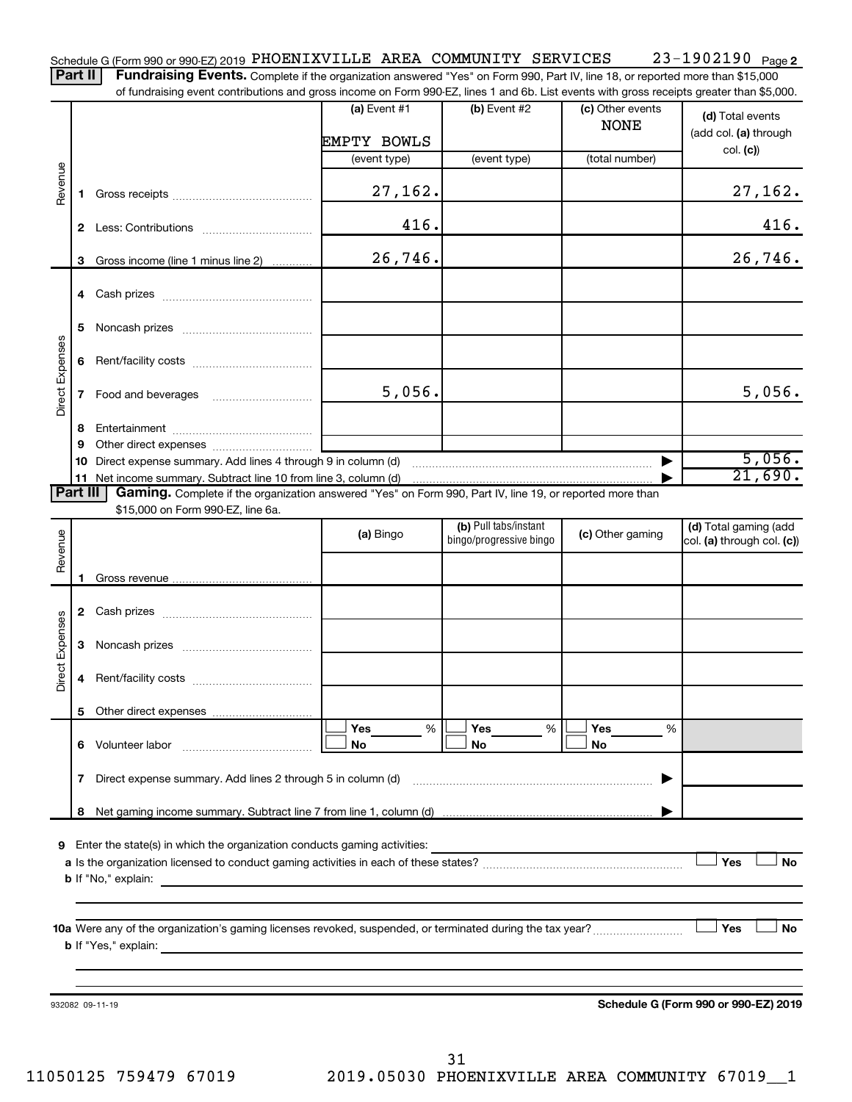23-1902190 Page 2 Schedule G (Form 990 or 990-EZ) 2019 PHOENIXVILLE AREA COMMUNITY SERVICES 23-1902190 Page Part II | Fundraising Events. Complete if the organization answered "Yes" on Form 990, Part IV, line 18, or reported more than \$15,000

of fundraising event contributions and gross income on Form 990-EZ, lines 1 and 6b. List events with gross receipts greater than \$5,000.

|                        |             | araionig overit continuations and gross income on riomiroso EE, inics ir and ob. Elst events with gross receipts groater than φo;ooc.                                                                                                                        |                |                                                  |                                 |                                                     |
|------------------------|-------------|--------------------------------------------------------------------------------------------------------------------------------------------------------------------------------------------------------------------------------------------------------------|----------------|--------------------------------------------------|---------------------------------|-----------------------------------------------------|
|                        |             |                                                                                                                                                                                                                                                              | (a) Event $#1$ | (b) Event #2                                     | (c) Other events<br><b>NONE</b> | (d) Total events<br>(add col. (a) through           |
|                        |             |                                                                                                                                                                                                                                                              | EMPTY BOWLS    |                                                  |                                 | col. (c)                                            |
|                        |             |                                                                                                                                                                                                                                                              | (event type)   | (event type)                                     | (total number)                  |                                                     |
| Revenue                |             |                                                                                                                                                                                                                                                              | 27,162.        |                                                  |                                 | 27,162.                                             |
|                        |             |                                                                                                                                                                                                                                                              | 416.           |                                                  |                                 | 416.                                                |
|                        |             | 3 Gross income (line 1 minus line 2)                                                                                                                                                                                                                         | 26,746.        |                                                  |                                 | 26,746.                                             |
|                        |             |                                                                                                                                                                                                                                                              |                |                                                  |                                 |                                                     |
|                        | 5           |                                                                                                                                                                                                                                                              |                |                                                  |                                 |                                                     |
| Direct Expenses        | 6           |                                                                                                                                                                                                                                                              |                |                                                  |                                 |                                                     |
|                        | 5,056.<br>7 |                                                                                                                                                                                                                                                              |                |                                                  |                                 | 5,056.                                              |
|                        | 8           |                                                                                                                                                                                                                                                              |                |                                                  |                                 |                                                     |
|                        | 9           |                                                                                                                                                                                                                                                              |                |                                                  |                                 |                                                     |
|                        | 10          |                                                                                                                                                                                                                                                              |                |                                                  |                                 | 5,056.                                              |
|                        |             |                                                                                                                                                                                                                                                              |                |                                                  |                                 | 21,690.                                             |
| Part III               |             | Gaming. Complete if the organization answered "Yes" on Form 990, Part IV, line 19, or reported more than                                                                                                                                                     |                |                                                  |                                 |                                                     |
|                        |             | \$15,000 on Form 990-EZ, line 6a.                                                                                                                                                                                                                            |                |                                                  |                                 |                                                     |
| Revenue                |             |                                                                                                                                                                                                                                                              | (a) Bingo      | (b) Pull tabs/instant<br>bingo/progressive bingo | (c) Other gaming                | (d) Total gaming (add<br>col. (a) through col. (c)) |
|                        |             |                                                                                                                                                                                                                                                              |                |                                                  |                                 |                                                     |
|                        |             |                                                                                                                                                                                                                                                              |                |                                                  |                                 |                                                     |
| <b>Direct Expenses</b> | 3           |                                                                                                                                                                                                                                                              |                |                                                  |                                 |                                                     |
|                        | 4           |                                                                                                                                                                                                                                                              |                |                                                  |                                 |                                                     |
|                        |             |                                                                                                                                                                                                                                                              |                |                                                  |                                 |                                                     |
|                        |             |                                                                                                                                                                                                                                                              | Yes<br>%       | Yes<br>%                                         | Yes<br>%                        |                                                     |
|                        | 6           | Volunteer labor                                                                                                                                                                                                                                              | No             | No                                               | No                              |                                                     |
|                        | 7           |                                                                                                                                                                                                                                                              |                |                                                  |                                 |                                                     |
|                        | 8           |                                                                                                                                                                                                                                                              |                |                                                  |                                 |                                                     |
| 9                      |             | Enter the state(s) in which the organization conducts gaming activities:<br><b>b</b> If "No," explain:                                                                                                                                                       |                |                                                  |                                 | Yes<br><b>No</b>                                    |
|                        |             |                                                                                                                                                                                                                                                              |                |                                                  |                                 |                                                     |
|                        |             | <b>b</b> If "Yes," explain:<br>the control of the control of the control of the control of the control of the control of the control of the control of the control of the control of the control of the control of the control of the control of the control |                |                                                  |                                 | Yes<br>No                                           |
|                        |             |                                                                                                                                                                                                                                                              |                |                                                  |                                 |                                                     |
|                        |             |                                                                                                                                                                                                                                                              |                |                                                  |                                 |                                                     |
|                        |             | 932082 09-11-19                                                                                                                                                                                                                                              |                |                                                  |                                 | Schedule G (Form 990 or 990-EZ) 2019                |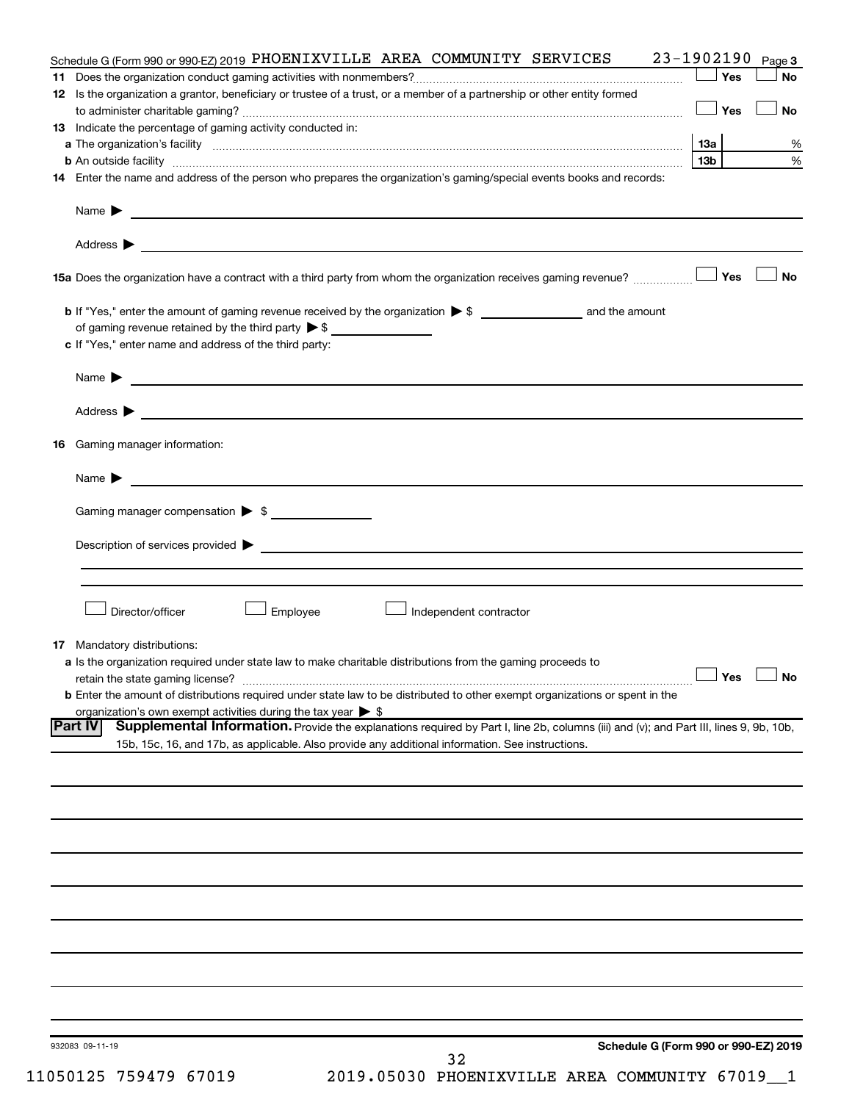| Schedule G (Form 990 or 990-EZ) 2019 PHOENIXVILLE AREA COMMUNITY SERVICES                                                                                                                                                                                    | 23-1902190           | Page 3    |
|--------------------------------------------------------------------------------------------------------------------------------------------------------------------------------------------------------------------------------------------------------------|----------------------|-----------|
|                                                                                                                                                                                                                                                              | Yes                  | <b>No</b> |
| 12 Is the organization a grantor, beneficiary or trustee of a trust, or a member of a partnership or other entity formed                                                                                                                                     | │Yes                 | <b>No</b> |
| 13 Indicate the percentage of gaming activity conducted in:                                                                                                                                                                                                  |                      |           |
|                                                                                                                                                                                                                                                              |                      | %         |
|                                                                                                                                                                                                                                                              | 13 <sub>b</sub>      | %         |
| 14 Enter the name and address of the person who prepares the organization's gaming/special events books and records:                                                                                                                                         |                      |           |
| Name $\blacktriangleright$<br><u> 1989 - Johann Barbara, marka a shekara tsa 1989 - An tsa 1989 - An tsa 1989 - An tsa 1989 - An tsa 1989 - An</u>                                                                                                           |                      |           |
|                                                                                                                                                                                                                                                              |                      |           |
|                                                                                                                                                                                                                                                              |                      | No        |
|                                                                                                                                                                                                                                                              |                      |           |
|                                                                                                                                                                                                                                                              |                      |           |
| c If "Yes," enter name and address of the third party:                                                                                                                                                                                                       |                      |           |
|                                                                                                                                                                                                                                                              |                      |           |
|                                                                                                                                                                                                                                                              |                      |           |
| <b>16</b> Gaming manager information:                                                                                                                                                                                                                        |                      |           |
|                                                                                                                                                                                                                                                              |                      |           |
| Gaming manager compensation > \$                                                                                                                                                                                                                             |                      |           |
|                                                                                                                                                                                                                                                              |                      |           |
|                                                                                                                                                                                                                                                              |                      |           |
|                                                                                                                                                                                                                                                              |                      |           |
| Director/officer<br>Employee<br>Independent contractor                                                                                                                                                                                                       |                      |           |
| <b>17</b> Mandatory distributions:                                                                                                                                                                                                                           |                      |           |
| a Is the organization required under state law to make charitable distributions from the gaming proceeds to                                                                                                                                                  |                      |           |
|                                                                                                                                                                                                                                                              | $\Box$ Yes $\Box$ No |           |
| <b>b</b> Enter the amount of distributions required under state law to be distributed to other exempt organizations or spent in the                                                                                                                          |                      |           |
| organization's own exempt activities during the tax year $\triangleright$ \$                                                                                                                                                                                 |                      |           |
| Supplemental Information. Provide the explanations required by Part I, line 2b, columns (iii) and (v); and Part III, lines 9, 9b, 10b,<br><b>Part IV</b><br>15b, 15c, 16, and 17b, as applicable. Also provide any additional information. See instructions. |                      |           |
|                                                                                                                                                                                                                                                              |                      |           |
|                                                                                                                                                                                                                                                              |                      |           |
|                                                                                                                                                                                                                                                              |                      |           |
|                                                                                                                                                                                                                                                              |                      |           |
|                                                                                                                                                                                                                                                              |                      |           |
|                                                                                                                                                                                                                                                              |                      |           |
|                                                                                                                                                                                                                                                              |                      |           |
|                                                                                                                                                                                                                                                              |                      |           |
|                                                                                                                                                                                                                                                              |                      |           |
|                                                                                                                                                                                                                                                              |                      |           |
| Schedule G (Form 990 or 990-EZ) 2019<br>932083 09-11-19                                                                                                                                                                                                      |                      |           |
| 32                                                                                                                                                                                                                                                           |                      |           |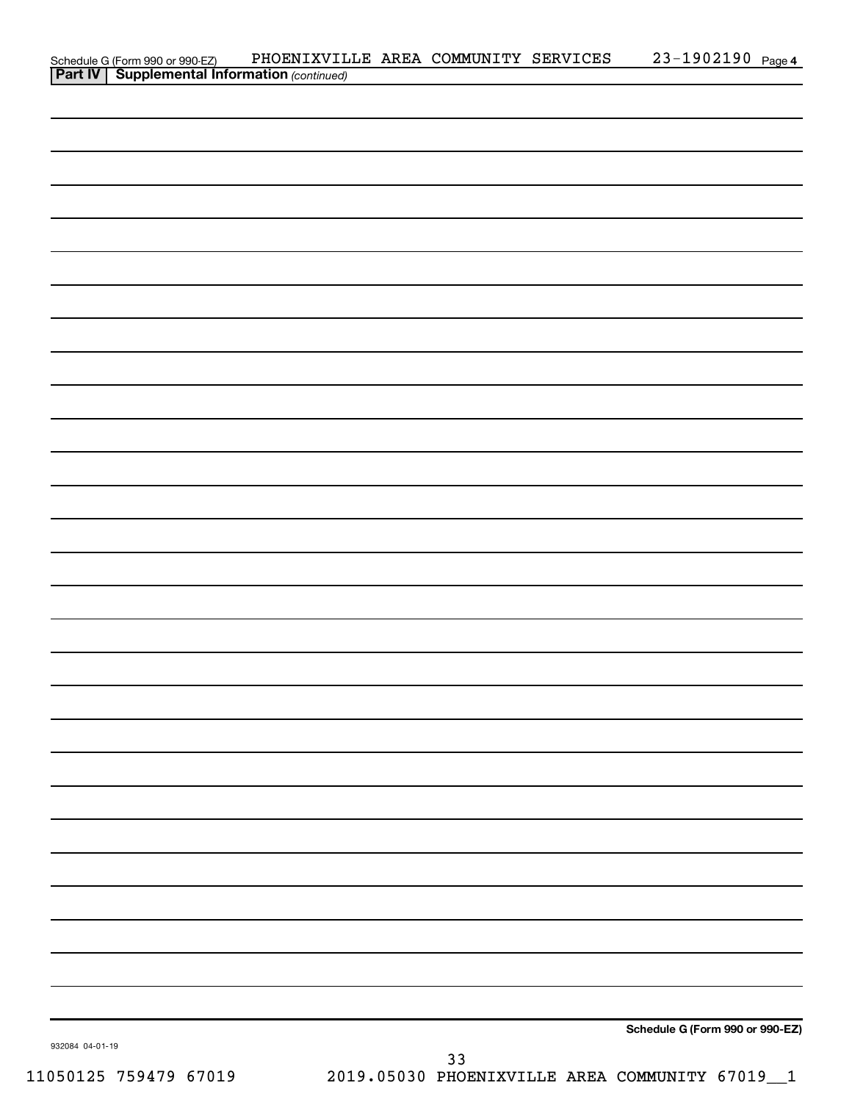|                 | Schedule G (Form 990 or 990-EZ) PHOENIXVIL<br>Part IV   Supplemental Information (continued) | PHOENIXVILLE AREA COMMUNITY SERVICES |    | 23-1902190 Page 4               |  |
|-----------------|----------------------------------------------------------------------------------------------|--------------------------------------|----|---------------------------------|--|
|                 |                                                                                              |                                      |    |                                 |  |
|                 |                                                                                              |                                      |    |                                 |  |
|                 |                                                                                              |                                      |    |                                 |  |
|                 |                                                                                              |                                      |    |                                 |  |
|                 |                                                                                              |                                      |    |                                 |  |
|                 |                                                                                              |                                      |    |                                 |  |
|                 |                                                                                              |                                      |    |                                 |  |
|                 |                                                                                              |                                      |    |                                 |  |
|                 |                                                                                              |                                      |    |                                 |  |
|                 |                                                                                              |                                      |    |                                 |  |
|                 |                                                                                              |                                      |    |                                 |  |
|                 |                                                                                              |                                      |    |                                 |  |
|                 |                                                                                              |                                      |    |                                 |  |
|                 |                                                                                              |                                      |    |                                 |  |
|                 |                                                                                              |                                      |    |                                 |  |
|                 |                                                                                              |                                      |    |                                 |  |
|                 |                                                                                              |                                      |    |                                 |  |
|                 |                                                                                              |                                      |    |                                 |  |
|                 |                                                                                              |                                      |    |                                 |  |
|                 |                                                                                              |                                      |    |                                 |  |
|                 |                                                                                              |                                      |    |                                 |  |
|                 |                                                                                              |                                      |    |                                 |  |
|                 |                                                                                              |                                      |    |                                 |  |
|                 |                                                                                              |                                      |    |                                 |  |
|                 |                                                                                              |                                      |    |                                 |  |
|                 |                                                                                              |                                      |    |                                 |  |
|                 |                                                                                              |                                      |    |                                 |  |
|                 |                                                                                              |                                      |    |                                 |  |
|                 |                                                                                              |                                      |    |                                 |  |
|                 |                                                                                              |                                      |    |                                 |  |
|                 |                                                                                              |                                      |    |                                 |  |
|                 |                                                                                              |                                      |    |                                 |  |
|                 |                                                                                              |                                      |    |                                 |  |
|                 |                                                                                              |                                      |    |                                 |  |
|                 |                                                                                              |                                      |    |                                 |  |
|                 |                                                                                              |                                      |    |                                 |  |
|                 |                                                                                              |                                      |    |                                 |  |
|                 |                                                                                              |                                      |    |                                 |  |
|                 |                                                                                              |                                      |    |                                 |  |
|                 |                                                                                              |                                      |    |                                 |  |
|                 |                                                                                              |                                      |    |                                 |  |
|                 |                                                                                              |                                      |    |                                 |  |
|                 |                                                                                              |                                      |    |                                 |  |
|                 |                                                                                              |                                      |    |                                 |  |
|                 |                                                                                              |                                      |    |                                 |  |
|                 |                                                                                              |                                      |    |                                 |  |
|                 |                                                                                              |                                      |    |                                 |  |
| 932084 04-01-19 |                                                                                              |                                      |    | Schedule G (Form 990 or 990-EZ) |  |
|                 |                                                                                              |                                      | २२ |                                 |  |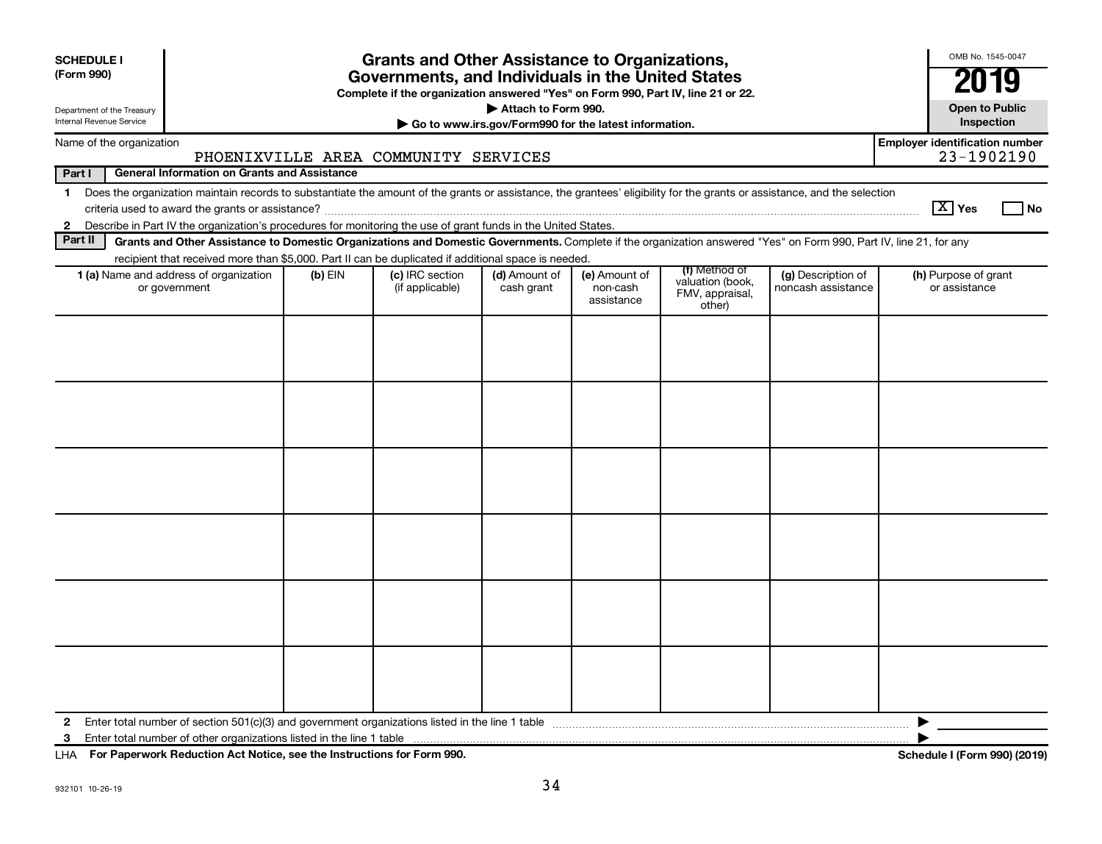| <b>SCHEDULE I</b><br>(Form 990)                        |                                                                                                                                                                                                                                                                           |           | <b>Grants and Other Assistance to Organizations,</b><br>Governments, and Individuals in the United States<br>Complete if the organization answered "Yes" on Form 990, Part IV, line 21 or 22. |                                                                              |                                         |                                                                |                                          | OMB No. 1545-0047<br>2019                           |
|--------------------------------------------------------|---------------------------------------------------------------------------------------------------------------------------------------------------------------------------------------------------------------------------------------------------------------------------|-----------|-----------------------------------------------------------------------------------------------------------------------------------------------------------------------------------------------|------------------------------------------------------------------------------|-----------------------------------------|----------------------------------------------------------------|------------------------------------------|-----------------------------------------------------|
| Department of the Treasury<br>Internal Revenue Service |                                                                                                                                                                                                                                                                           |           |                                                                                                                                                                                               | Attach to Form 990.<br>Go to www.irs.gov/Form990 for the latest information. |                                         |                                                                |                                          | <b>Open to Public</b><br>Inspection                 |
|                                                        | Name of the organization                                                                                                                                                                                                                                                  |           | PHOENIXVILLE AREA COMMUNITY SERVICES                                                                                                                                                          |                                                                              |                                         |                                                                |                                          | <b>Employer identification number</b><br>23-1902190 |
| Part I                                                 | <b>General Information on Grants and Assistance</b>                                                                                                                                                                                                                       |           |                                                                                                                                                                                               |                                                                              |                                         |                                                                |                                          |                                                     |
| $\mathbf 1$                                            | Does the organization maintain records to substantiate the amount of the grants or assistance, the grantees' eligibility for the grants or assistance, and the selection                                                                                                  |           |                                                                                                                                                                                               |                                                                              |                                         |                                                                |                                          | $\boxed{\text{X}}$ Yes<br><b>No</b>                 |
| $\mathbf{2}$<br>Part II                                | Describe in Part IV the organization's procedures for monitoring the use of grant funds in the United States.                                                                                                                                                             |           |                                                                                                                                                                                               |                                                                              |                                         |                                                                |                                          |                                                     |
|                                                        | Grants and Other Assistance to Domestic Organizations and Domestic Governments. Complete if the organization answered "Yes" on Form 990, Part IV, line 21, for any<br>recipient that received more than \$5,000. Part II can be duplicated if additional space is needed. |           |                                                                                                                                                                                               |                                                                              |                                         |                                                                |                                          |                                                     |
|                                                        | 1 (a) Name and address of organization<br>or government                                                                                                                                                                                                                   | $(b)$ EIN | (c) IRC section<br>(if applicable)                                                                                                                                                            | (d) Amount of<br>cash grant                                                  | (e) Amount of<br>non-cash<br>assistance | (f) Method of<br>valuation (book,<br>FMV, appraisal,<br>other) | (g) Description of<br>noncash assistance | (h) Purpose of grant<br>or assistance               |
|                                                        |                                                                                                                                                                                                                                                                           |           |                                                                                                                                                                                               |                                                                              |                                         |                                                                |                                          |                                                     |
| 2<br>3                                                 |                                                                                                                                                                                                                                                                           |           |                                                                                                                                                                                               |                                                                              |                                         |                                                                |                                          |                                                     |

**For Paperwork Reduction Act Notice, see the Instructions for Form 990. Schedule I (Form 990) (2019)** LHA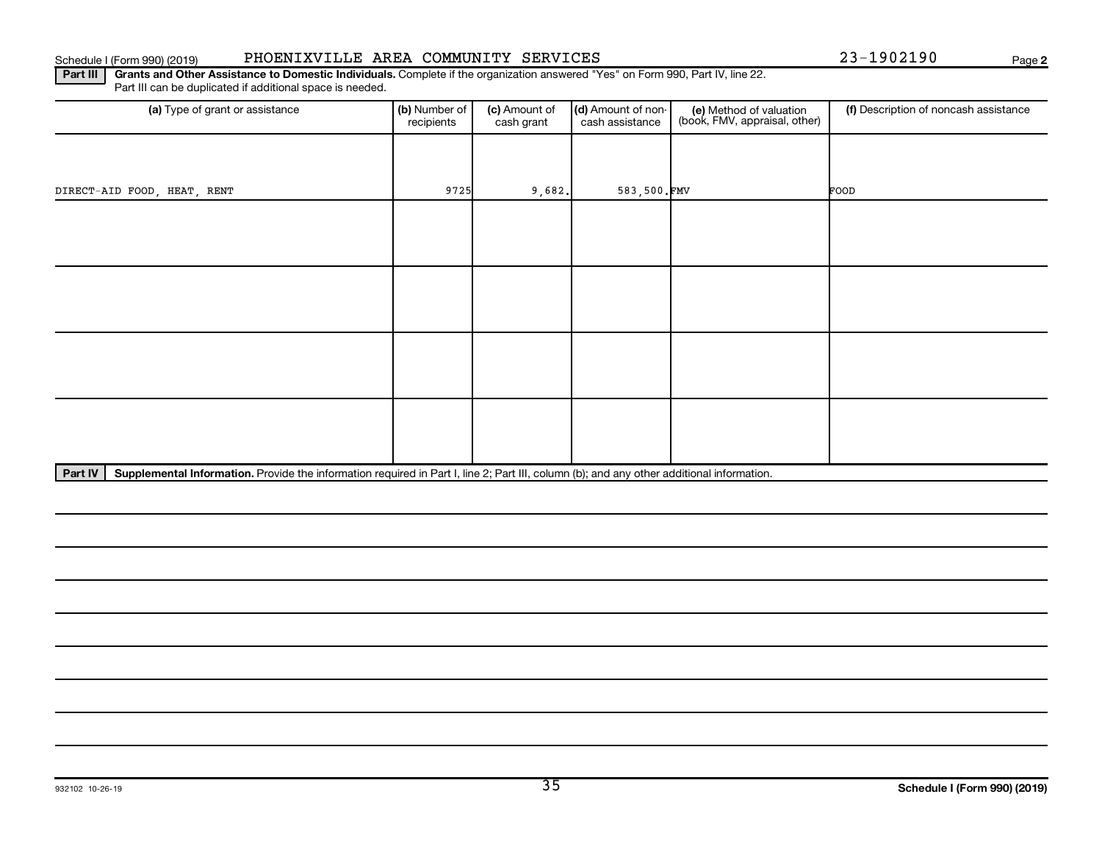### Schedule I (Form 990) (2019) PHOENIXVILLE AREA COMMUNITY SERVICES  $23-1902190$  Page

**2**

Part III | Grants and Other Assistance to Domestic Individuals. Complete if the organization answered "Yes" on Form 990, Part IV, line 22. Part III can be duplicated if additional space is needed.

| (a) Type of grant or assistance | (b) Number of<br>recipients | (c) Amount of<br>cash grant               | (d) Amount of non-<br>cash assistance | (e) Method of valuation<br>(book, FMV, appraisal, other) | (f) Description of noncash assistance |
|---------------------------------|-----------------------------|-------------------------------------------|---------------------------------------|----------------------------------------------------------|---------------------------------------|
|                                 |                             |                                           |                                       |                                                          |                                       |
| DIRECT-AID FOOD, HEAT, RENT     | 9725                        | 9,682.                                    | 583,500.FMV                           |                                                          | FOOD                                  |
|                                 |                             |                                           |                                       |                                                          |                                       |
|                                 |                             |                                           |                                       |                                                          |                                       |
|                                 |                             |                                           |                                       |                                                          |                                       |
|                                 |                             |                                           |                                       |                                                          |                                       |
|                                 |                             |                                           |                                       |                                                          |                                       |
|                                 |                             |                                           |                                       |                                                          |                                       |
|                                 |                             |                                           |                                       |                                                          |                                       |
|                                 |                             |                                           |                                       |                                                          |                                       |
| $\cdots$                        |                             | $\sim$ $\sim$ $\sim$ $\sim$ $\sim$ $\sim$ | $\sim$<br>$\sim$ $\sim$               | $\cdots$                                                 |                                       |

Part IV | Supplemental Information. Provide the information required in Part I, line 2; Part III, column (b); and any other additional information.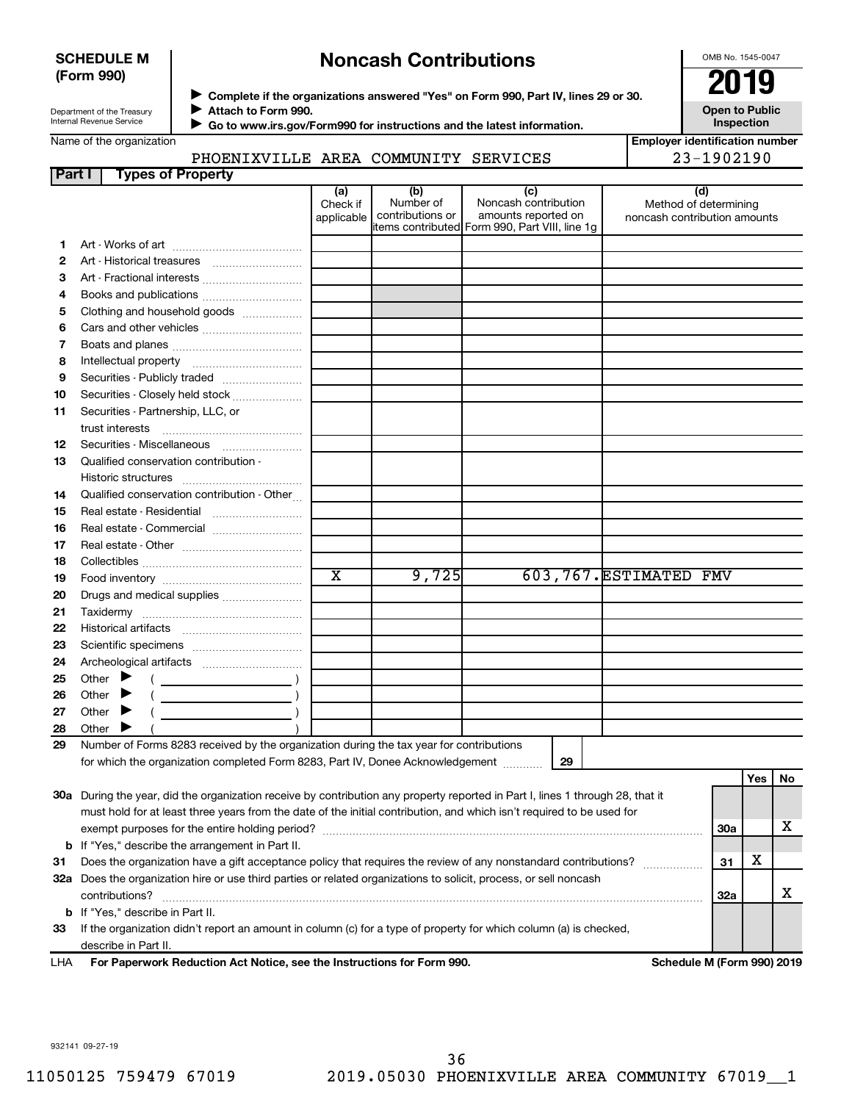### **SCHEDULE M (Form 990)**

## **Noncash Contributions**

OMB No. 1545-0047

| Department of the Treasury |
|----------------------------|
| Internal Revenue Service   |

◆ Complete if the organizations answered "Yes" on Form 990, Part IV, lines 29 or 30.<br>▶ Complete if the organizations answered "Yes" on Form 990, Part IV, lines 29 or 30.  $\blacktriangleright$ 

 $\blacktriangleright$ 

**Attach to Form 990. Go to www.irs.gov/Form990 for instructions and the latest information.** **Open to Public Inspection**

|  | Name of the organization |
|--|--------------------------|

## PHOENIXVILLE AREA COMMUNITY SERVICES 23-1902190

| <b>Employer identification number</b> |
|---------------------------------------|
| າ <b>2</b> _1002100                   |

| Part I       | <b>Types of Property</b>                                                                                                       |                        |                               |                                                |                                                       |            |            |    |
|--------------|--------------------------------------------------------------------------------------------------------------------------------|------------------------|-------------------------------|------------------------------------------------|-------------------------------------------------------|------------|------------|----|
|              |                                                                                                                                | (a)                    | (b)                           | (c)                                            |                                                       | (d)        |            |    |
|              |                                                                                                                                | Check if<br>applicable | Number of<br>contributions or | Noncash contribution<br>amounts reported on    | Method of determining<br>noncash contribution amounts |            |            |    |
|              |                                                                                                                                |                        |                               | items contributed Form 990, Part VIII, line 1g |                                                       |            |            |    |
| 1.           |                                                                                                                                |                        |                               |                                                |                                                       |            |            |    |
| $\mathbf{2}$ |                                                                                                                                |                        |                               |                                                |                                                       |            |            |    |
| 3            | Art - Fractional interests                                                                                                     |                        |                               |                                                |                                                       |            |            |    |
| 4            | Books and publications                                                                                                         |                        |                               |                                                |                                                       |            |            |    |
| 5            | Clothing and household goods                                                                                                   |                        |                               |                                                |                                                       |            |            |    |
| 6            | Cars and other vehicles                                                                                                        |                        |                               |                                                |                                                       |            |            |    |
| 7            |                                                                                                                                |                        |                               |                                                |                                                       |            |            |    |
| 8            |                                                                                                                                |                        |                               |                                                |                                                       |            |            |    |
| 9            |                                                                                                                                |                        |                               |                                                |                                                       |            |            |    |
| 10           | Securities - Closely held stock                                                                                                |                        |                               |                                                |                                                       |            |            |    |
| 11           | Securities - Partnership, LLC, or                                                                                              |                        |                               |                                                |                                                       |            |            |    |
|              | trust interests                                                                                                                |                        |                               |                                                |                                                       |            |            |    |
| 12           | Securities - Miscellaneous                                                                                                     |                        |                               |                                                |                                                       |            |            |    |
| 13           | Qualified conservation contribution -                                                                                          |                        |                               |                                                |                                                       |            |            |    |
|              |                                                                                                                                |                        |                               |                                                |                                                       |            |            |    |
| 14           | Qualified conservation contribution - Other                                                                                    |                        |                               |                                                |                                                       |            |            |    |
| 15           | Real estate - Residential                                                                                                      |                        |                               |                                                |                                                       |            |            |    |
| 16           | Real estate - Commercial                                                                                                       |                        |                               |                                                |                                                       |            |            |    |
| 17           |                                                                                                                                |                        |                               |                                                |                                                       |            |            |    |
| 18           |                                                                                                                                |                        |                               |                                                |                                                       |            |            |    |
| 19           |                                                                                                                                | $\overline{\text{x}}$  | 9,725                         |                                                | 603,767. ESTIMATED FMV                                |            |            |    |
| 20           | Drugs and medical supplies                                                                                                     |                        |                               |                                                |                                                       |            |            |    |
| 21           |                                                                                                                                |                        |                               |                                                |                                                       |            |            |    |
| 22           |                                                                                                                                |                        |                               |                                                |                                                       |            |            |    |
| 23           |                                                                                                                                |                        |                               |                                                |                                                       |            |            |    |
| 24           |                                                                                                                                |                        |                               |                                                |                                                       |            |            |    |
| 25           | Other $\blacktriangleright$                                                                                                    |                        |                               |                                                |                                                       |            |            |    |
| 26           | Other                                                                                                                          |                        |                               |                                                |                                                       |            |            |    |
| 27           | Other $\blacktriangleright$                                                                                                    |                        |                               |                                                |                                                       |            |            |    |
| 28           | Other                                                                                                                          |                        |                               |                                                |                                                       |            |            |    |
| 29           | Number of Forms 8283 received by the organization during the tax year for contributions                                        |                        |                               |                                                |                                                       |            |            |    |
|              | for which the organization completed Form 8283, Part IV, Donee Acknowledgement                                                 |                        |                               | 29                                             |                                                       |            |            |    |
|              |                                                                                                                                |                        |                               |                                                |                                                       |            | <b>Yes</b> | No |
|              | 30a During the year, did the organization receive by contribution any property reported in Part I, lines 1 through 28, that it |                        |                               |                                                |                                                       |            |            |    |
|              | must hold for at least three years from the date of the initial contribution, and which isn't required to be used for          |                        |                               |                                                |                                                       |            |            |    |
|              |                                                                                                                                |                        |                               |                                                |                                                       | <b>30a</b> |            | х  |
|              | <b>b</b> If "Yes," describe the arrangement in Part II.                                                                        |                        |                               |                                                |                                                       |            |            |    |
| 31           | Does the organization have a gift acceptance policy that requires the review of any nonstandard contributions?                 |                        |                               |                                                |                                                       | 31         | х          |    |

**33** If the organization didn't report an amount in column (c) for a type of property for which column (a) is checked, describe in Part II.

 $\text{contributions?}$   $\ldots$   $\ldots$   $\ldots$   $\ldots$   $\ldots$   $\ldots$   $\ldots$   $\ldots$   $\ldots$   $\ldots$   $\ldots$   $\ldots$   $\ldots$   $\ldots$   $\ldots$   $\ldots$   $\ldots$   $\ldots$   $\ldots$ 

**32 a** Does the organization hire or use third parties or related organizations to solicit, process, or sell noncash

**For Paperwork Reduction Act Notice, see the Instructions for Form 990. Schedule M (Form 990) 2019** LHA

**32a**

X

932141 09-27-19

**b** If "Yes," describe in Part II.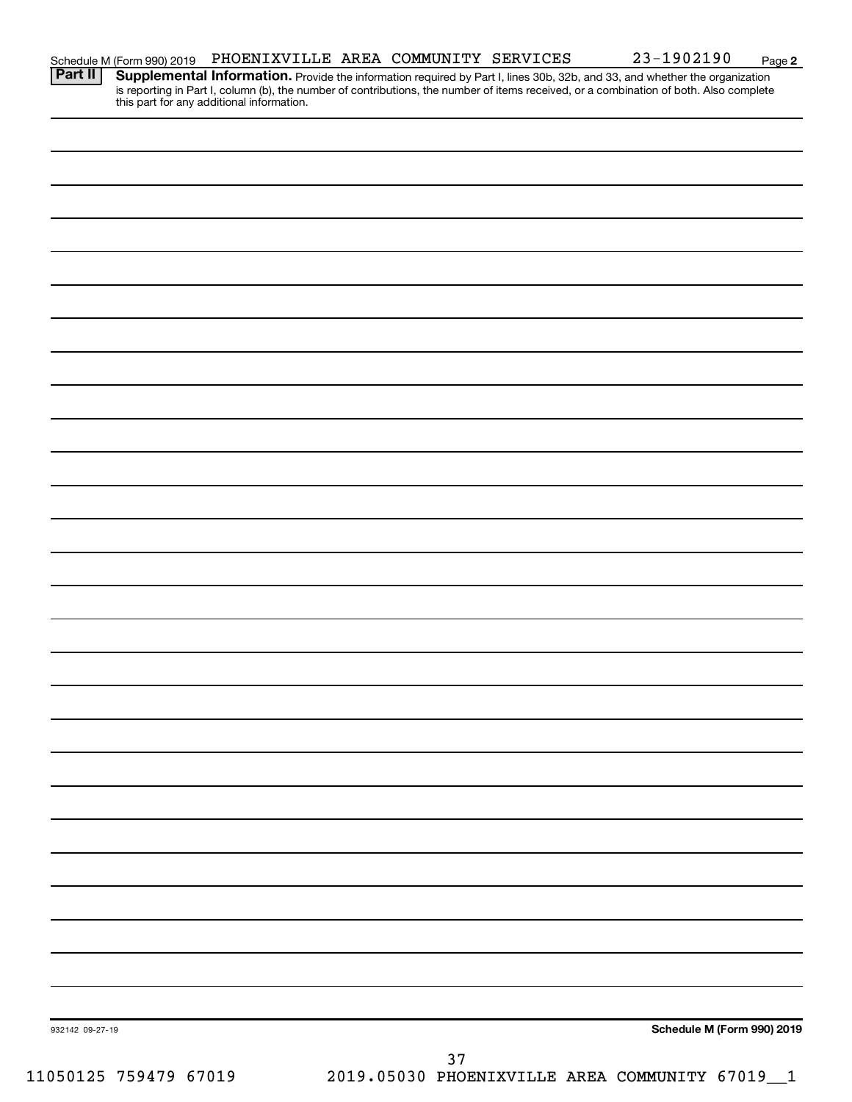| Schedule M (Form 990) 2019 | PHOENIXVILLE AREA COMMUNITY SERVICES |  |  |  | 23-1902190 | Page |  |
|----------------------------|--------------------------------------|--|--|--|------------|------|--|
|----------------------------|--------------------------------------|--|--|--|------------|------|--|

**2**

Provide the information required by Part I, lines 30b, 32b, and 33, and whether the organization is reporting in Part I, column (b), the number of contributions, the number of items received, or a combination of both. Also complete this part for any additional information. **Part II Supplemental Information.** 

| 932142 09-27-19                                                                 |  | Schedule M (Form 990) 2019 |
|---------------------------------------------------------------------------------|--|----------------------------|
|                                                                                 |  |                            |
| 37<br>1 050125 059479 67019 05019 05030 05030 050ENTXVILLE AREA COMMINITY 67019 |  |                            |
|                                                                                 |  |                            |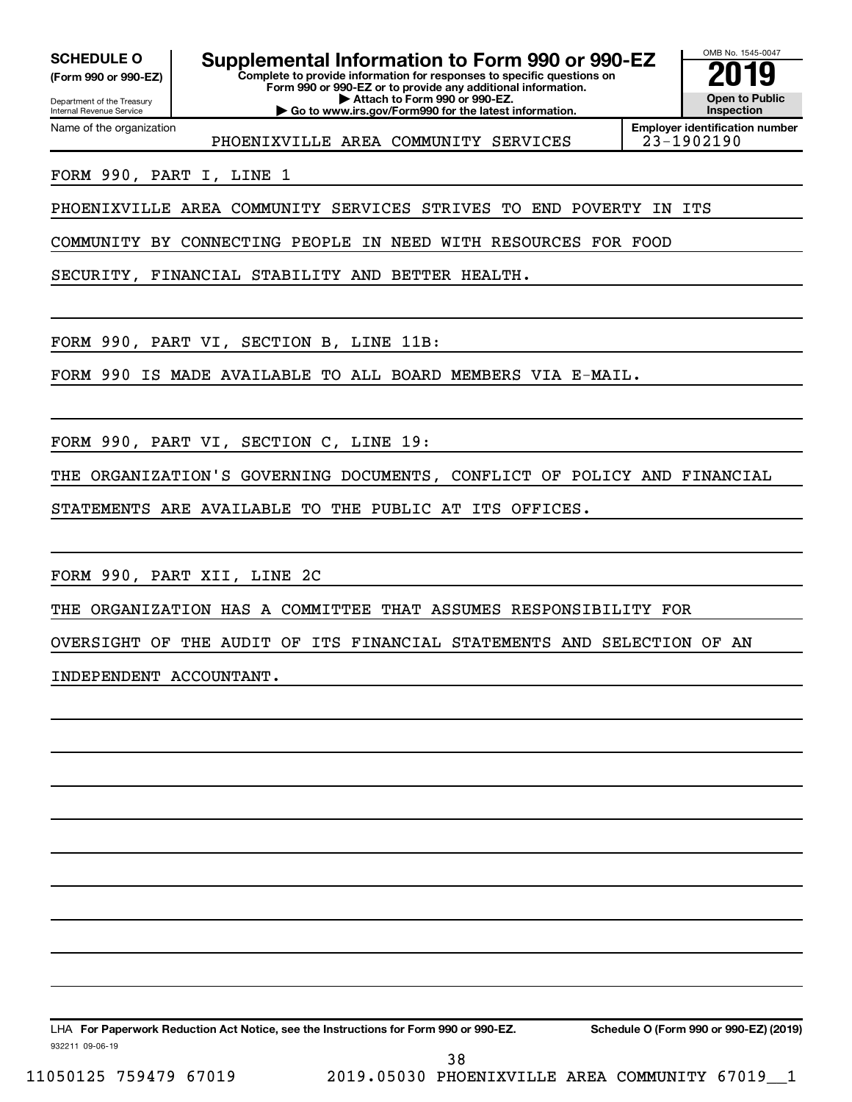Department of the Treasury **(Form 990 or 990-EZ)**

### **Complete to provide information for responses to specific questions on SCHEDULE O Supplemental Information to Form 990 or 990-EZ 2019**

**Form 990 or 990-EZ or to provide any additional information. | Attach to Form 990 or 990-EZ. | Go to www.irs.gov/Form990 for the latest information.**



Internal Revenue Service Name of the organization

PHOENIXVILLE AREA COMMUNITY SERVICES 23-1902190

**Employer identification number**

FORM 990, PART I, LINE 1

PHOENIXVILLE AREA COMMUNITY SERVICES STRIVES TO END POVERTY IN ITS

COMMUNITY BY CONNECTING PEOPLE IN NEED WITH RESOURCES FOR FOOD

SECURITY, FINANCIAL STABILITY AND BETTER HEALTH.

FORM 990, PART VI, SECTION B, LINE 11B:

FORM 990 IS MADE AVAILABLE TO ALL BOARD MEMBERS VIA E-MAIL.

FORM 990, PART VI, SECTION C, LINE 19:

THE ORGANIZATION'S GOVERNING DOCUMENTS, CONFLICT OF POLICY AND FINANCIAL

STATEMENTS ARE AVAILABLE TO THE PUBLIC AT ITS OFFICES.

FORM 990, PART XII, LINE 2C

THE ORGANIZATION HAS A COMMITTEE THAT ASSUMES RESPONSIBILITY FOR

OVERSIGHT OF THE AUDIT OF ITS FINANCIAL STATEMENTS AND SELECTION OF AN

INDEPENDENT ACCOUNTANT.

932211 09-06-19 LHA For Paperwork Reduction Act Notice, see the Instructions for Form 990 or 990-EZ. Schedule O (Form 990 or 990-EZ) (2019) 38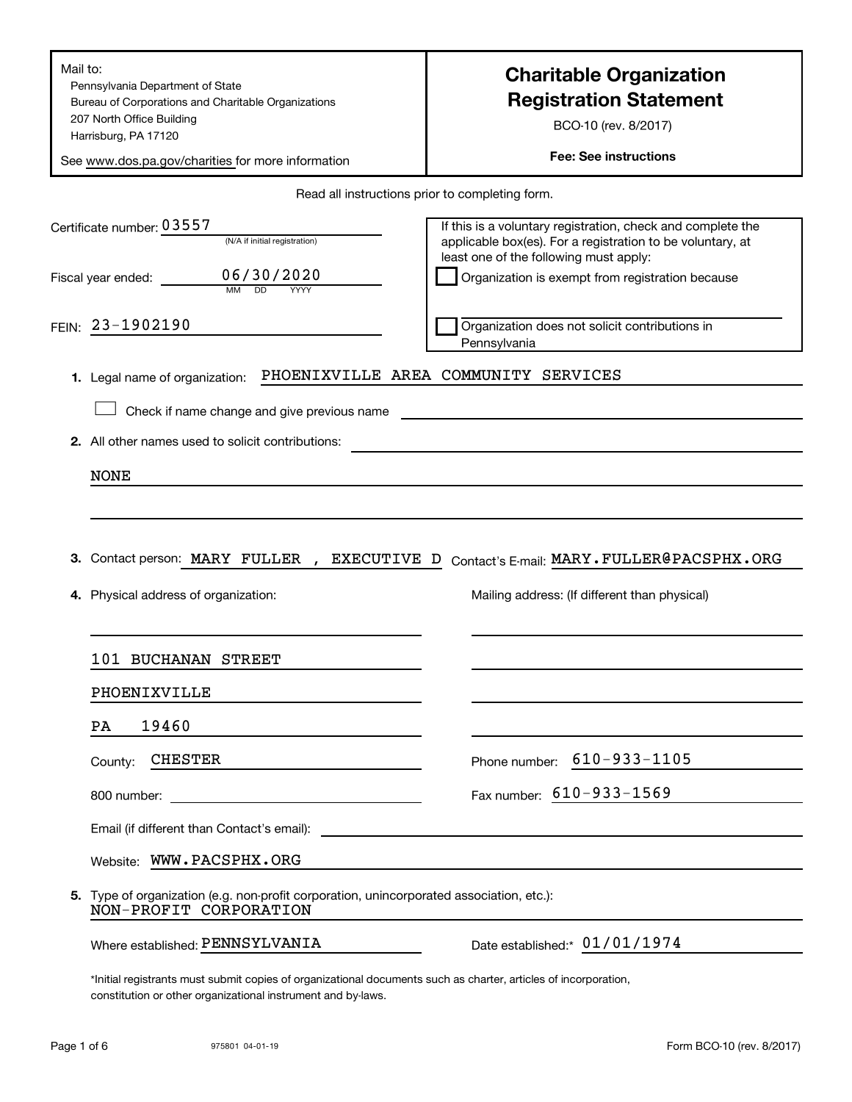| Mail to:                                                                                                                                                                        | <b>Charitable Organization</b>                                                                                                                                      |
|---------------------------------------------------------------------------------------------------------------------------------------------------------------------------------|---------------------------------------------------------------------------------------------------------------------------------------------------------------------|
| Pennsylvania Department of State<br>Bureau of Corporations and Charitable Organizations                                                                                         | <b>Registration Statement</b>                                                                                                                                       |
| 207 North Office Building                                                                                                                                                       | BCO-10 (rev. 8/2017)                                                                                                                                                |
| Harrisburg, PA 17120                                                                                                                                                            | <b>Fee: See instructions</b>                                                                                                                                        |
| See www.dos.pa.gov/charities for more information                                                                                                                               |                                                                                                                                                                     |
|                                                                                                                                                                                 | Read all instructions prior to completing form.                                                                                                                     |
| Certificate number: 03557<br>(N/A if initial registration)                                                                                                                      | If this is a voluntary registration, check and complete the<br>applicable box(es). For a registration to be voluntary, at<br>least one of the following must apply: |
| 06/30/2020<br>Fiscal year ended: _________<br>D <sub>D</sub><br>YYYY                                                                                                            | Organization is exempt from registration because                                                                                                                    |
| FEIN: 23-1902190                                                                                                                                                                | Organization does not solicit contributions in<br>Pennsylvania                                                                                                      |
| 1. Legal name of organization:                                                                                                                                                  | PHOENIXVILLE AREA COMMUNITY SERVICES                                                                                                                                |
| Check if name change and give previous name                                                                                                                                     |                                                                                                                                                                     |
| 2. All other names used to solicit contributions:                                                                                                                               |                                                                                                                                                                     |
| <b>NONE</b>                                                                                                                                                                     |                                                                                                                                                                     |
|                                                                                                                                                                                 |                                                                                                                                                                     |
|                                                                                                                                                                                 |                                                                                                                                                                     |
| Contact person: MARY FULLER, EXECUTIVE D<br>З.                                                                                                                                  | Contact's E-mail: MARY . FULLER@PACSPHX.ORG                                                                                                                         |
| 4. Physical address of organization:                                                                                                                                            | Mailing address: (If different than physical)                                                                                                                       |
| 101 BUCHANAN STREET                                                                                                                                                             |                                                                                                                                                                     |
| PHOENIXVILLE                                                                                                                                                                    |                                                                                                                                                                     |
| 19460<br>PA                                                                                                                                                                     |                                                                                                                                                                     |
| <b>CHESTER</b><br>County:                                                                                                                                                       | Phone number: 610-933-1105                                                                                                                                          |
|                                                                                                                                                                                 | Fax number: 610-933-1569                                                                                                                                            |
|                                                                                                                                                                                 |                                                                                                                                                                     |
| Website: WWW.PACSPHX.ORG                                                                                                                                                        |                                                                                                                                                                     |
| 5. Type of organization (e.g. non-profit corporation, unincorporated association, etc.):<br>NON-PROFIT CORPORATION                                                              |                                                                                                                                                                     |
| Where established: PENNSYLVANIA                                                                                                                                                 | Date established:* 01/01/1974                                                                                                                                       |
| *Initial registrants must submit copies of organizational documents such as charter, articles of incorporation,<br>constitution or other organizational instrument and by laws. |                                                                                                                                                                     |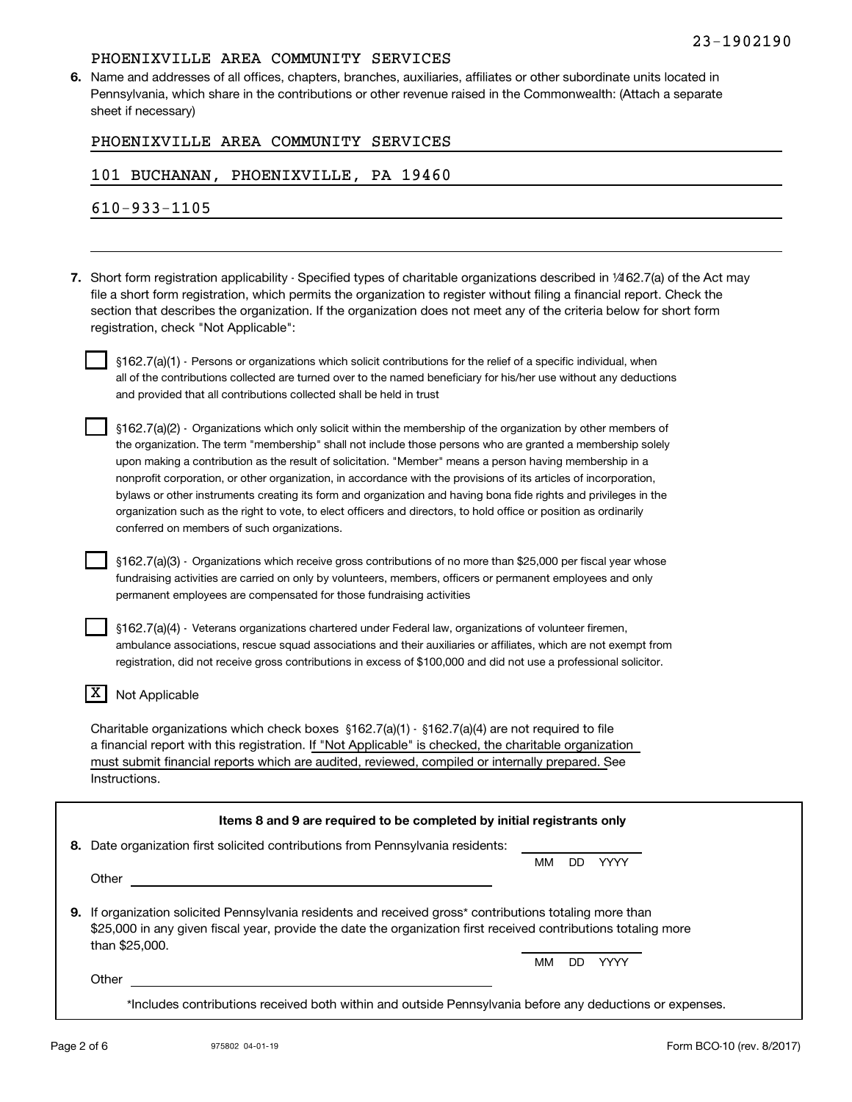**6.** Name and addresses of all offices, chapters, branches, auxiliaries, affiliates or other subordinate units located in Pennsylvania, which share in the contributions or other revenue raised in the Commonwealth: (Attach a separate sheet if necessary)

| PHOENIXVILLE AREA COMMUNITY SERVICES |  |
|--------------------------------------|--|
|--------------------------------------|--|

### 101 BUCHANAN, PHOENIXVILLE, PA 19460

610-933-1105

**7.** Short form registration applicability - Specified types of charitable organizations described in ¼62.7(a) of the Act may file a short form registration, which permits the organization to register without filing a financial report. Check the section that describes the organization. If the organization does not meet any of the criteria below for short form registration, check "Not Applicable":

 $\S 162.7$ (a)(1) - Persons or organizations which solicit contributions for the relief of a specific individual, when all of the contributions collected are turned over to the named beneficiary for his/her use without any deductions and provided that all contributions collected shall be held in trust

 $\S162.7(a)(2)$  - Organizations which only solicit within the membership of the organization by other members of the organization. The term "membership" shall not include those persons who are granted a membership solely upon making a contribution as the result of solicitation. "Member" means a person having membership in a nonprofit corporation, or other organization, in accordance with the provisions of its articles of incorporation, bylaws or other instruments creating its form and organization and having bona fide rights and privileges in the organization such as the right to vote, to elect officers and directors, to hold office or position as ordinarily conferred on members of such organizations.

 $\S 162.7$ (a)(3)  $\cdot$  Organizations which receive gross contributions of no more than  $\$25,000$  per fiscal year whose fundraising activities are carried on only by volunteers, members, officers or permanent employees and only permanent employees are compensated for those fundraising activities

 $\S 162.7$ (a)(4) - Veterans organizations chartered under Federal law, organizations of volunteer firemen, ambulance associations, rescue squad associations and their auxiliaries or affiliates, which are not exempt from registration, did not receive gross contributions in excess of \$100,000 and did not use a professional solicitor.

### $\overline{X}$  Not Applicable

Charitable organizations which check boxes  $$162.7(a)(1) \cdot $162.7(a)(4)$  are not required to file a financial report with this registration. If "Not Applicable" is checked, the charitable organization must submit financial reports which are audited, reviewed, compiled or internally prepared. See Instructions.

|                | мм                                                                                    | חח  | YYYY        |                                                                                                                                                                                                                                                                                                    |
|----------------|---------------------------------------------------------------------------------------|-----|-------------|----------------------------------------------------------------------------------------------------------------------------------------------------------------------------------------------------------------------------------------------------------------------------------------------------|
| Other          |                                                                                       |     |             |                                                                                                                                                                                                                                                                                                    |
| than \$25,000. |                                                                                       |     |             |                                                                                                                                                                                                                                                                                                    |
|                | мм                                                                                    | DD. | <b>YYYY</b> |                                                                                                                                                                                                                                                                                                    |
|                |                                                                                       |     |             |                                                                                                                                                                                                                                                                                                    |
|                | 8. Date organization first solicited contributions from Pennsylvania residents:<br>9. |     |             | Items 8 and 9 are required to be completed by initial registrants only<br>If organization solicited Pennsylvania residents and received gross* contributions totaling more than<br>\$25,000 in any given fiscal year, provide the date the organization first received contributions totaling more |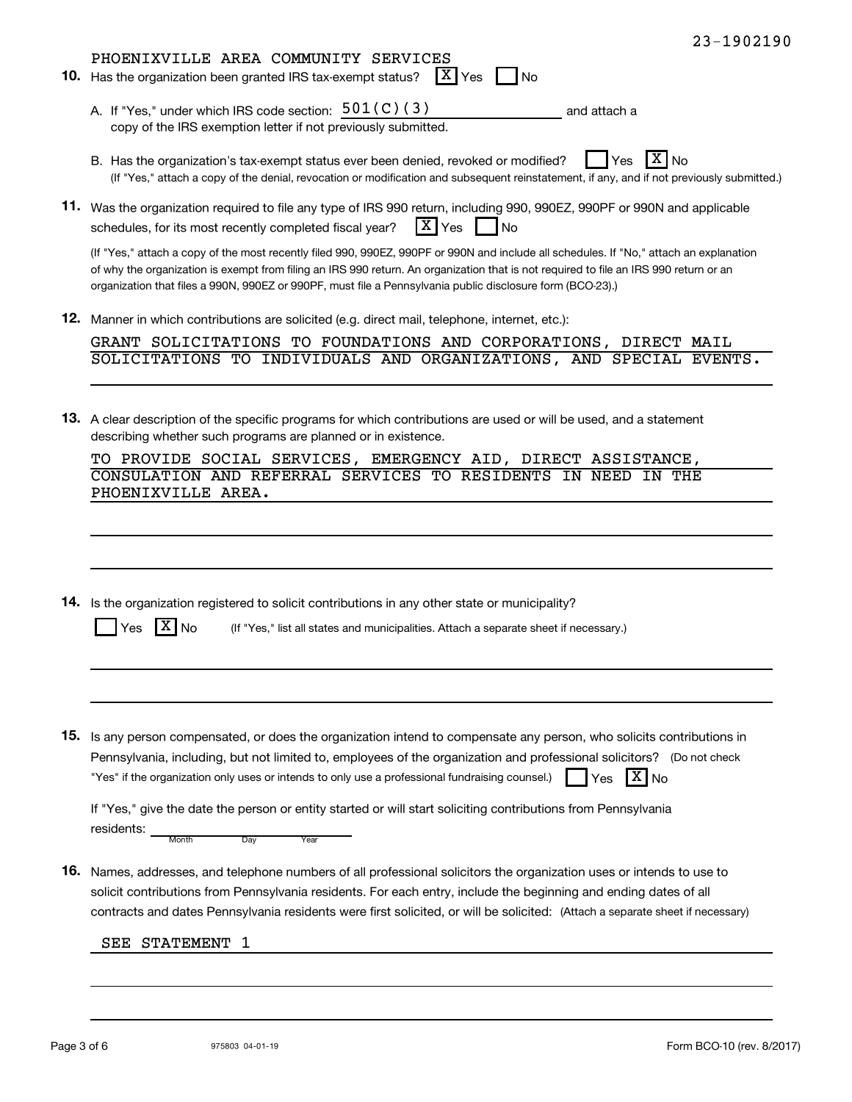|     | $23 - 1902190$                                                                                                                                                                                                                                                                                                                                                                                 |
|-----|------------------------------------------------------------------------------------------------------------------------------------------------------------------------------------------------------------------------------------------------------------------------------------------------------------------------------------------------------------------------------------------------|
| 10. | PHOENIXVILLE AREA COMMUNITY SERVICES<br>$ X $ Yes<br>Has the organization been granted IRS tax-exempt status?<br><b>No</b>                                                                                                                                                                                                                                                                     |
|     | A. If "Yes," under which IRS code section: $501(C)(3)$<br>and attach a<br>copy of the IRS exemption letter if not previously submitted.                                                                                                                                                                                                                                                        |
|     | ΣI<br>B. Has the organization's tax-exempt status ever been denied, revoked or modified?<br>Yes<br>No<br>(If "Yes," attach a copy of the denial, revocation or modification and subsequent reinstatement, if any, and if not previously submitted.)                                                                                                                                            |
|     | 11. Was the organization required to file any type of IRS 990 return, including 990, 990EZ, 990PF or 990N and applicable<br>$\lceil X \rceil$ Yes<br>schedules, for its most recently completed fiscal year?<br><b>No</b>                                                                                                                                                                      |
|     | (If "Yes," attach a copy of the most recently filed 990, 990EZ, 990PF or 990N and include all schedules. If "No," attach an explanation<br>of why the organization is exempt from filing an IRS 990 return. An organization that is not required to file an IRS 990 return or an<br>organization that files a 990N, 990EZ or 990PF, must file a Pennsylvania public disclosure form (BCO-23).) |
| 12. | Manner in which contributions are solicited (e.g. direct mail, telephone, internet, etc.):                                                                                                                                                                                                                                                                                                     |
|     | GRANT SOLICITATIONS TO FOUNDATIONS AND CORPORATIONS, DIRECT MAIL<br>SOLICITATIONS TO INDIVIDUALS AND ORGANIZATIONS, AND SPECIAL EVENTS.                                                                                                                                                                                                                                                        |
|     | 13. A clear description of the specific programs for which contributions are used or will be used, and a statement<br>describing whether such programs are planned or in existence.<br>TO PROVIDE SOCIAL SERVICES, EMERGENCY AID, DIRECT ASSISTANCE,<br>CONSULATION AND REFERRAL SERVICES TO RESIDENTS<br>IN NEED<br>IN THE                                                                    |
| 14. | Is the organization registered to solicit contributions in any other state or municipality?<br>(If "Yes," list all states and municipalities. Attach a separate sheet if necessary.)<br>No<br>'es                                                                                                                                                                                              |
|     |                                                                                                                                                                                                                                                                                                                                                                                                |
| 15. | Is any person compensated, or does the organization intend to compensate any person, who solicits contributions in<br>Pennsylvania, including, but not limited to, employees of the organization and professional solicitors? (Do not check<br>"Yes" if the organization only uses or intends to only use a professional fundraising counsel.)<br>$X _{N_Q}$<br>Yes                            |
|     | If "Yes," give the date the person or entity started or will start soliciting contributions from Pennsylvania<br>residents:<br>Month<br>Day<br>Year                                                                                                                                                                                                                                            |
| 16. | Names, addresses, and telephone numbers of all professional solicitors the organization uses or intends to use to<br>solicit contributions from Pennsylvania residents. For each entry, include the beginning and ending dates of all<br>contracts and dates Pennsylvania residents were first solicited, or will be solicited: (Attach a separate sheet if necessary)                         |
|     | <b>STATEMENT</b><br>SEE<br>-1                                                                                                                                                                                                                                                                                                                                                                  |
|     |                                                                                                                                                                                                                                                                                                                                                                                                |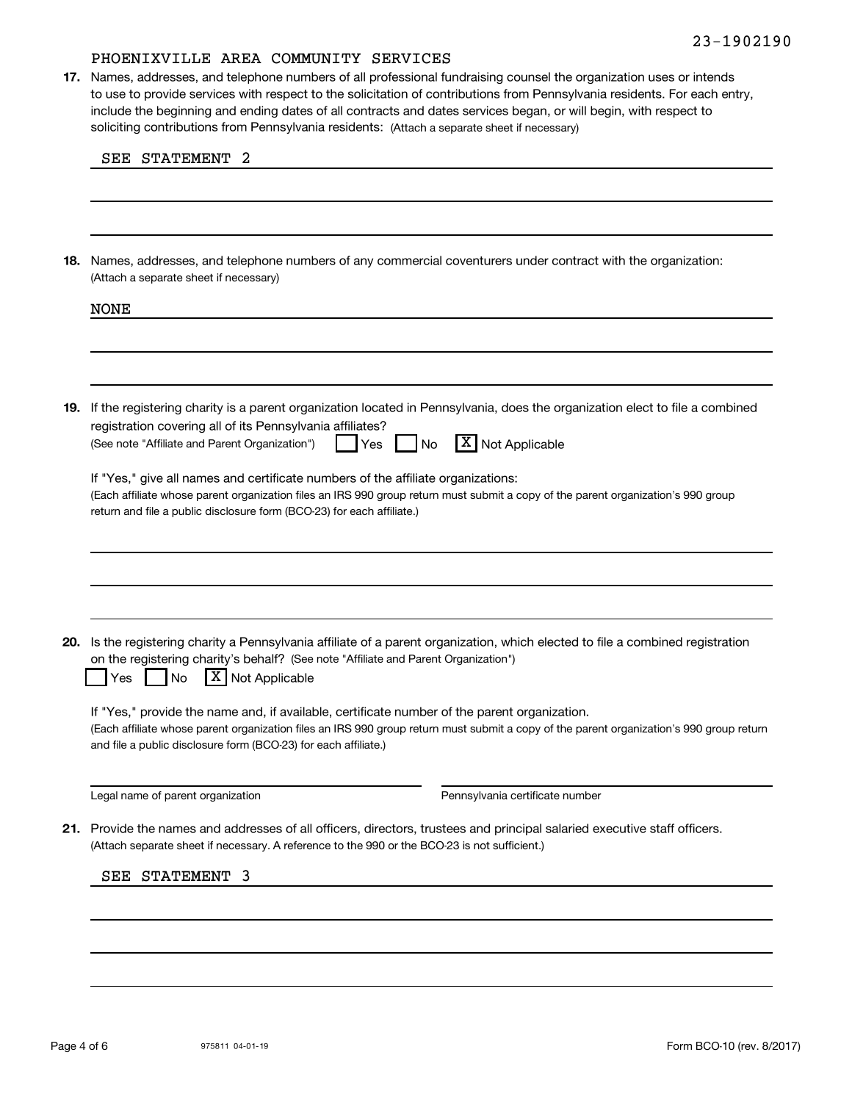soliciting contributions from Pennsylvania residents: (Attach a separate sheet if necessary) **17.** Names, addresses, and telephone numbers of all professional fundraising counsel the organization uses or intends to use to provide services with respect to the solicitation of contributions from Pennsylvania residents. For each entry, include the beginning and ending dates of all contracts and dates services began, or will begin, with respect to

|  | SEE | <b>STATEMENT</b> |  |
|--|-----|------------------|--|
|--|-----|------------------|--|

(Attach a separate sheet if necessary) **18.** Names, addresses, and telephone numbers of any commercial coventurers under contract with the organization:

|  | <b>NONE</b>                                                                                                                                                                                                                                                                                                 |  |  |  |  |
|--|-------------------------------------------------------------------------------------------------------------------------------------------------------------------------------------------------------------------------------------------------------------------------------------------------------------|--|--|--|--|
|  |                                                                                                                                                                                                                                                                                                             |  |  |  |  |
|  | 19. If the registering charity is a parent organization located in Pennsylvania, does the organization elect to file a combined<br>registration covering all of its Pennsylvania affiliates?<br>$\overline{X}$ Not Applicable<br>(See note "Affiliate and Parent Organization")<br>Yes<br><b>No</b>         |  |  |  |  |
|  | If "Yes," give all names and certificate numbers of the affiliate organizations:<br>(Each affiliate whose parent organization files an IRS 990 group return must submit a copy of the parent organization's 990 group<br>return and file a public disclosure form (BCO-23) for each affiliate.)             |  |  |  |  |
|  |                                                                                                                                                                                                                                                                                                             |  |  |  |  |
|  |                                                                                                                                                                                                                                                                                                             |  |  |  |  |
|  | 20. Is the registering charity a Pennsylvania affiliate of a parent organization, which elected to file a combined registration<br>on the registering charity's behalf? (See note "Affiliate and Parent Organization")<br> X <br>Not Applicable<br>No<br>Yes                                                |  |  |  |  |
|  | If "Yes," provide the name and, if available, certificate number of the parent organization.<br>(Each affiliate whose parent organization files an IRS 990 group return must submit a copy of the parent organization's 990 group return<br>and file a public disclosure form (BCO-23) for each affiliate.) |  |  |  |  |
|  | Legal name of parent organization<br>Pennsylvania certificate number                                                                                                                                                                                                                                        |  |  |  |  |
|  | 21. Provide the names and addresses of all officers, directors, trustees and principal salaried executive staff officers.<br>(Attach separate sheet if necessary. A reference to the 990 or the BCO-23 is not sufficient.)                                                                                  |  |  |  |  |
|  | SEE STATEMENT<br>3                                                                                                                                                                                                                                                                                          |  |  |  |  |
|  |                                                                                                                                                                                                                                                                                                             |  |  |  |  |
|  |                                                                                                                                                                                                                                                                                                             |  |  |  |  |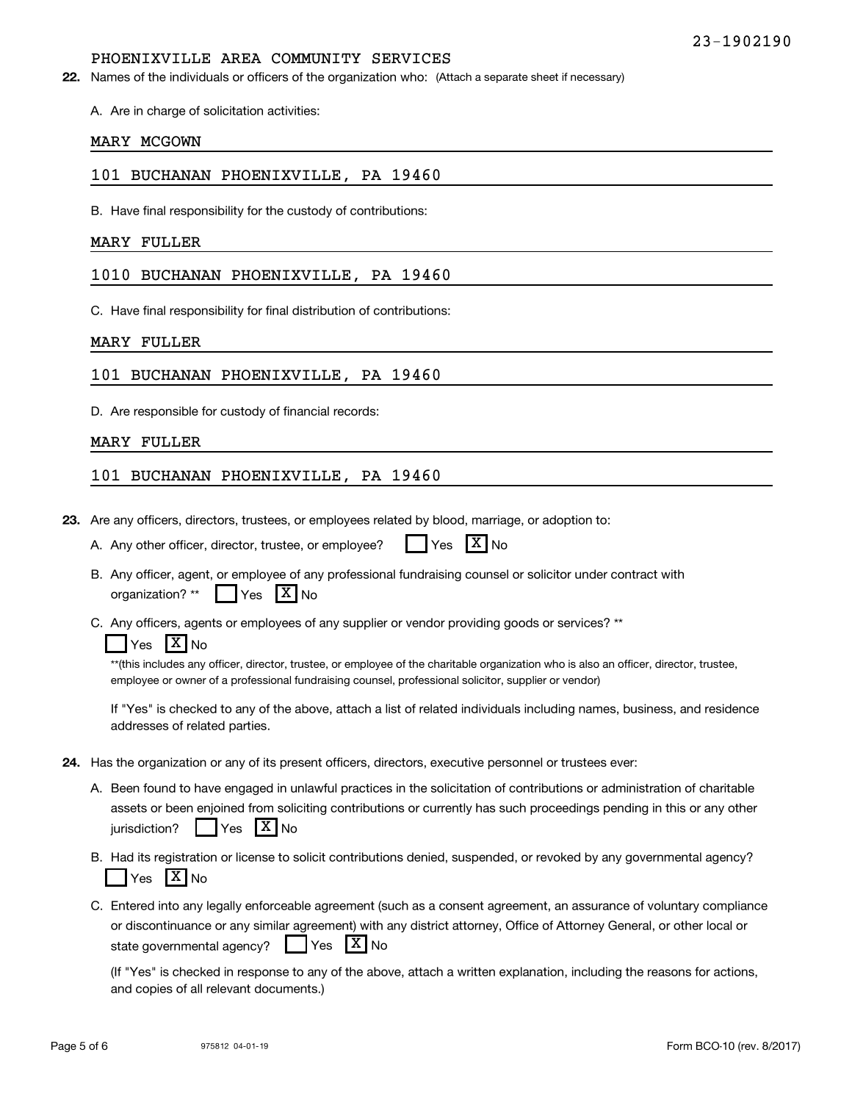22. Names of the individuals or officers of the organization who: (Attach a separate sheet if necessary)

A. Are in charge of solicitation activities:

### MARY MCGOWN

### 101 BUCHANAN PHOENIXVILLE, PA 19460

B. Have final responsibility for the custody of contributions:

### MARY FULLER

### 1010 BUCHANAN PHOENIXVILLE, PA 19460

C. Have final responsibility for final distribution of contributions:

### MARY FULLER

### 101 BUCHANAN PHOENIXVILLE, PA 19460

D. Are responsible for custody of financial records:

### MARY FULLER

### 101 BUCHANAN PHOENIXVILLE, PA 19460

**23.** Are any officers, directors, trustees, or employees related by blood, marriage, or adoption to:

|  | A. Any other officer, director, trustee, or employee? |  | $Yes$ $X$ No |  |  |
|--|-------------------------------------------------------|--|--------------|--|--|
|--|-------------------------------------------------------|--|--------------|--|--|

- B. Any officer, agent, or employee of any professional fundraising counsel or solicitor under contract with organization? \*\*  $Yes$   $X \mid No$
- C. Any officers, agents or employees of any supplier or vendor providing goods or services? \*\*

### Yes  $X$  No

\*\*(this includes any officer, director, trustee, or employee of the charitable organization who is also an officer, director, trustee, employee or owner of a professional fundraising counsel, professional solicitor, supplier or vendor)

If "Yes" is checked to any of the above, attach a list of related individuals including names, business, and residence addresses of related parties.

- **24.** Has the organization or any of its present officers, directors, executive personnel or trustees ever:
	- A. Been found to have engaged in unlawful practices in the solicitation of contributions or administration of charitable assets or been enjoined from soliciting contributions or currently has such proceedings pending in this or any other jurisdiction?  $\Box$  Yes  $\boxed{\text{X}}$  No
	- B. Had its registration or license to solicit contributions denied, suspended, or revoked by any governmental agency? Yes  $X$  No
	- C. Entered into any legally enforceable agreement (such as a consent agreement, an assurance of voluntary compliance or discontinuance or any similar agreement) with any district attorney, Office of Attorney General, or other local or state governmental agency?  $\Box$  Yes  $X_{NQ}$

(If "Yes" is checked in response to any of the above, attach a written explanation, including the reasons for actions, and copies of all relevant documents.)